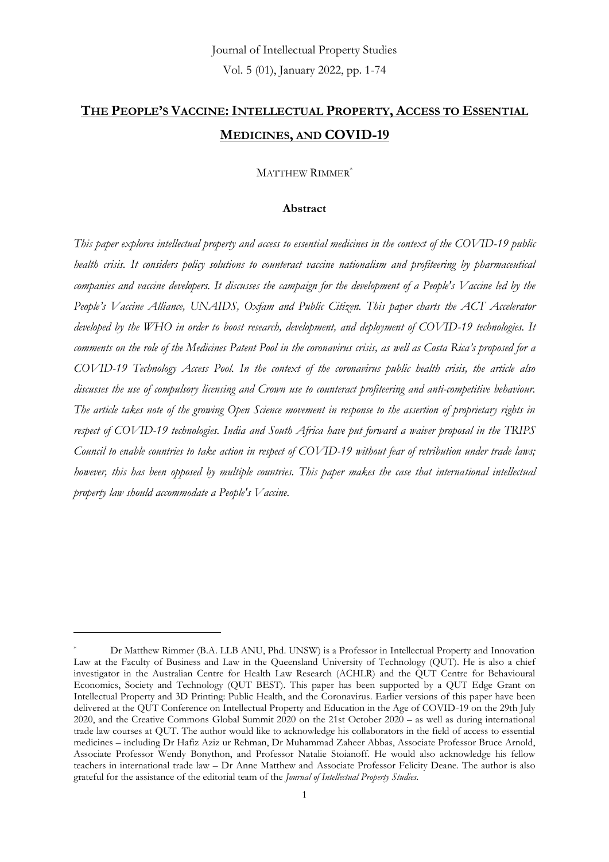## **THE PEOPLE'S VACCINE:INTELLECTUAL PROPERTY, ACCESS TO ESSENTIAL MEDICINES, AND COVID-19**

MATTHEW RIMMER\*

### **Abstract**

*This paper explores intellectual property and access to essential medicines in the context of the COVID-19 public health crisis. It considers policy solutions to counteract vaccine nationalism and profiteering by pharmaceutical companies and vaccine developers. It discusses the campaign for the development of a People's Vaccine led by the People's Vaccine Alliance, UNAIDS, Oxfam and Public Citizen. This paper charts the ACT Accelerator developed by the WHO in order to boost research, development, and deployment of COVID-19 technologies. It comments on the role of the Medicines Patent Pool in the coronavirus crisis, as well as Costa Rica's proposed for a COVID-19 Technology Access Pool. In the context of the coronavirus public health crisis, the article also discusses the use of compulsory licensing and Crown use to counteract profiteering and anti-competitive behaviour. The article takes note of the growing Open Science movement in response to the assertion of proprietary rights in respect of COVID-19 technologies. India and South Africa have put forward a waiver proposal in the TRIPS Council to enable countries to take action in respect of COVID-19 without fear of retribution under trade laws; however, this has been opposed by multiple countries. This paper makes the case that international intellectual property law should accommodate a People's Vaccine.*

Dr Matthew Rimmer (B.A. LLB ANU, Phd. UNSW) is a Professor in Intellectual Property and Innovation Law at the Faculty of Business and Law in the Queensland University of Technology (QUT). He is also a chief investigator in the Australian Centre for Health Law Research (ACHLR) and the QUT Centre for Behavioural Economics, Society and Technology (QUT BEST). This paper has been supported by a QUT Edge Grant on Intellectual Property and 3D Printing: Public Health, and the Coronavirus. Earlier versions of this paper have been delivered at the QUT Conference on Intellectual Property and Education in the Age of COVID-19 on the 29th July 2020, and the Creative Commons Global Summit 2020 on the 21st October 2020 – as well as during international trade law courses at QUT. The author would like to acknowledge his collaborators in the field of access to essential medicines – including Dr Hafiz Aziz ur Rehman, Dr Muhammad Zaheer Abbas, Associate Professor Bruce Arnold, Associate Professor Wendy Bonython, and Professor Natalie Stoianoff. He would also acknowledge his fellow teachers in international trade law – Dr Anne Matthew and Associate Professor Felicity Deane. The author is also grateful for the assistance of the editorial team of the *Journal of Intellectual Property Studies*.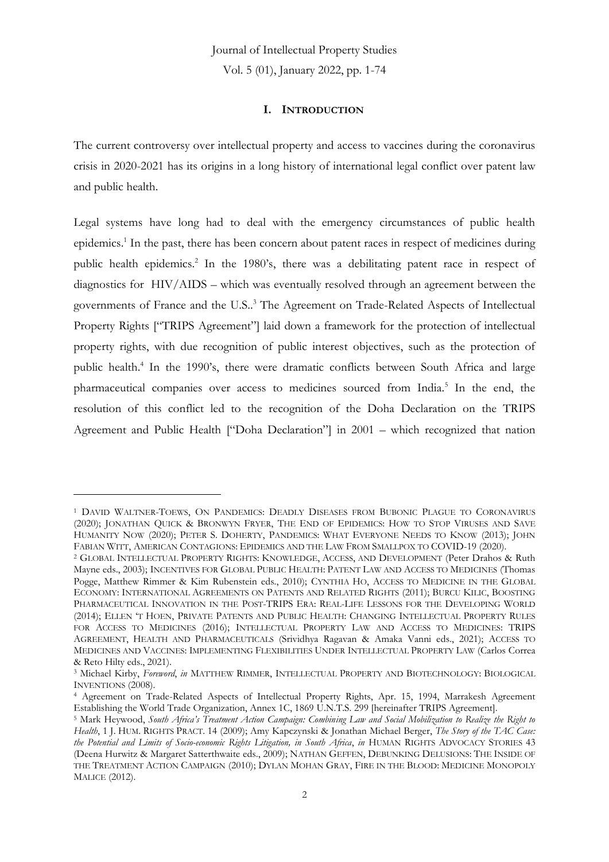Vol. 5 (01), January 2022, pp. 1-74

### **I. INTRODUCTION**

The current controversy over intellectual property and access to vaccines during the coronavirus crisis in 2020-2021 has its origins in a long history of international legal conflict over patent law and public health.

Legal systems have long had to deal with the emergency circumstances of public health epidemics. 1 In the past, there has been concern about patent races in respect of medicines during public health epidemics.<sup>2</sup> In the 1980's, there was a debilitating patent race in respect of diagnostics for HIV/AIDS – which was eventually resolved through an agreement between the governments of France and the U.S.. <sup>3</sup> The Agreement on Trade-Related Aspects of Intellectual Property Rights ["TRIPS Agreement"] laid down a framework for the protection of intellectual property rights, with due recognition of public interest objectives, such as the protection of public health.<sup>4</sup> In the 1990's, there were dramatic conflicts between South Africa and large pharmaceutical companies over access to medicines sourced from India.<sup>5</sup> In the end, the resolution of this conflict led to the recognition of the Doha Declaration on the TRIPS Agreement and Public Health ["Doha Declaration"] in 2001 – which recognized that nation

<sup>1</sup> DAVID WALTNER-TOEWS, ON PANDEMICS: DEADLY DISEASES FROM BUBONIC PLAGUE TO CORONAVIRUS (2020); JONATHAN QUICK & BRONWYN FRYER, THE END OF EPIDEMICS: HOW TO STOP VIRUSES AND SAVE HUMANITY NOW (2020); PETER S. DOHERTY, PANDEMICS: WHAT EVERYONE NEEDS TO KNOW (2013); JOHN FABIAN WITT, AMERICAN CONTAGIONS: EPIDEMICS AND THE LAW FROM SMALLPOX TO COVID-19 (2020).

<sup>2</sup> GLOBAL INTELLECTUAL PROPERTY RIGHTS: KNOWLEDGE, ACCESS, AND DEVELOPMENT (Peter Drahos & Ruth Mayne eds., 2003); INCENTIVES FOR GLOBAL PUBLIC HEALTH: PATENT LAW AND ACCESS TO MEDICINES (Thomas Pogge, Matthew Rimmer & Kim Rubenstein eds., 2010); CYNTHIA HO, ACCESS TO MEDICINE IN THE GLOBAL ECONOMY: INTERNATIONAL AGREEMENTS ON PATENTS AND RELATED RIGHTS (2011); BURCU KILIC, BOOSTING PHARMACEUTICAL INNOVATION IN THE POST-TRIPS ERA: REAL-LIFE LESSONS FOR THE DEVELOPING WORLD (2014); ELLEN 'T HOEN, PRIVATE PATENTS AND PUBLIC HEALTH: CHANGING INTELLECTUAL PROPERTY RULES FOR ACCESS TO MEDICINES (2016); INTELLECTUAL PROPERTY LAW AND ACCESS TO MEDICINES: TRIPS AGREEMENT, HEALTH AND PHARMACEUTICALS (Srividhya Ragavan & Amaka Vanni eds., 2021); ACCESS TO MEDICINES AND VACCINES: IMPLEMENTING FLEXIBILITIES UNDER INTELLECTUAL PROPERTY LAW (Carlos Correa & Reto Hilty eds., 2021).

<sup>3</sup> Michael Kirby, *Foreword*, *in* MATTHEW RIMMER, INTELLECTUAL PROPERTY AND BIOTECHNOLOGY: BIOLOGICAL INVENTIONS (2008).

<sup>4</sup> Agreement on Trade-Related Aspects of Intellectual Property Rights, Apr. 15, 1994, Marrakesh Agreement Establishing the World Trade Organization, Annex 1C, 1869 U.N.T.S. 299 [hereinafter TRIPS Agreement].

<sup>5</sup> Mark Heywood, *South Africa's Treatment Action Campaign: Combining Law and Social Mobilization to Realize the Right to Health*, 1 J. HUM. RIGHTS PRACT. 14 (2009); Amy Kapczynski & Jonathan Michael Berger, *The Story of the TAC Case: the Potential and Limits of Socio-economic Rights Litigation, in South Africa*, *in* HUMAN RIGHTS ADVOCACY STORIES 43 (Deena Hurwitz & Margaret Satterthwaite eds., 2009); NATHAN GEFFEN, DEBUNKING DELUSIONS: THE INSIDE OF THE TREATMENT ACTION CAMPAIGN (2010); DYLAN MOHAN GRAY, FIRE IN THE BLOOD: MEDICINE MONOPOLY MALICE (2012).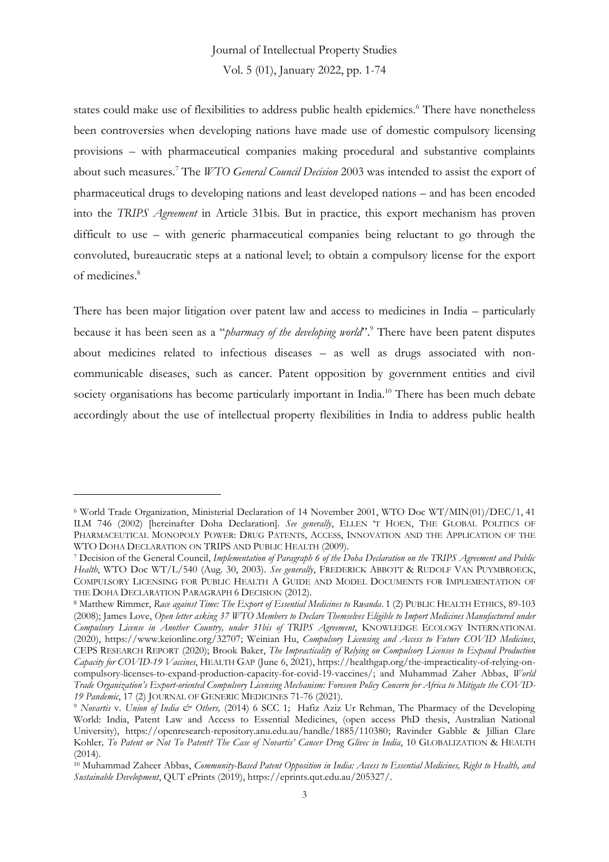Vol. 5 (01), January 2022, pp. 1-74

states could make use of flexibilities to address public health epidemics.<sup>6</sup> There have nonetheless been controversies when developing nations have made use of domestic compulsory licensing provisions – with pharmaceutical companies making procedural and substantive complaints about such measures.<sup>7</sup> The *WTO General Council Decision* 2003 was intended to assist the export of pharmaceutical drugs to developing nations and least developed nations – and has been encoded into the *TRIPS Agreement* in Article 31bis. But in practice, this export mechanism has proven difficult to use – with generic pharmaceutical companies being reluctant to go through the convoluted, bureaucratic steps at a national level; to obtain a compulsory license for the export of medicines. 8

There has been major litigation over patent law and access to medicines in India – particularly because it has been seen as a "*pharmacy of the developing world*". <sup>9</sup> There have been patent disputes about medicines related to infectious diseases – as well as drugs associated with noncommunicable diseases, such as cancer. Patent opposition by government entities and civil society organisations has become particularly important in India.<sup>10</sup> There has been much debate accordingly about the use of intellectual property flexibilities in India to address public health

<sup>6</sup> World Trade Organization, Ministerial Declaration of 14 November 2001, WTO Doc WT/MIN(01)/DEC/1, 41 ILM 746 (2002) [hereinafter Doha Declaration]. *See generally*, ELLEN 'T HOEN, THE GLOBAL POLITICS OF PHARMACEUTICAL MONOPOLY POWER: DRUG PATENTS, ACCESS, INNOVATION AND THE APPLICATION OF THE WTO DOHA DECLARATION ON TRIPS AND PUBLIC HEALTH (2009).

<sup>7</sup> Decision of the General Council, *Implementation of Paragraph 6 of the Doha Declaration on the TRIPS Agreement and Public Health*, WTO Doc WT/L/540 (Aug. 30, 2003). *See generally*, FREDERICK ABBOTT & RUDOLF VAN PUYMBROECK, COMPULSORY LICENSING FOR PUBLIC HEALTH A GUIDE AND MODEL DOCUMENTS FOR IMPLEMENTATION OF THE DOHA DECLARATION PARAGRAPH 6 DECISION (2012).

<sup>8</sup> Matthew Rimmer, *Race against Time: The Export of Essential Medicines to Rwanda*. 1 (2) PUBLIC HEALTH ETHICS, 89-103 (2008); James Love, *Open letter asking 37 WTO Members to Declare Themselves Eligible to Import Medicines Manufactured under Compulsory License in Another Country, under 31bis of TRIPS Agreement*, KNOWLEDGE ECOLOGY INTERNATIONAL (2020), https://www.keionline.org/32707; Weinian Hu, *Compulsory Licensing and Access to Future COVID Medicines*, CEPS RESEARCH REPORT (2020); Brook Baker, *The Impracticality of Relying on Compulsory Licenses to Expand Production Capacity for COVID-19 Vaccines*, HEALTH GAP (June 6, 2021), https://healthgap.org/the-impracticality-of-relying-oncompulsory-licenses-to-expand-production-capacity-for-covid-19-vaccines/; and Muhammad Zaher Abbas, *World Trade Organization's Export-oriented Compulsory Licensing Mechanism: Foreseen Policy Concern for Africa to Mitigate the COVID-19 Pandemic*, 17 (2) JOURNAL OF GENERIC MEDICINES 71-76 (2021).

<sup>&</sup>lt;sup>9</sup> *Novartis v. Union of India & Others,* (2014) 6 SCC 1; Hafiz Aziz Ur Rehman, The Pharmacy of the Developing World: India, Patent Law and Access to Essential Medicines, (open access PhD thesis, Australian National University), https://openresearch-repository.anu.edu.au/handle/1885/110380; Ravinder Gabble & Jillian Clare Kohler*, To Patent or Not To Patent? The Case of Novartis' Cancer Drug Glivec in India*, 10 GLOBALIZATION & HEALTH (2014).

<sup>10</sup> Muhammad Zaheer Abbas, *Community-Based Patent Opposition in India: Access to Essential Medicines, Right to Health, and Sustainable Development*, QUT ePrints (2019), https://eprints.qut.edu.au/205327/.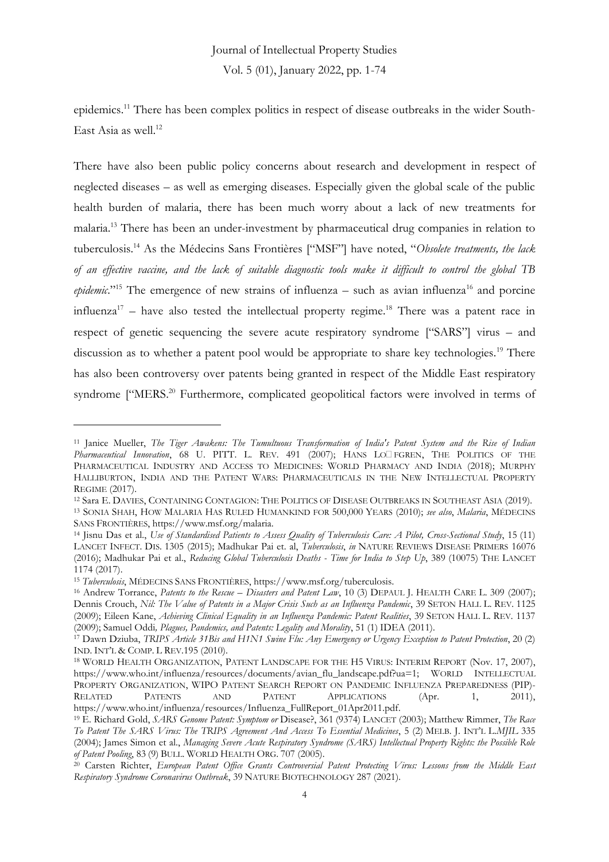epidemics.<sup>11</sup> There has been complex politics in respect of disease outbreaks in the wider South-East Asia as well. 12

There have also been public policy concerns about research and development in respect of neglected diseases – as well as emerging diseases. Especially given the global scale of the public health burden of malaria, there has been much worry about a lack of new treatments for malaria.<sup>13</sup> There has been an under-investment by pharmaceutical drug companies in relation to tuberculosis.<sup>14</sup> As the Médecins Sans Frontières ["MSF"] have noted, "*Obsolete treatments, the lack of an effective vaccine, and the lack of suitable diagnostic tools make it difficult to control the global TB*  epidemic."<sup>15</sup> The emergence of new strains of influenza – such as avian influenza<sup>16</sup> and porcine influenza<sup>17</sup> – have also tested the intellectual property regime.<sup>18</sup> There was a patent race in respect of genetic sequencing the severe acute respiratory syndrome ["SARS"] virus – and discussion as to whether a patent pool would be appropriate to share key technologies.<sup>19</sup> There has also been controversy over patents being granted in respect of the Middle East respiratory syndrome ["MERS.<sup>20</sup> Furthermore, complicated geopolitical factors were involved in terms of

<sup>11</sup> Janice Mueller, *The Tiger Awakens: The Tumultuous Transformation of India's Patent System and the Rise of Indian*  Pharmaceutical Innovation, 68 U. PITT. L. REV. 491 (2007); HANS LO<sup>I</sup>FGREN, THE POLITICS OF THE PHARMACEUTICAL INDUSTRY AND ACCESS TO MEDICINES: WORLD PHARMACY AND INDIA (2018); MURPHY HALLIBURTON, INDIA AND THE PATENT WARS: PHARMACEUTICALS IN THE NEW INTELLECTUAL PROPERTY REGIME (2017).

<sup>12</sup> Sara E. DAVIES, CONTAINING CONTAGION: THE POLITICS OF DISEASE OUTBREAKS IN SOUTHEAST ASIA (2019). <sup>13</sup> SONIA SHAH, HOW MALARIA HAS RULED HUMANKIND FOR 500,000 YEARS (2010); *see also*, *Malaria*, MÉDECINS SANS FRONTIÈRES, https://www.msf.org/malaria.

<sup>14</sup> Jisnu Das et al., *Use of Standardised Patients to Assess Quality of Tuberculosis Care: A Pilot, Cross-Sectional Study*, 15 (11) LANCET INFECT. DIS. 1305 (2015); Madhukar Pai et. al, *Tuberculosis*, *in* NATURE REVIEWS DISEASE PRIMERS 16076 (2016); Madhukar Pai et al., *Reducing Global Tuberculosis Deaths - Time for India to Step Up*, 389 (10075) THE LANCET 1174 (2017).

<sup>15</sup> *Tuberculosis*, MÉDECINS SANS FRONTIÈRES, https://www.msf.org/tuberculosis.

<sup>&</sup>lt;sup>16</sup> Andrew Torrance, *Patents to the Rescue – Disasters and Patent Law*, 10 (3) DEPAUL J. HEALTH CARE L. 309 (2007); Dennis Crouch, *Nil: The Value of Patents in a Major Crisis Such as an Influenza Pandemic*, 39 SETON HALL L. REV. 1125 (2009); Eileen Kane, *Achieving Clinical Equality in an Influenza Pandemic: Patent Realities*, 39 SETON HALL L. REV. 1137 (2009); Samuel Oddi*, Plagues, Pandemics, and Patents: Legality and Morality*, 51 (1) IDEA (2011).

<sup>17</sup> Dawn Dziuba, *TRIPS Article 31Bis and H1N1 Swine Flu: Any Emergency or Urgency Exception to Patent Protection*, 20 (2) IND. INT'L & COMP. L REV.195 (2010).

<sup>18</sup> WORLD HEALTH ORGANIZATION, PATENT LANDSCAPE FOR THE H5 VIRUS: INTERIM REPORT (Nov. 17, 2007), https://www.who.int/influenza/resources/documents/avian\_flu\_landscape.pdf?ua=1; WORLD INTELLECTUAL PROPERTY ORGANIZATION, WIPO PATENT SEARCH REPORT ON PANDEMIC INFLUENZA PREPAREDNESS (PIP)- RELATED PATENTS AND PATENT APPLICATIONS (Apr. 1, 2011), https://www.who.int/influenza/resources/Influenza\_FullReport\_01Apr2011.pdf.

<sup>19</sup> E. Richard Gold, *SARS Genome Patent: Symptom or* Disease?, 361 (9374) LANCET (2003); Matthew Rimmer, *The Race To Patent The SARS Virus: The TRIPS Agreement And Access To Essential Medicines*, 5 (2) MELB. J. INT'L L.*MJIL* 335 (2004); James Simon et al., *Managing Severe Acute Respiratory Syndrome (SARS) Intellectual Property Rights: the Possible Role of Patent Pooling*, 83 (9) BULL. WORLD HEALTH ORG. 707 (2005).

<sup>20</sup> Carsten Richter, *European Patent Office Grants Controversial Patent Protecting Virus: Lessons from the Middle East Respiratory Syndrome Coronavirus Outbreak*, 39 NATURE BIOTECHNOLOGY 287 (2021).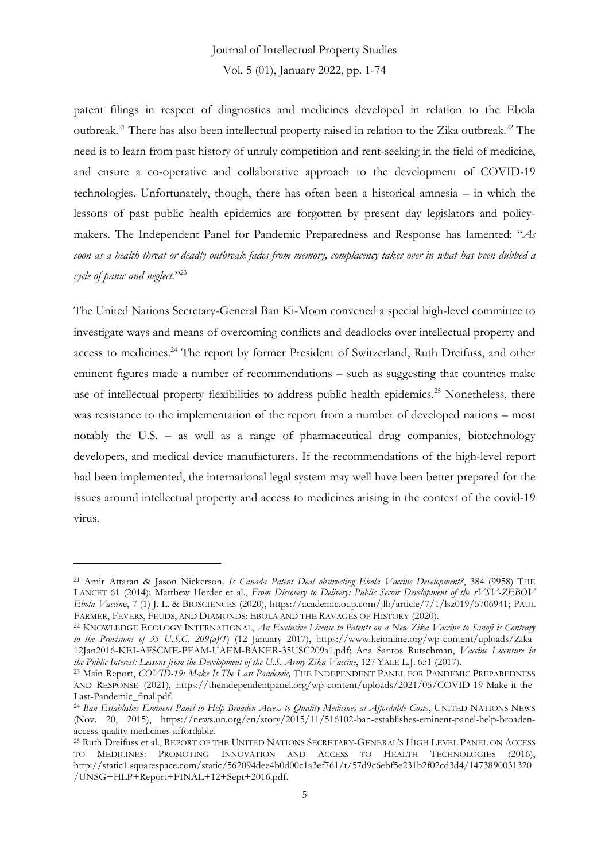patent filings in respect of diagnostics and medicines developed in relation to the Ebola outbreak.<sup>21</sup> There has also been intellectual property raised in relation to the Zika outbreak.<sup>22</sup> The need is to learn from past history of unruly competition and rent-seeking in the field of medicine, and ensure a co-operative and collaborative approach to the development of COVID-19 technologies. Unfortunately, though, there has often been a historical amnesia – in which the lessons of past public health epidemics are forgotten by present day legislators and policymakers. The Independent Panel for Pandemic Preparedness and Response has lamented: "*As soon as a health threat or deadly outbreak fades from memory, complacency takes over in what has been dubbed a cycle of panic and neglect.*" 23

The United Nations Secretary-General Ban Ki-Moon convened a special high-level committee to investigate ways and means of overcoming conflicts and deadlocks over intellectual property and access to medicines.<sup>24</sup> The report by former President of Switzerland, Ruth Dreifuss, and other eminent figures made a number of recommendations – such as suggesting that countries make use of intellectual property flexibilities to address public health epidemics.<sup>25</sup> Nonetheless, there was resistance to the implementation of the report from a number of developed nations – most notably the U.S. – as well as a range of pharmaceutical drug companies, biotechnology developers, and medical device manufacturers. If the recommendations of the high-level report had been implemented, the international legal system may well have been better prepared for the issues around intellectual property and access to medicines arising in the context of the covid-19 virus.

<sup>21</sup> Amir Attaran & Jason Nickerson*, Is Canada Patent Deal obstructing Ebola Vaccine Development?*, 384 (9958) THE LANCET 61 (2014); Matthew Herder et al., *From Discovery to Delivery: Public Sector Development of the rVSV-ZEBOV Ebola Vaccin*e, 7 (1) J. L. & BIOSCIENCES (2020), https://academic.oup.com/jlb/article/7/1/lsz019/5706941; PAUL FARMER, FEVERS, FEUDS, AND DIAMONDS: EBOLA AND THE RAVAGES OF HISTORY (2020).

<sup>22</sup> KNOWLEDGE ECOLOGY INTERNATIONAL, *An Exclusive License to Patents on a New Zika Vaccine to Sanofi is Contrary to the Provisions of 35 U.S.C. 209(a)(1*) (12 January 2017), https://www.keionline.org/wp-content/uploads/Zika-12Jan2016-KEI-AFSCME-PFAM-UAEM-BAKER-35USC209a1.pdf; Ana Santos Rutschman, *Vaccine Licensure in the Public Interest: Lessons from the Development of the U.S. Army Zika Vaccine*, 127 YALE L.J. 651 (2017).

<sup>23</sup> Main Report, *COVID-19: Make It The Last Pandemic,* THE INDEPENDENT PANEL FOR PANDEMIC PREPAREDNESS AND RESPONSE (2021), https://theindependentpanel.org/wp-content/uploads/2021/05/COVID-19-Make-it-the-Last-Pandemic\_final.pdf.

<sup>24</sup> *Ban Establishes Eminent Panel to Help Broaden Access to Quality Medicines at Affordable Cost*s, UNITED NATIONS NEWS (Nov. 20, 2015), https://news.un.org/en/story/2015/11/516102-ban-establishes-eminent-panel-help-broadenaccess-quality-medicines-affordable.

<sup>25</sup> Ruth Dreifuss et al., REPORT OF THE UNITED NATIONS SECRETARY-GENERAL'S HIGH LEVEL PANEL ON ACCESS TO MEDICINES: PROMOTING INNOVATION AND ACCESS TO HEALTH TECHNOLOGIES (2016), http://static1.squarespace.com/static/562094dee4b0d00c1a3ef761/t/57d9c6ebf5e231b2f02cd3d4/1473890031320 /UNSG+HLP+Report+FINAL+12+Sept+2016.pdf.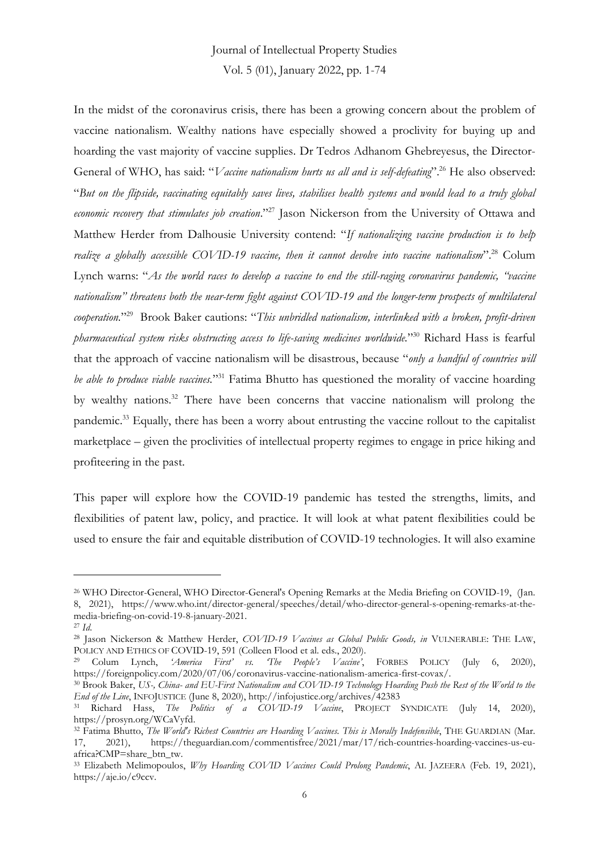Vol. 5 (01), January 2022, pp. 1-74

In the midst of the coronavirus crisis, there has been a growing concern about the problem of vaccine nationalism. Wealthy nations have especially showed a proclivity for buying up and hoarding the vast majority of vaccine supplies. Dr Tedros Adhanom Ghebreyesus, the Director-General of WHO, has said: "*Vaccine nationalism hurts us all and is self-defeating*". <sup>26</sup> He also observed: "*But on the flipside, vaccinating equitably saves lives, stabilises health systems and would lead to a truly global economic recovery that stimulates job creation*." <sup>27</sup> Jason Nickerson from the University of Ottawa and Matthew Herder from Dalhousie University contend: "*If nationalizing vaccine production is to help realize a globally accessible COVID-19 vaccine, then it cannot devolve into vaccine nationalism*". <sup>28</sup> Colum Lynch warns: "*As the world races to develop a vaccine to end the still-raging coronavirus pandemic, "vaccine nationalism" threatens both the near-term fight against COVID-19 and the longer-term prospects of multilateral cooperation.*" 29 Brook Baker cautions: "*This unbridled nationalism, interlinked with a broken, profit-driven pharmaceutical system risks obstructing access to life-saving medicines worldwide.*" <sup>30</sup> Richard Hass is fearful that the approach of vaccine nationalism will be disastrous, because "*only a handful of countries will be able to produce viable vaccines.*" <sup>31</sup> Fatima Bhutto has questioned the morality of vaccine hoarding by wealthy nations.<sup>32</sup> There have been concerns that vaccine nationalism will prolong the pandemic.<sup>33</sup> Equally, there has been a worry about entrusting the vaccine rollout to the capitalist marketplace – given the proclivities of intellectual property regimes to engage in price hiking and profiteering in the past.

This paper will explore how the COVID-19 pandemic has tested the strengths, limits, and flexibilities of patent law, policy, and practice. It will look at what patent flexibilities could be used to ensure the fair and equitable distribution of COVID-19 technologies. It will also examine

<sup>26</sup> WHO Director-General, WHO Director-General's Opening Remarks at the Media Briefing on COVID-19, (Jan. 8, 2021), https://www.who.int/director-general/speeches/detail/who-director-general-s-opening-remarks-at-themedia-briefing-on-covid-19-8-january-2021.

<sup>27</sup> *Id*.

<sup>28</sup> Jason Nickerson & Matthew Herder, *COVID-19 Vaccines as Global Public Goods, in* VULNERABLE: THE LAW, POLICY AND ETHICS OF COVID-19, 591 (Colleen Flood et al. eds., 2020).

<sup>29</sup> Colum Lynch, *'America First' vs. 'The People's Vaccine'*, FORBES POLICY (July 6, 2020), https://foreignpolicy.com/2020/07/06/coronavirus-vaccine-nationalism-america-first-covax/.

<sup>30</sup> Brook Baker, *US-, China- and EU-First Nationalism and COVID-19 Technology Hoarding Push the Rest of the World to the End of the Line*, INFOJUSTICE (June 8, 2020), http://infojustice.org/archives/42383

<sup>31</sup> Richard Hass, *The Politics of a COVID-19 Vaccine*, PROJECT SYNDICATE (July 14, 2020), https://prosyn.org/WCaVyfd.

<sup>32</sup> Fatima Bhutto, *The World's Richest Countries are Hoarding Vaccines. This is Morally Indefensible*, THE GUARDIAN (Mar. 17, 2021), https://theguardian.com/commentisfree/2021/mar/17/rich-countries-hoarding-vaccines-us-euafrica?CMP=share\_btn\_tw.

<sup>33</sup> Elizabeth Melimopoulos, *Why Hoarding COVID Vaccines Could Prolong Pandemic*, AL JAZEERA (Feb. 19, 2021), https://aje.io/c9ccv.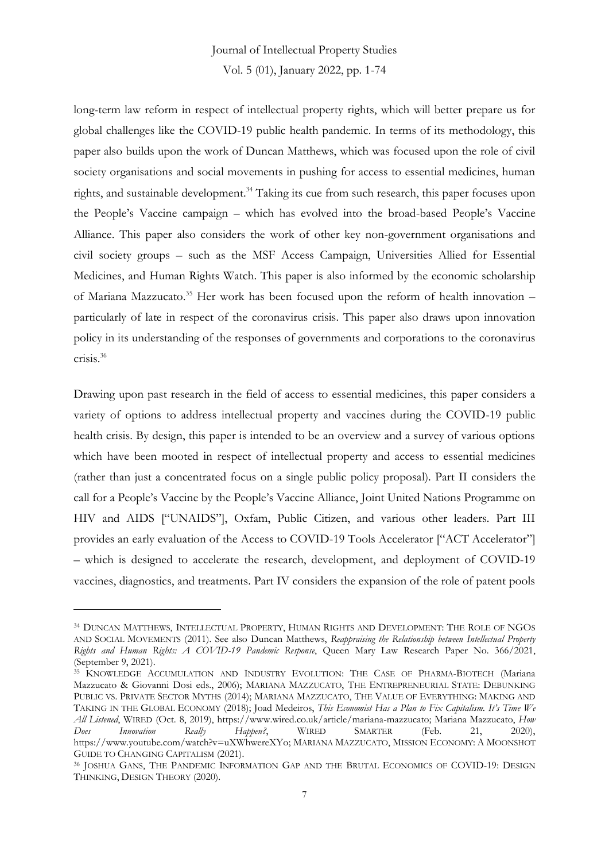long-term law reform in respect of intellectual property rights, which will better prepare us for global challenges like the COVID-19 public health pandemic. In terms of its methodology, this paper also builds upon the work of Duncan Matthews, which was focused upon the role of civil society organisations and social movements in pushing for access to essential medicines, human rights, and sustainable development.<sup>34</sup> Taking its cue from such research, this paper focuses upon the People's Vaccine campaign – which has evolved into the broad-based People's Vaccine Alliance. This paper also considers the work of other key non-government organisations and civil society groups – such as the MSF Access Campaign, Universities Allied for Essential Medicines, and Human Rights Watch. This paper is also informed by the economic scholarship of Mariana Mazzucato.<sup>35</sup> Her work has been focused upon the reform of health innovation – particularly of late in respect of the coronavirus crisis. This paper also draws upon innovation policy in its understanding of the responses of governments and corporations to the coronavirus crisis.<sup>36</sup>

Drawing upon past research in the field of access to essential medicines, this paper considers a variety of options to address intellectual property and vaccines during the COVID-19 public health crisis. By design, this paper is intended to be an overview and a survey of various options which have been mooted in respect of intellectual property and access to essential medicines (rather than just a concentrated focus on a single public policy proposal). Part II considers the call for a People's Vaccine by the People's Vaccine Alliance, Joint United Nations Programme on HIV and AIDS ["UNAIDS"], Oxfam, Public Citizen, and various other leaders. Part III provides an early evaluation of the Access to COVID-19 Tools Accelerator ["ACT Accelerator"] – which is designed to accelerate the research, development, and deployment of COVID-19 vaccines, diagnostics, and treatments. Part IV considers the expansion of the role of patent pools

<sup>34</sup> DUNCAN MATTHEWS, INTELLECTUAL PROPERTY, HUMAN RIGHTS AND DEVELOPMENT: THE ROLE OF NGOS AND SOCIAL MOVEMENTS (2011). See also Duncan Matthews, *Reappraising the Relationship between Intellectual Property Rights and Human Rights: A COVID-19 Pandemic Response*, Queen Mary Law Research Paper No. 366/2021, (September 9, 2021).

<sup>&</sup>lt;sup>35</sup> KNOWLEDGE ACCUMULATION AND INDUSTRY EVOLUTION: THE CASE OF PHARMA-BIOTECH (Mariana Mazzucato & Giovanni Dosi eds., 2006); MARIANA MAZZUCATO, THE ENTREPRENEURIAL STATE: DEBUNKING PUBLIC VS. PRIVATE SECTOR MYTHS (2014); MARIANA MAZZUCATO, THE VALUE OF EVERYTHING: MAKING AND TAKING IN THE GLOBAL ECONOMY (2018); Joad Medeiros, *This Economist Has a Plan to Fix Capitalism. It's Time We All Listened*, WIRED (Oct. 8, 2019), https://www.wired.co.uk/article/mariana-mazzucato; Mariana Mazzucato, *How Does Innovation Really Happen?*, WIRED SMARTER (Feb. 21, 2020), https://www.youtube.com/watch?v=uXWhwereXYo; MARIANA MAZZUCATO, MISSION ECONOMY: A MOONSHOT GUIDE TO CHANGING CAPITALISM (2021).

<sup>36</sup> JOSHUA GANS, THE PANDEMIC INFORMATION GAP AND THE BRUTAL ECONOMICS OF COVID-19: DESIGN THINKING, DESIGN THEORY (2020).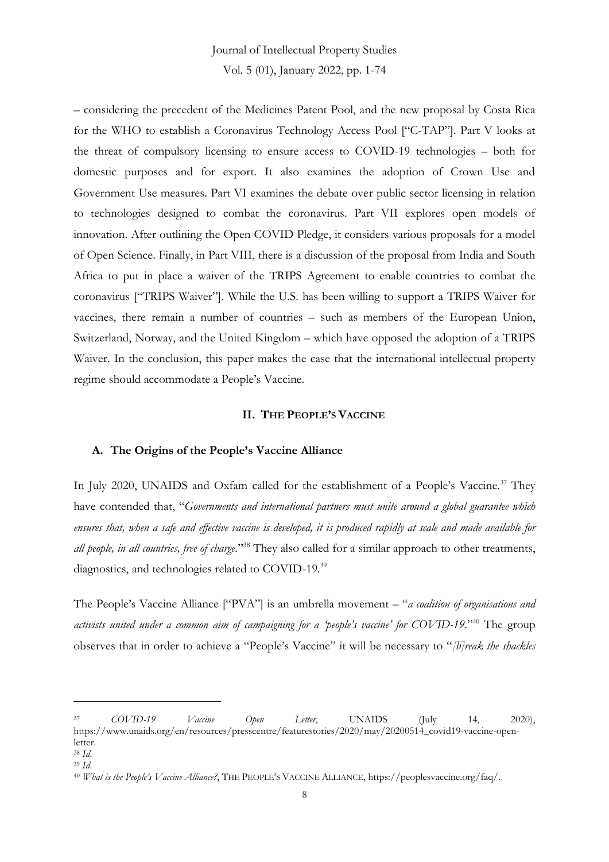– considering the precedent of the Medicines Patent Pool, and the new proposal by Costa Rica for the WHO to establish a Coronavirus Technology Access Pool ["C-TAP"]. Part V looks at the threat of compulsory licensing to ensure access to COVID-19 technologies – both for domestic purposes and for export. It also examines the adoption of Crown Use and Government Use measures. Part VI examines the debate over public sector licensing in relation to technologies designed to combat the coronavirus. Part VII explores open models of innovation. After outlining the Open COVID Pledge, it considers various proposals for a model of Open Science. Finally, in Part VIII, there is a discussion of the proposal from India and South Africa to put in place a waiver of the TRIPS Agreement to enable countries to combat the coronavirus ["TRIPS Waiver"]. While the U.S. has been willing to support a TRIPS Waiver for vaccines, there remain a number of countries – such as members of the European Union, Switzerland, Norway, and the United Kingdom – which have opposed the adoption of a TRIPS Waiver. In the conclusion, this paper makes the case that the international intellectual property regime should accommodate a People's Vaccine.

### **II. THE PEOPLE'S VACCINE**

#### **A. The Origins of the People's Vaccine Alliance**

In July 2020, UNAIDS and Oxfam called for the establishment of a People's Vaccine.<sup>37</sup> They have contended that, "*Governments and international partners must unite around a global guarantee which ensures that, when a safe and effective vaccine is developed, it is produced rapidly at scale and made available for all people, in all countries, free of charge.*" <sup>38</sup> They also called for a similar approach to other treatments, diagnostics, and technologies related to COVID-19.<sup>39</sup>

The People's Vaccine Alliance ["PVA"] is an umbrella movement – "*a coalition of organisations and activists united under a common aim of campaigning for a 'people's vaccine' for COVID-19*." <sup>40</sup> The group observes that in order to achieve a "People's Vaccine" it will be necessary to "*[b]reak the shackles* 

<sup>37</sup> *COVID-19 Vaccine Open Letter*, UNAIDS (July 14, 2020), https://www.unaids.org/en/resources/presscentre/featurestories/2020/may/20200514\_covid19-vaccine-openletter.

<sup>38</sup> *Id*. <sup>39</sup> *Id*.

<sup>40</sup> *What is the People's Vaccine Alliance?*, THE PEOPLE'S VACCINE ALLIANCE, https://peoplesvaccine.org/faq/.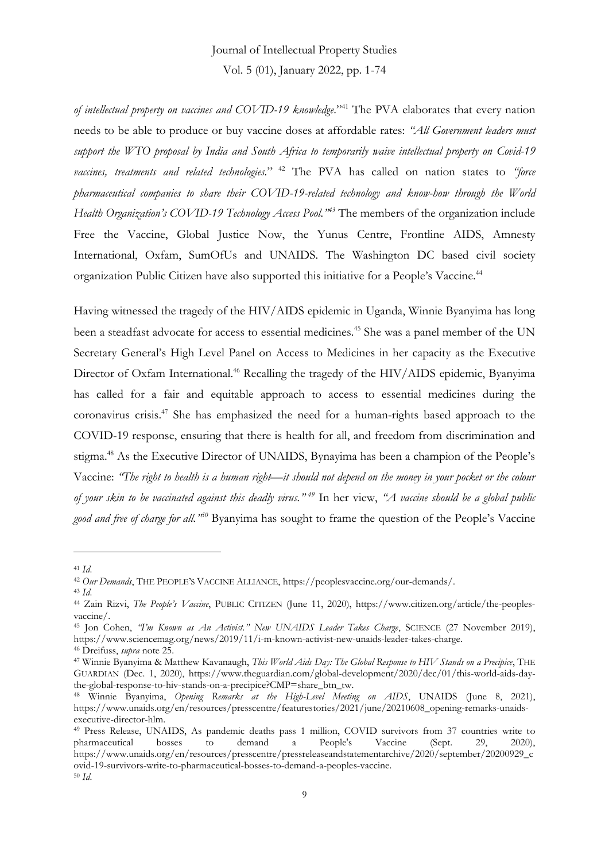*of intellectual property on vaccines and COVID-19 knowledge*." <sup>41</sup> The PVA elaborates that every nation needs to be able to produce or buy vaccine doses at affordable rates: *"All Government leaders must support the WTO proposal by India and South Africa to temporarily waive intellectual property on Covid-19 vaccines, treatments and related technologies.*" <sup>42</sup> The PVA has called on nation states to *"force pharmaceutical companies to share their COVID-19-related technology and know-how through the World Health Organization's COVID-19 Technology Access Pool."<sup>43</sup>* The members of the organization include Free the Vaccine, Global Justice Now, the Yunus Centre, Frontline AIDS, Amnesty International, Oxfam, SumOfUs and UNAIDS. The Washington DC based civil society organization Public Citizen have also supported this initiative for a People's Vaccine.<sup>44</sup>

Having witnessed the tragedy of the HIV/AIDS epidemic in Uganda, Winnie Byanyima has long been a steadfast advocate for access to essential medicines.<sup>45</sup> She was a panel member of the UN Secretary General's High Level Panel on Access to Medicines in her capacity as the Executive Director of Oxfam International.<sup>46</sup> Recalling the tragedy of the HIV/AIDS epidemic, Byanyima has called for a fair and equitable approach to access to essential medicines during the coronavirus crisis.<sup>47</sup> She has emphasized the need for a human-rights based approach to the COVID-19 response, ensuring that there is health for all, and freedom from discrimination and stigma.<sup>48</sup> As the Executive Director of UNAIDS, Bynayima has been a champion of the People's Vaccine: *"The right to health is a human right—it should not depend on the money in your pocket or the colour of your skin to be vaccinated against this deadly virus." <sup>49</sup>* In her view, *"A vaccine should be a global public good and free of charge for all." <sup>50</sup>* Byanyima has sought to frame the question of the People's Vaccine

<sup>41</sup> *Id*.

<sup>42</sup> *Our Demands*, THE PEOPLE'S VACCINE ALLIANCE, https://peoplesvaccine.org/our-demands/.

<sup>43</sup> *Id*.

<sup>44</sup> Zain Rizvi, *The People's Vaccine*, PUBLIC CITIZEN (June 11, 2020), https://www.citizen.org/article/the-peoplesvaccine/.

<sup>45</sup> Jon Cohen, *"I'm Known as An Activist." New UNAIDS Leader Takes Charge*, SCIENCE (27 November 2019), https://www.sciencemag.org/news/2019/11/i-m-known-activist-new-unaids-leader-takes-charge.

<sup>46</sup> Dreifuss, *supra* note 25.

<sup>47</sup> Winnie Byanyima & Matthew Kavanaugh, *This World Aids Day: The Global Response to HIV Stands on a Precipice*, THE GUARDIAN (Dec. 1, 2020), https://www.theguardian.com/global-development/2020/dec/01/this-world-aids-daythe-global-response-to-hiv-stands-on-a-precipice?CMP=share\_btn\_tw.

<sup>48</sup> Winnie Byanyima, *Opening Remarks at the High-Level Meeting on AIDS*, UNAIDS (June 8, 2021), https://www.unaids.org/en/resources/presscentre/featurestories/2021/june/20210608\_opening-remarks-unaidsexecutive-director-hlm.

<sup>49</sup> Press Release, UNAIDS, As pandemic deaths pass 1 million, COVID survivors from 37 countries write to pharmaceutical bosses to demand a People's Vaccine (Sept. 29, 2020), https://www.unaids.org/en/resources/presscentre/pressreleaseandstatementarchive/2020/september/20200929\_c ovid-19-survivors-write-to-pharmaceutical-bosses-to-demand-a-peoples-vaccine. <sup>50</sup> *Id*.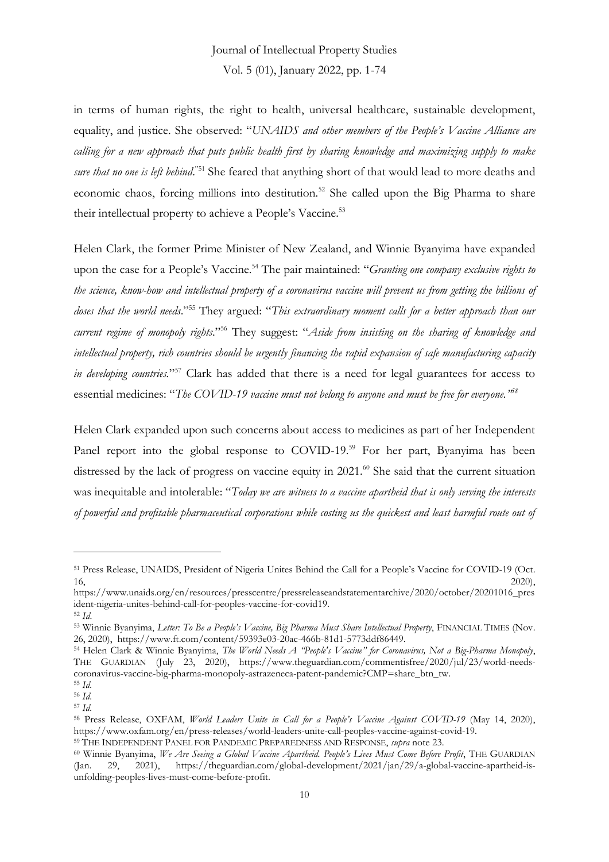in terms of human rights, the right to health, universal healthcare, sustainable development, equality, and justice. She observed: "*UNAIDS and other members of the People's Vaccine Alliance are calling for a new approach that puts public health first by sharing knowledge and maximizing supply to make*  sure that no one is left behind.<sup>"51</sup> She feared that anything short of that would lead to more deaths and economic chaos, forcing millions into destitution.<sup>52</sup> She called upon the Big Pharma to share their intellectual property to achieve a People's Vaccine.<sup>53</sup>

Helen Clark, the former Prime Minister of New Zealand, and Winnie Byanyima have expanded upon the case for a People's Vaccine.<sup>54</sup> The pair maintained: "*Granting one company exclusive rights to the science, know-how and intellectual property of a coronavirus vaccine will prevent us from getting the billions of doses that the world needs*." <sup>55</sup> They argued: "*This extraordinary moment calls for a better approach than our current regime of monopoly rights*." <sup>56</sup> They suggest: "*Aside from insisting on the sharing of knowledge and intellectual property, rich countries should be urgently financing the rapid expansion of safe manufacturing capacity in developing countries.*" <sup>57</sup> Clark has added that there is a need for legal guarantees for access to essential medicines: "*The COVID-19 vaccine must not belong to anyone and must be free for everyone." 58*

Helen Clark expanded upon such concerns about access to medicines as part of her Independent Panel report into the global response to COVID-19.<sup>59</sup> For her part, Byanyima has been distressed by the lack of progress on vaccine equity in 2021.<sup>60</sup> She said that the current situation was inequitable and intolerable: "*Today we are witness to a vaccine apartheid that is only serving the interests of powerful and profitable pharmaceutical corporations while costing us the quickest and least harmful route out of*

<sup>51</sup> Press Release, UNAIDS, President of Nigeria Unites Behind the Call for a People's Vaccine for COVID-19 (Oct.  $16,$  2020),

https://www.unaids.org/en/resources/presscentre/pressreleaseandstatementarchive/2020/october/20201016\_pres ident-nigeria-unites-behind-call-for-peoples-vaccine-for-covid19.

<sup>52</sup> *Id*.

<sup>53</sup> Winnie Byanyima, *Letter: To Be a People's Vaccine, Big Pharma Must Share Intellectual Property*, FINANCIAL TIMES (Nov. 26, 2020), https://www.ft.com/content/59393e03-20ac-466b-81d1-5773ddf86449.

<sup>54</sup> Helen Clark & Winnie Byanyima, *The World Needs A "People's Vaccine" for Coronavirus, Not a Big-Pharma Monopoly*, THE GUARDIAN (July 23, 2020), https://www.theguardian.com/commentisfree/2020/jul/23/world-needscoronavirus-vaccine-big-pharma-monopoly-astrazeneca-patent-pandemic?CMP=share\_btn\_tw.

<sup>55</sup> *Id.*

<sup>56</sup> *Id.*

<sup>57</sup> *Id.*

<sup>58</sup> Press Release, OXFAM, *World Leaders Unite in Call for a People's Vaccine Against COVID-19* (May 14, 2020), https://www.oxfam.org/en/press-releases/world-leaders-unite-call-peoples-vaccine-against-covid-19.

<sup>59</sup> THE INDEPENDENT PANEL FOR PANDEMIC PREPAREDNESS AND RESPONSE, *supra* note 23.

<sup>60</sup> Winnie Byanyima, *We Are Seeing a Global Vaccine Apartheid. People's Lives Must Come Before Profit*, THE GUARDIAN 29, 2021), https://theguardian.com/global-development/2021/jan/29/a-global-vaccine-apartheid-isunfolding-peoples-lives-must-come-before-profit.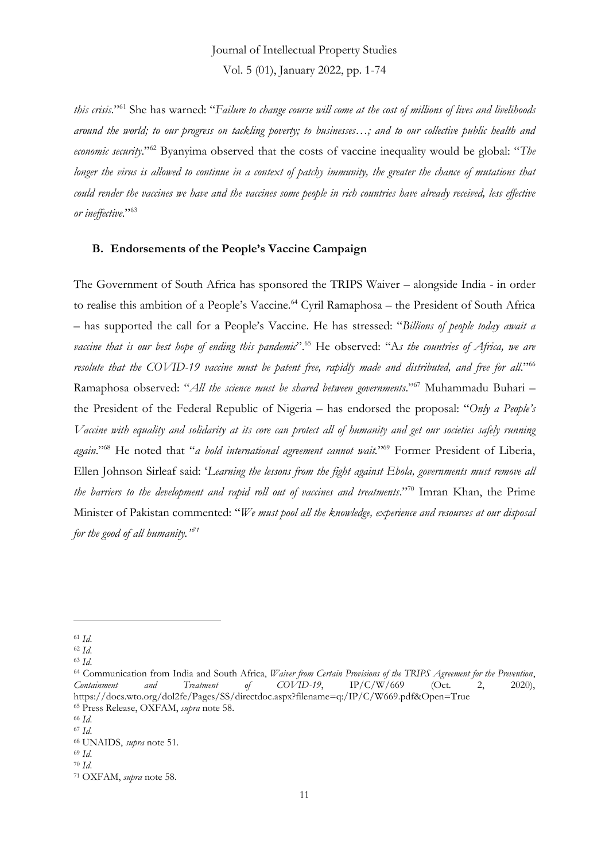Vol. 5 (01), January 2022, pp. 1-74

*this crisis*." <sup>61</sup> She has warned: "*Failure to change course will come at the cost of millions of lives and livelihoods around the world; to our progress on tackling poverty; to businesses…; and to our collective public health and economic security*." <sup>62</sup> Byanyima observed that the costs of vaccine inequality would be global: "*The longer the virus is allowed to continue in a context of patchy immunity, the greater the chance of mutations that could render the vaccines we have and the vaccines some people in rich countries have already received, less effective or ineffective*." 63

### **B. Endorsements of the People's Vaccine Campaign**

The Government of South Africa has sponsored the TRIPS Waiver – alongside India - in order to realise this ambition of a People's Vaccine.<sup>64</sup> Cyril Ramaphosa – the President of South Africa – has supported the call for a People's Vaccine. He has stressed: "*Billions of people today await a vaccine that is our best hope of ending this pandemic*". <sup>65</sup> He observed: "A*s the countries of Africa, we are resolute that the COVID-19 vaccine must be patent free, rapidly made and distributed, and free for all*." 66 Ramaphosa observed: "*All the science must be shared between governments*." <sup>67</sup> Muhammadu Buhari – the President of the Federal Republic of Nigeria – has endorsed the proposal: "*Only a People's Vaccine with equality and solidarity at its core can protect all of humanity and get our societies safely running again*." <sup>68</sup> He noted that "*a bold international agreement cannot wait.*" <sup>69</sup> Former President of Liberia, Ellen Johnson Sirleaf said: '*Learning the lessons from the fight against Ebola, governments must remove all the barriers to the development and rapid roll out of vaccines and treatments*." <sup>70</sup> Imran Khan, the Prime Minister of Pakistan commented: "*We must pool all the knowledge, experience and resources at our disposal for the good of all humanity." 71*

<sup>61</sup> *Id*.

<sup>62</sup> *Id*.

<sup>63</sup> *Id*.

<sup>64</sup> Communication from India and South Africa, *Waiver from Certain Provisions of the TRIPS Agreement for the Prevention*, *Containment and Treatment of COVID-19*, IP/C/W/669 (Oct. 2, 2020), https://docs.wto.org/dol2fe/Pages/SS/directdoc.aspx?filename=q:/IP/C/W669.pdf&Open=True <sup>65</sup> Press Release, OXFAM, *supra* note 58.

<sup>66</sup> *Id*.

<sup>67</sup> *Id*.

<sup>68</sup> UNAIDS, *supra* note 51.

<sup>69</sup> *Id*.

<sup>70</sup> *Id*.

<sup>71</sup> OXFAM, *supra* note 58.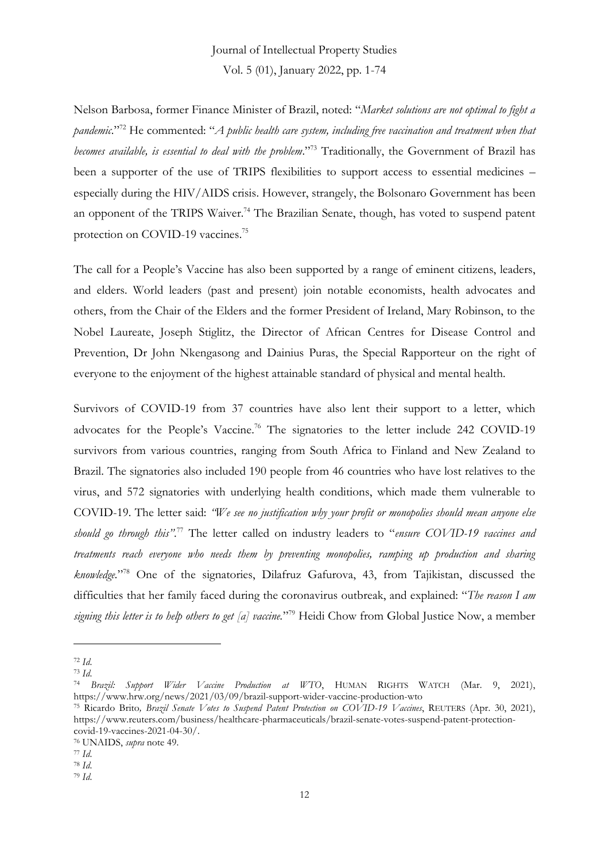Nelson Barbosa, former Finance Minister of Brazil, noted: "*Market solutions are not optimal to fight a pandemic*." <sup>72</sup> He commented: "*A public health care system, including free vaccination and treatment when that becomes available, is essential to deal with the problem*." <sup>73</sup> Traditionally, the Government of Brazil has been a supporter of the use of TRIPS flexibilities to support access to essential medicines – especially during the HIV/AIDS crisis. However, strangely, the Bolsonaro Government has been an opponent of the TRIPS Waiver.<sup>74</sup> The Brazilian Senate, though, has voted to suspend patent protection on COVID-19 vaccines.<sup>75</sup>

The call for a People's Vaccine has also been supported by a range of eminent citizens, leaders, and elders. World leaders (past and present) join notable economists, health advocates and others, from the Chair of the Elders and the former President of Ireland, Mary Robinson, to the Nobel Laureate, Joseph Stiglitz, the Director of African Centres for Disease Control and Prevention, Dr John Nkengasong and Dainius Puras, the Special Rapporteur on the right of everyone to the enjoyment of the highest attainable standard of physical and mental health.

Survivors of COVID-19 from 37 countries have also lent their support to a letter, which advocates for the People's Vaccine.<sup>76</sup> The signatories to the letter include 242 COVID-19 survivors from various countries, ranging from South Africa to Finland and New Zealand to Brazil. The signatories also included 190 people from 46 countries who have lost relatives to the virus, and 572 signatories with underlying health conditions, which made them vulnerable to COVID-19. The letter said: *"We see no justification why your profit or monopolies should mean anyone else should go through this"*. <sup>77</sup> The letter called on industry leaders to "*ensure COVID-19 vaccines and treatments reach everyone who needs them by preventing monopolies, ramping up production and sharing knowledge.*" <sup>78</sup> One of the signatories, Dilafruz Gafurova, 43, from Tajikistan, discussed the difficulties that her family faced during the coronavirus outbreak, and explained: "*The reason I am signing this letter is to help others to get [a] vaccine.*" <sup>79</sup> Heidi Chow from Global Justice Now, a member

<sup>72</sup> *Id*.

<sup>73</sup> *Id*.

<sup>74</sup> *Brazil: Support Wider Vaccine Production at WTO*, HUMAN RIGHTS WATCH (Mar. 9, 2021), https://www.hrw.org/news/2021/03/09/brazil-support-wider-vaccine-production-wto

<sup>75</sup> Ricardo Brito*, Brazil Senate Votes to Suspend Patent Protection on COVID-19 Vaccines*, REUTERS (Apr. 30, 2021), https://www.reuters.com/business/healthcare-pharmaceuticals/brazil-senate-votes-suspend-patent-protectioncovid-19-vaccines-2021-04-30/.

<sup>76</sup> UNAIDS, *supra* note 49.

<sup>77</sup> *Id*.

<sup>78</sup> *Id*.

<sup>79</sup> *Id*.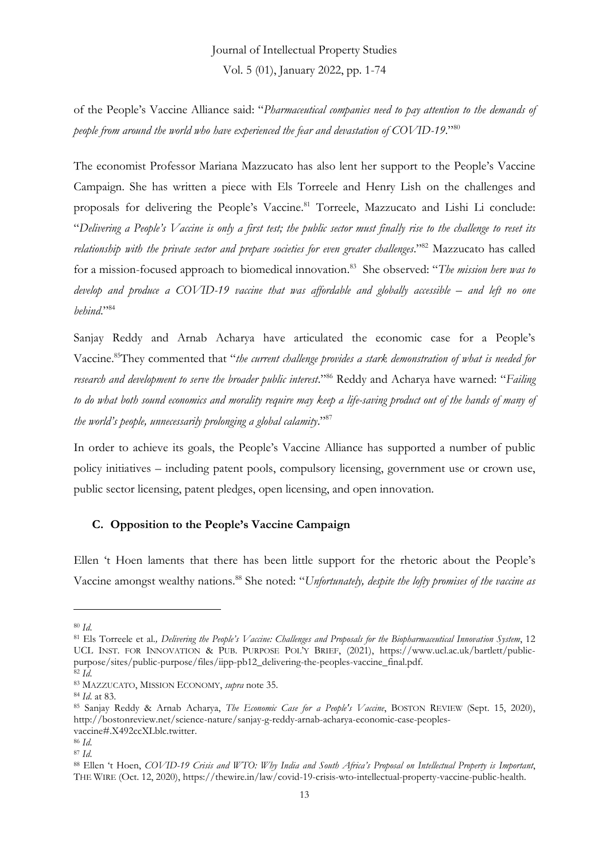of the People's Vaccine Alliance said: "*Pharmaceutical companies need to pay attention to the demands of people from around the world who have experienced the fear and devastation of COVID-19*." 80

The economist Professor Mariana Mazzucato has also lent her support to the People's Vaccine Campaign. She has written a piece with Els Torreele and Henry Lish on the challenges and proposals for delivering the People's Vaccine.<sup>81</sup> Torreele, Mazzucato and Lishi Li conclude: "*Delivering a People's Vaccine is only a first test; the public sector must finally rise to the challenge to reset its relationship with the private sector and prepare societies for even greater challenges*." <sup>82</sup> Mazzucato has called for a mission-focused approach to biomedical innovation. 83 She observed: "*The mission here was to develop and produce a COVID-19 vaccine that was affordable and globally accessible – and left no one behind*." 84

Sanjay Reddy and Arnab Acharya have articulated the economic case for a People's Vaccine.<sup>85</sup>They commented that "*the current challenge provides a stark demonstration of what is needed for research and development to serve the broader public interest*." <sup>86</sup> Reddy and Acharya have warned: "*Failing to do what both sound economics and morality require may keep a life-saving product out of the hands of many of the world's people, unnecessarily prolonging a global calamity*." 87

In order to achieve its goals, the People's Vaccine Alliance has supported a number of public policy initiatives – including patent pools, compulsory licensing, government use or crown use, public sector licensing, patent pledges, open licensing, and open innovation.

### **C. Opposition to the People's Vaccine Campaign**

Ellen 't Hoen laments that there has been little support for the rhetoric about the People's Vaccine amongst wealthy nations.<sup>88</sup> She noted: "*Unfortunately, despite the lofty promises of the vaccine as* 

<sup>80</sup> *Id*.

<sup>81</sup> Els Torreele et al.*, Delivering the People's Vaccine: Challenges and Proposals for the Biopharmaceutical Innovation System*, 12 UCL INST. FOR INNOVATION & PUB. PURPOSE POL'Y BRIEF, (2021), https://www.ucl.ac.uk/bartlett/publicpurpose/sites/public-purpose/files/iipp-pb12\_delivering-the-peoples-vaccine\_final.pdf.  $\overline{82}$   $\overline{Id}$ .

<sup>83</sup> MAZZUCATO, MISSION ECONOMY, *supra* note 35.

<sup>84</sup> *Id*. at 83.

<sup>85</sup> Sanjay Reddy & Arnab Acharya, *The Economic Case for a People's Vaccine*, BOSTON REVIEW (Sept. 15, 2020), http://bostonreview.net/science-nature/sanjay-g-reddy-arnab-acharya-economic-case-peoplesvaccine#.X492ccXLblc.twitter.

<sup>86</sup> *Id*.

<sup>87</sup> *Id*.

<sup>88</sup> Ellen 't Hoen, *COVID-19 Crisis and WTO: Why India and South Africa's Proposal on Intellectual Property is Important*, THE WIRE (Oct. 12, 2020), https://thewire.in/law/covid-19-crisis-wto-intellectual-property-vaccine-public-health.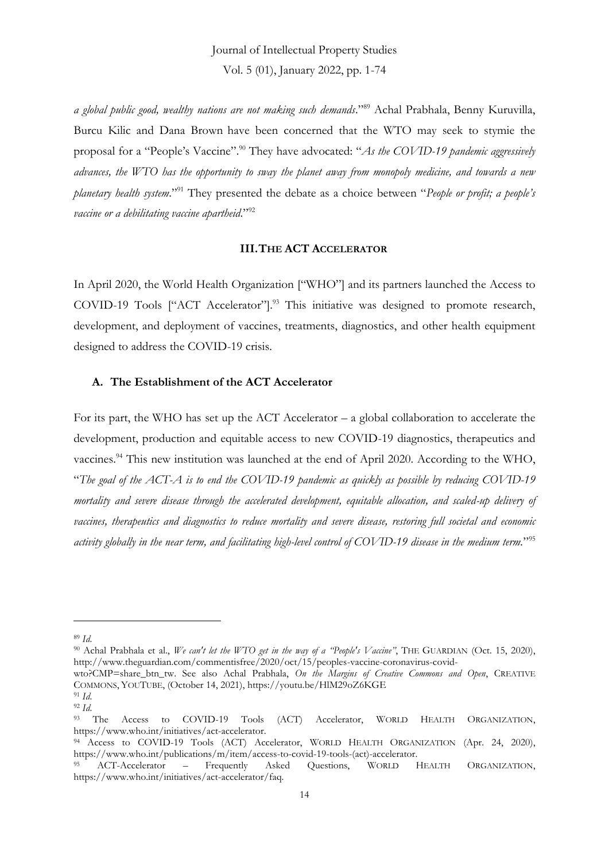*a global public good, wealthy nations are not making such demands*." <sup>89</sup> Achal Prabhala, Benny Kuruvilla, Burcu Kilic and Dana Brown have been concerned that the WTO may seek to stymie the proposal for a "People's Vaccine". <sup>90</sup> They have advocated: "*As the COVID-19 pandemic aggressively advances, the WTO has the opportunity to sway the planet away from monopoly medicine, and towards a new planetary health system*." <sup>91</sup> They presented the debate as a choice between "*People or profit; a people's vaccine or a debilitating vaccine apartheid*." 92

### **III.THE ACT ACCELERATOR**

In April 2020, the World Health Organization ["WHO"] and its partners launched the Access to COVID-19 Tools ["ACT Accelerator"]. <sup>93</sup> This initiative was designed to promote research, development, and deployment of vaccines, treatments, diagnostics, and other health equipment designed to address the COVID-19 crisis.

### **A. The Establishment of the ACT Accelerator**

For its part, the WHO has set up the ACT Accelerator – a global collaboration to accelerate the development, production and equitable access to new COVID-19 diagnostics, therapeutics and vaccines.<sup>94</sup> This new institution was launched at the end of April 2020. According to the WHO, "*The goal of the ACT-A is to end the COVID-19 pandemic as quickly as possible by reducing COVID-19 mortality and severe disease through the accelerated development, equitable allocation, and scaled-up delivery of vaccines, therapeutics and diagnostics to reduce mortality and severe disease, restoring full societal and economic activity globally in the near term, and facilitating high-level control of COVID-19 disease in the medium term.*" 95

<sup>89</sup> *Id*.

<sup>90</sup> Achal Prabhala et al., *We can't let the WTO get in the way of a "People's Vaccine"*, THE GUARDIAN (Oct. 15, 2020), http://www.theguardian.com/commentisfree/2020/oct/15/peoples-vaccine-coronavirus-covid-

wto?CMP=share\_btn\_tw. See also Achal Prabhala, *On the Margins of Creative Commons and Open*, CREATIVE COMMONS, YOUTUBE, (October 14, 2021), https://youtu.be/HlM29oZ6KGE

<sup>91</sup> *Id*.

<sup>92</sup> *Id*. Access to COVID-19 Tools (ACT) Accelerator, WORLD HEALTH ORGANIZATION, https://www.who.int/initiatives/act-accelerator.

<sup>&</sup>lt;sup>94</sup> Access to COVID-19 Tools (ACT) Accelerator, WORLD HEALTH ORGANIZATION (Apr. 24, 2020), https://www.who.int/publications/m/item/access-to-covid-19-tools-(act)-accelerator.

<sup>95</sup> ACT-Accelerator – Frequently Asked Questions, WORLD HEALTH ORGANIZATION, https://www.who.int/initiatives/act-accelerator/faq.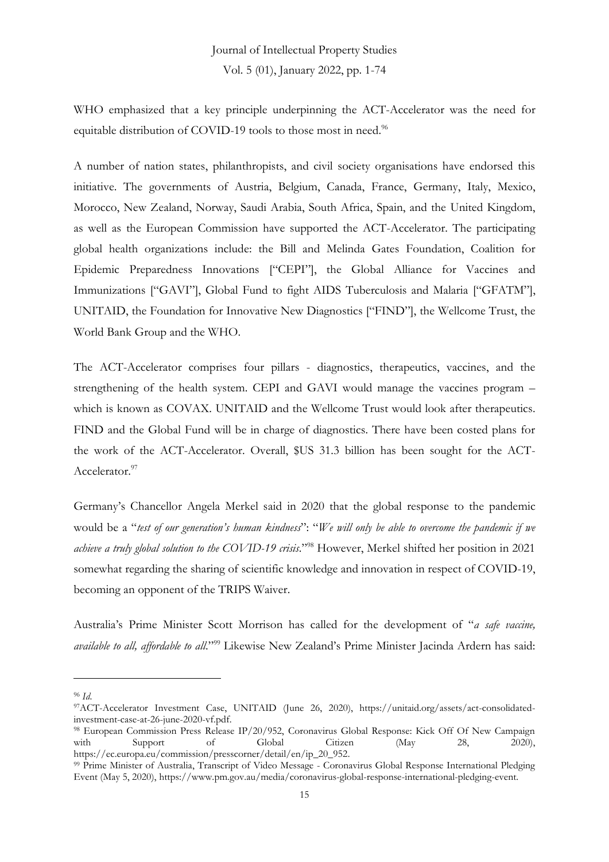WHO emphasized that a key principle underpinning the ACT-Accelerator was the need for equitable distribution of COVID-19 tools to those most in need.<sup>96</sup>

A number of nation states, philanthropists, and civil society organisations have endorsed this initiative. The governments of Austria, Belgium, Canada, France, Germany, Italy, Mexico, Morocco, New Zealand, Norway, Saudi Arabia, South Africa, Spain, and the United Kingdom, as well as the European Commission have supported the ACT-Accelerator. The participating global health organizations include: the Bill and Melinda Gates Foundation, Coalition for Epidemic Preparedness Innovations ["CEPI"], the Global Alliance for Vaccines and Immunizations ["GAVI"], Global Fund to fight AIDS Tuberculosis and Malaria ["GFATM"], UNITAID, the Foundation for Innovative New Diagnostics ["FIND"], the Wellcome Trust, the World Bank Group and the WHO.

The ACT-Accelerator comprises four pillars - diagnostics, therapeutics, vaccines, and the strengthening of the health system. CEPI and GAVI would manage the vaccines program – which is known as COVAX. UNITAID and the Wellcome Trust would look after therapeutics. FIND and the Global Fund will be in charge of diagnostics. There have been costed plans for the work of the ACT-Accelerator. Overall, \$US 31.3 billion has been sought for the ACT-Accelerator.<sup>97</sup>

Germany's Chancellor Angela Merkel said in 2020 that the global response to the pandemic would be a "*test of our generation's human kindness*": "*We will only be able to overcome the pandemic if we achieve a truly global solution to the COVID-19 crisis*." <sup>98</sup> However, Merkel shifted her position in 2021 somewhat regarding the sharing of scientific knowledge and innovation in respect of COVID-19, becoming an opponent of the TRIPS Waiver.

Australia's Prime Minister Scott Morrison has called for the development of "*a safe vaccine, available to all, affordable to all*." <sup>99</sup> Likewise New Zealand's Prime Minister Jacinda Ardern has said:

<sup>96</sup> *Id*.

<sup>97</sup>ACT-Accelerator Investment Case, UNITAID (June 26, 2020), https://unitaid.org/assets/act-consolidatedinvestment-case-at-26-june-2020-vf.pdf.

<sup>98</sup> European Commission Press Release IP/20/952, Coronavirus Global Response: Kick Off Of New Campaign with Support of Global Citizen (May 28, 2020), https://ec.europa.eu/commission/presscorner/detail/en/ip\_20\_952.

<sup>99</sup> Prime Minister of Australia, Transcript of Video Message - Coronavirus Global Response International Pledging Event (May 5, 2020), https://www.pm.gov.au/media/coronavirus-global-response-international-pledging-event.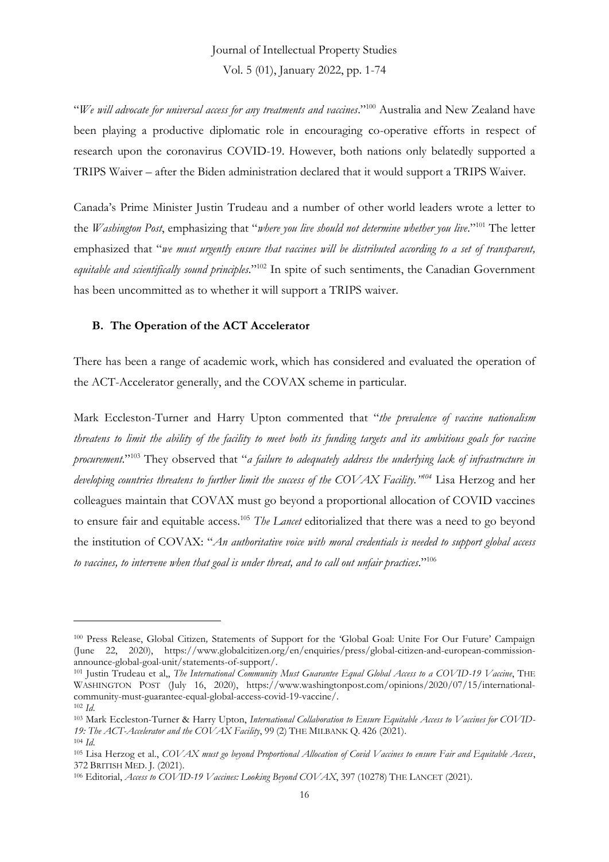"*We will advocate for universal access for any treatments and vaccines*."<sup>100</sup> Australia and New Zealand have been playing a productive diplomatic role in encouraging co-operative efforts in respect of research upon the coronavirus COVID-19. However, both nations only belatedly supported a TRIPS Waiver – after the Biden administration declared that it would support a TRIPS Waiver.

Canada's Prime Minister Justin Trudeau and a number of other world leaders wrote a letter to the *Washington Post*, emphasizing that "*where you live should not determine whether you live*." <sup>101</sup> The letter emphasized that "*we must urgently ensure that vaccines will be distributed according to a set of transparent,*  equitable and *scientifically sound principles*."<sup>102</sup> In spite of such sentiments, the Canadian Government has been uncommitted as to whether it will support a TRIPS waiver.

### **B. The Operation of the ACT Accelerator**

There has been a range of academic work, which has considered and evaluated the operation of the ACT-Accelerator generally, and the COVAX scheme in particular.

Mark Eccleston-Turner and Harry Upton commented that "*the prevalence of vaccine nationalism threatens to limit the ability of the facility to meet both its funding targets and its ambitious goals for vaccine procurement*." <sup>103</sup> They observed that "*a failure to adequately address the underlying lack of infrastructure in developing countries threatens to further limit the success of the COVAX Facility." <sup>104</sup>* Lisa Herzog and her colleagues maintain that COVAX must go beyond a proportional allocation of COVID vaccines to ensure fair and equitable access.<sup>105</sup> *The Lancet* editorialized that there was a need to go beyond the institution of COVAX: "*An authoritative voice with moral credentials is needed to support global access to vaccines, to intervene when that goal is under threat, and to call out unfair practices*." 106

<sup>100</sup> Press Release, Global Citizen*,* Statements of Support for the 'Global Goal: Unite For Our Future' Campaign (June 22, 2020), https://www.globalcitizen.org/en/enquiries/press/global-citizen-and-european-commissionannounce-global-goal-unit/statements-of-support/.

<sup>101</sup> Justin Trudeau et al,, *The International Community Must Guarantee Equal Global Access to a COVID-19 Vaccine*, THE WASHINGTON POST (July 16, 2020), https://www.washingtonpost.com/opinions/2020/07/15/internationalcommunity-must-guarantee-equal-global-access-covid-19-vaccine/.

<sup>102</sup> *Id*.

<sup>103</sup> Mark Eccleston-Turner & Harry Upton, *International Collaboration to Ensure Equitable Access to Vaccines for COVID-19: The ACT-Accelerator and the COVAX Facility*, 99 (2) THE MILBANK Q. 426 (2021). <sup>104</sup> *Id*.

<sup>105</sup> Lisa Herzog et al., *COVAX must go beyond Proportional Allocation of Covid Vaccines to ensure Fair and Equitable Access*, 372 BRITISH MED. J. (2021).

<sup>106</sup> Editorial, *Access to COVID-19 Vaccines: Looking Beyond COVAX*, 397 (10278) THE LANCET (2021).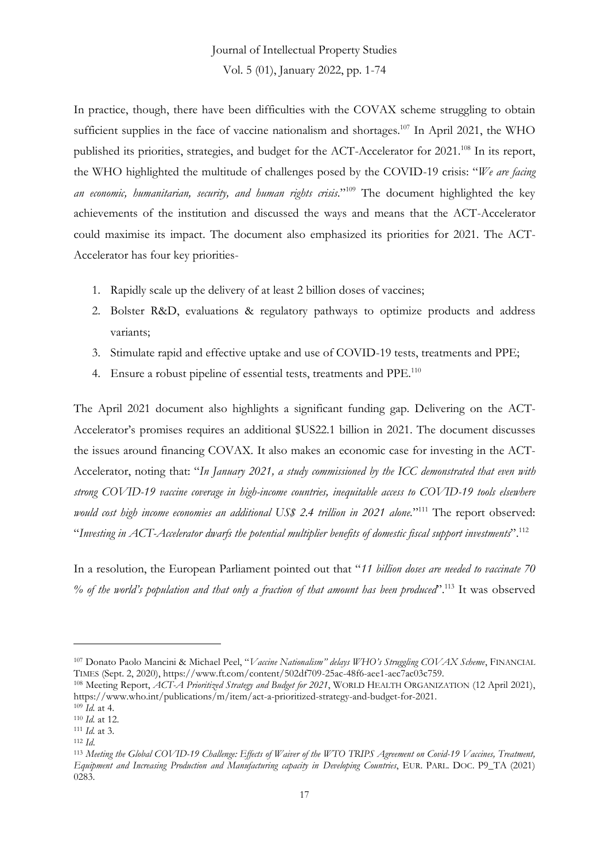In practice, though, there have been difficulties with the COVAX scheme struggling to obtain sufficient supplies in the face of vaccine nationalism and shortages.<sup>107</sup> In April 2021, the WHO published its priorities, strategies, and budget for the ACT-Accelerator for 2021.<sup>108</sup> In its report, the WHO highlighted the multitude of challenges posed by the COVID-19 crisis: "*We are facing an economic, humanitarian, security, and human rights crisis*." <sup>109</sup> The document highlighted the key achievements of the institution and discussed the ways and means that the ACT-Accelerator could maximise its impact. The document also emphasized its priorities for 2021. The ACT-Accelerator has four key priorities-

- 1. Rapidly scale up the delivery of at least 2 billion doses of vaccines;
- 2. Bolster R&D, evaluations & regulatory pathways to optimize products and address variants;
- 3. Stimulate rapid and effective uptake and use of COVID-19 tests, treatments and PPE;
- 4. Ensure a robust pipeline of essential tests, treatments and PPE.<sup>110</sup>

The April 2021 document also highlights a significant funding gap. Delivering on the ACT-Accelerator's promises requires an additional \$US22.1 billion in 2021. The document discusses the issues around financing COVAX. It also makes an economic case for investing in the ACT-Accelerator, noting that: "*In January 2021, a study commissioned by the ICC demonstrated that even with strong COVID-19 vaccine coverage in high-income countries, inequitable access to COVID-19 tools elsewhere*  would cost high income economies an additional US\$ 2.4 trillion in 2021 alone."<sup>111</sup> The report observed: "*Investing in ACT-Accelerator dwarfs the potential multiplier benefits of domestic fiscal support investments*". 112

In a resolution, the European Parliament pointed out that "*11 billion doses are needed to vaccinate 70 % of the world's population and that only a fraction of that amount has been produced*". <sup>113</sup> It was observed

<sup>107</sup> Donato Paolo Mancini & Michael Peel, "*Vaccine Nationalism" delays WHO's Struggling COVAX Scheme*, FINANCIAL TIMES (Sept. 2, 2020), https://www.ft.com/content/502df709-25ac-48f6-aee1-aec7ac03c759.

<sup>108</sup> Meeting Report, *ACT-A Prioritized Strategy and Budget for 2021*, WORLD HEALTH ORGANIZATION (12 April 2021), https://www.who.int/publications/m/item/act-a-prioritized-strategy-and-budget-for-2021.

<sup>109</sup> *Id.* at 4.

<sup>110</sup> *Id.* at 12. <sup>111</sup> *Id.* at 3.

<sup>112</sup> *Id*.

<sup>113</sup> *Meeting the Global COVID-19 Challenge: Effects of Waiver of the WTO TRIPS Agreement on Covid-19 Vaccines, Treatment, Equipment and Increasing Production and Manufacturing capacity in Developing Countries*, EUR. PARL. DOC. P9\_TA (2021) 0283.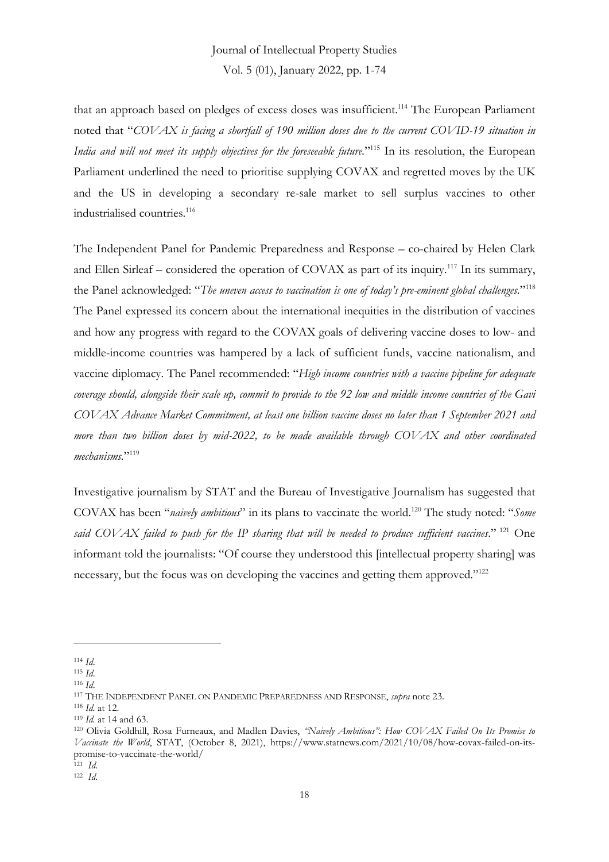that an approach based on pledges of excess doses was insufficient.<sup>114</sup> The European Parliament noted that "*COVAX is facing a shortfall of 190 million doses due to the current COVID-19 situation in India and will not meet its supply objectives for the foreseeable future.*" <sup>115</sup> In its resolution, the European Parliament underlined the need to prioritise supplying COVAX and regretted moves by the UK and the US in developing a secondary re-sale market to sell surplus vaccines to other industrialised countries.<sup>116</sup>

The Independent Panel for Pandemic Preparedness and Response – co-chaired by Helen Clark and Ellen Sirleaf – considered the operation of COVAX as part of its inquiry.<sup>117</sup> In its summary, the Panel acknowledged: "*The uneven access to vaccination is one of today's pre-eminent global challenges*." 118 The Panel expressed its concern about the international inequities in the distribution of vaccines and how any progress with regard to the COVAX goals of delivering vaccine doses to low- and middle-income countries was hampered by a lack of sufficient funds, vaccine nationalism, and vaccine diplomacy. The Panel recommended: "*High income countries with a vaccine pipeline for adequate coverage should, alongside their scale up, commit to provide to the 92 low and middle income countries of the Gavi COVAX Advance Market Commitment, at least one billion vaccine doses no later than 1 September 2021 and more than two billion doses by mid-2022, to be made available through COVAX and other coordinated mechanisms.*" 119

Investigative journalism by STAT and the Bureau of Investigative Journalism has suggested that COVAX has been "*naively ambitious*" in its plans to vaccinate the world.<sup>120</sup> The study noted: "*Some said COVAX failed to push for the IP sharing that will be needed to produce sufficient vaccines*." <sup>121</sup> One informant told the journalists: "Of course they understood this [intellectual property sharing] was necessary, but the focus was on developing the vaccines and getting them approved."<sup>122</sup>

<sup>114</sup> *Id*.

<sup>115</sup> *Id*.

<sup>116</sup> *Id*.

<sup>117</sup> THE INDEPENDENT PANEL ON PANDEMIC PREPAREDNESS AND RESPONSE, *supra* note 23.

<sup>118</sup> *Id.* at 12.

<sup>119</sup> *Id.* at 14 and 63.

<sup>120</sup> Olivia Goldhill, Rosa Furneaux, and Madlen Davies, *"Naively Ambitious": How COVAX Failed On Its Promise to Vaccinate the World*, STAT, (October 8, 2021), https://www.statnews.com/2021/10/08/how-covax-failed-on-itspromise-to-vaccinate-the-world/

<sup>121</sup> *Id*.

<sup>122</sup> *Id*.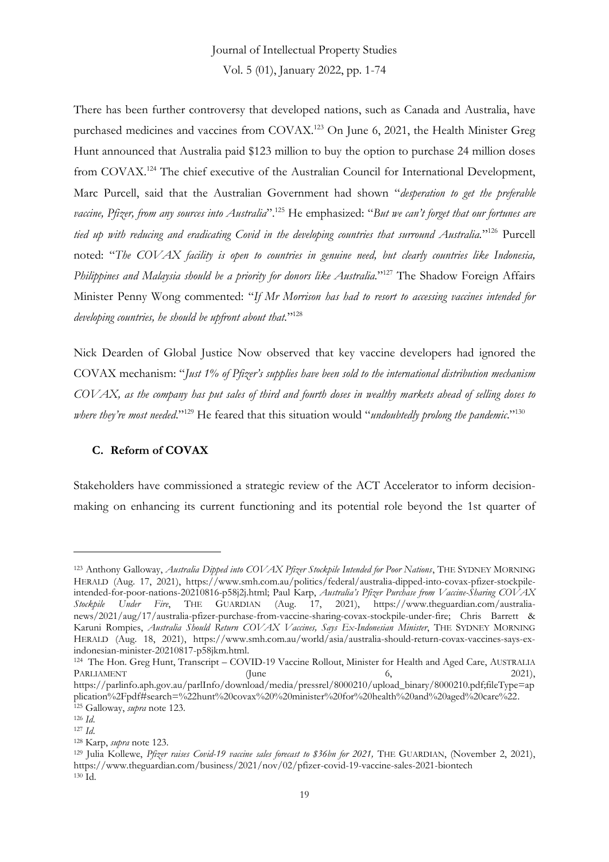There has been further controversy that developed nations, such as Canada and Australia, have purchased medicines and vaccines from COVAX.<sup>123</sup> On June 6, 2021, the Health Minister Greg Hunt announced that Australia paid \$123 million to buy the option to purchase 24 million doses from COVAX.<sup>124</sup> The chief executive of the Australian Council for International Development, Marc Purcell, said that the Australian Government had shown "*desperation to get the preferable vaccine, Pfizer, from any sources into Australia*". <sup>125</sup> He emphasized: "*But we can't forget that our fortunes are tied up with reducing and eradicating Covid in the developing countries that surround Australia.*" <sup>126</sup> Purcell noted: "*The COVAX facility is open to countries in genuine need, but clearly countries like Indonesia, Philippines and Malaysia should be a priority for donors like Australia.*" <sup>127</sup> The Shadow Foreign Affairs Minister Penny Wong commented: "*If Mr Morrison has had to resort to accessing vaccines intended for developing countries, he should be upfront about that.*" 128

Nick Dearden of Global Justice Now observed that key vaccine developers had ignored the COVAX mechanism: "*Just 1% of Pfizer's supplies have been sold to the international distribution mechanism COVAX, as the company has put sales of third and fourth doses in wealthy markets ahead of selling doses to*  where they're most needed."<sup>129</sup> He feared that this situation would "*undoubtedly prolong the pandemic*."<sup>130</sup>

### **C. Reform of COVAX**

Stakeholders have commissioned a strategic review of the ACT Accelerator to inform decisionmaking on enhancing its current functioning and its potential role beyond the 1st quarter of

<sup>123</sup> Anthony Galloway, *Australia Dipped into COVAX Pfizer Stockpile Intended for Poor Nations*, THE SYDNEY MORNING HERALD (Aug. 17, 2021), https://www.smh.com.au/politics/federal/australia-dipped-into-covax-pfizer-stockpileintended-for-poor-nations-20210816-p58j2j.html; Paul Karp, *Australia's Pfizer Purchase from Vaccine-Sharing COVAX Stockpile Under Fire*, THE GUARDIAN (Aug. 17, 2021), https://www.theguardian.com/australianews/2021/aug/17/australia-pfizer-purchase-from-vaccine-sharing-covax-stockpile-under-fire; Chris Barrett & Karuni Rompies, *Australia Should Return COVAX Vaccines, Says Ex-Indonesian Minister*, THE SYDNEY MORNING HERALD (Aug. 18, 2021), https://www.smh.com.au/world/asia/australia-should-return-covax-vaccines-says-exindonesian-minister-20210817-p58jkm.html.

<sup>124</sup> The Hon. Greg Hunt, Transcript – COVID-19 Vaccine Rollout, Minister for Health and Aged Care, AUSTRALIA PARLIAMENT (June 6, 2021), https://parlinfo.aph.gov.au/parlInfo/download/media/pressrel/8000210/upload\_binary/8000210.pdf;fileType=ap plication%2Fpdf#search=%22hunt%20covax%20%20minister%20for%20health%20and%20aged%20care%22. <sup>125</sup> Galloway, *supra* note 123.

<sup>126</sup> *Id*.

<sup>127</sup> *Id*.

<sup>128</sup> Karp, *supra* note 123.

<sup>129</sup> Julia Kollewe, *Pfizer raises Covid-19 vaccine sales forecast to \$36bn for 2021,* THE GUARDIAN, (November 2, 2021), https://www.theguardian.com/business/2021/nov/02/pfizer-covid-19-vaccine-sales-2021-biontech <sup>130</sup> Id.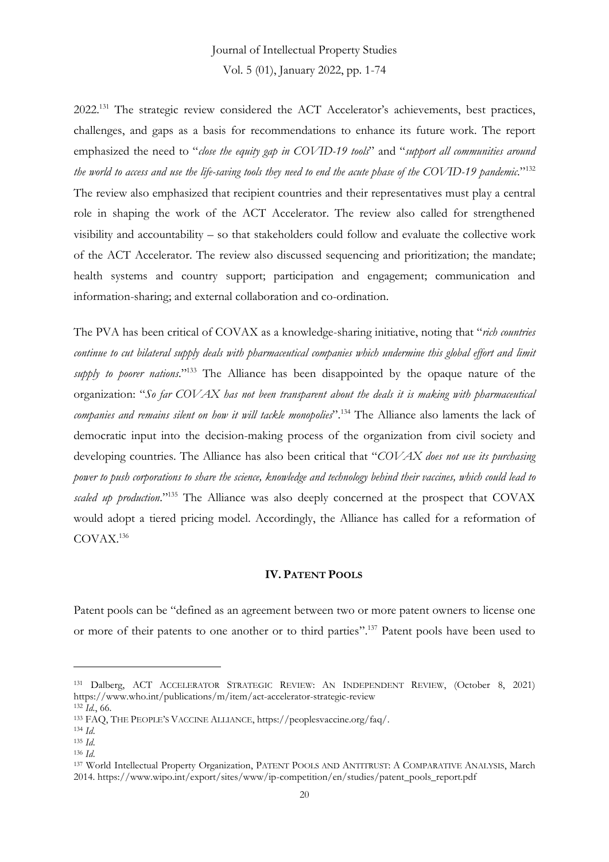Vol. 5 (01), January 2022, pp. 1-74

2022.<sup>131</sup> The strategic review considered the ACT Accelerator's achievements, best practices, challenges, and gaps as a basis for recommendations to enhance its future work. The report emphasized the need to "*close the equity gap in COVID-19 tools*" and "*support all communities around the world to access and use the life-saving tools they need to end the acute phase of the COVID-19 pandemic*." 132 The review also emphasized that recipient countries and their representatives must play a central role in shaping the work of the ACT Accelerator. The review also called for strengthened visibility and accountability – so that stakeholders could follow and evaluate the collective work of the ACT Accelerator. The review also discussed sequencing and prioritization; the mandate; health systems and country support; participation and engagement; communication and information-sharing; and external collaboration and co-ordination.

The PVA has been critical of COVAX as a knowledge-sharing initiative, noting that "*rich countries continue to cut bilateral supply deals with pharmaceutical companies which undermine this global effort and limit supply to poorer nations*." <sup>133</sup> The Alliance has been disappointed by the opaque nature of the organization: "*So far COVAX has not been transparent about the deals it is making with pharmaceutical companies and remains silent on how it will tackle monopolies*". <sup>134</sup> The Alliance also laments the lack of democratic input into the decision-making process of the organization from civil society and developing countries. The Alliance has also been critical that "*COVAX does not use its purchasing power to push corporations to share the science, knowledge and technology behind their vaccines, which could lead to*  scaled up production."<sup>135</sup> The Alliance was also deeply concerned at the prospect that COVAX would adopt a tiered pricing model. Accordingly, the Alliance has called for a reformation of COVAX.<sup>136</sup>

### **IV. PATENT POOLS**

Patent pools can be "defined as an agreement between two or more patent owners to license one or more of their patents to one another or to third parties".<sup>137</sup> Patent pools have been used to

<sup>131</sup> Dalberg, ACT ACCELERATOR STRATEGIC REVIEW: AN INDEPENDENT REVIEW, (October 8, 2021) https://www.who.int/publications/m/item/act-accelerator-strategic-review

<sup>132</sup> *Id.*, 66.

<sup>133</sup> FAQ, THE PEOPLE'S VACCINE ALLIANCE, https://peoplesvaccine.org/faq/.

<sup>134</sup> *Id*.

<sup>135</sup> *Id*.

<sup>136</sup> *Id*.

<sup>137</sup> World Intellectual Property Organization, PATENT POOLS AND ANTITRUST: A COMPARATIVE ANALYSIS, March 2014. https://www.wipo.int/export/sites/www/ip-competition/en/studies/patent\_pools\_report.pdf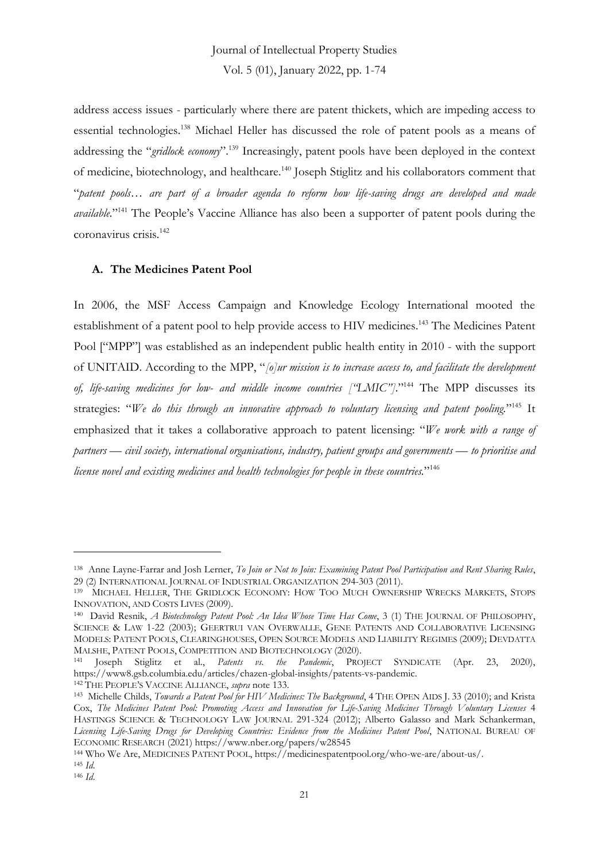address access issues - particularly where there are patent thickets, which are impeding access to essential technologies. <sup>138</sup> Michael Heller has discussed the role of patent pools as a means of addressing the "*gridlock economy*".<sup>139</sup> Increasingly, patent pools have been deployed in the context of medicine, biotechnology, and healthcare.<sup>140</sup> Joseph Stiglitz and his collaborators comment that "*patent pools… are part of a broader agenda to reform how life-saving drugs are developed and made available.*" <sup>141</sup> The People's Vaccine Alliance has also been a supporter of patent pools during the coronavirus crisis.<sup>142</sup>

### **A. The Medicines Patent Pool**

In 2006, the MSF Access Campaign and Knowledge Ecology International mooted the establishment of a patent pool to help provide access to HIV medicines.<sup>143</sup> The Medicines Patent Pool ["MPP"] was established as an independent public health entity in 2010 - with the support of UNITAID. According to the MPP, "*[o]ur mission is to increase access to, and facilitate the development of, life-saving medicines for low- and middle income countries ["LMIC"]*." <sup>144</sup> The MPP discusses its strategies: "*We do this through an innovative approach to voluntary licensing and patent pooling.*" <sup>145</sup> It emphasized that it takes a collaborative approach to patent licensing: "*We work with a range of partners — civil society, international organisations, industry, patient groups and governments — to prioritise and license novel and existing medicines and health technologies for people in these countries.*" 146

<sup>142</sup> THE PEOPLE'S VACCINE ALLIANCE, *supra* note 133.

<sup>138</sup> Anne Layne-Farrar and Josh Lerner, *To Join or Not to Join: Examining Patent Pool Participation and Rent Sharing Rules*, 29 (2) INTERNATIONAL JOURNAL OF INDUSTRIAL ORGANIZATION 294-303 (2011).

<sup>139</sup> MICHAEL HELLER, THE GRIDLOCK ECONOMY: HOW TOO MUCH OWNERSHIP WRECKS MARKETS, STOPS INNOVATION, AND COSTS LIVES (2009).

<sup>140</sup> David Resnik, *A Biotechnology Patent Pool: An Idea Whose Time Has Come*, 3 (1) THE JOURNAL OF PHILOSOPHY, SCIENCE & LAW 1-22 (2003); GEERTRUI VAN OVERWALLE, GENE PATENTS AND COLLABORATIVE LICENSING MODELS: PATENT POOLS, CLEARINGHOUSES, OPEN SOURCE MODELS AND LIABILITY REGIMES (2009); DEVDATTA MALSHE, PATENT POOLS, COMPETITION AND BIOTECHNOLOGY (2020).

<sup>141</sup> Joseph Stiglitz et al., *Patents vs. the Pandemic*, PROJECT SYNDICATE (Apr. 23, 2020), https://www8.gsb.columbia.edu/articles/chazen-global-insights/patents-vs-pandemic.

<sup>143</sup> Michelle Childs, *Towards a Patent Pool for HIV Medicines: The Background*, 4 THE OPEN AIDS J. 33 (2010); and Krista Cox, *The Medicines Patent Pool: Promoting Access and Innovation for Life-Saving Medicines Through Voluntary Licenses* 4 HASTINGS SCIENCE & TECHNOLOGY LAW JOURNAL 291-324 (2012); Alberto Galasso and Mark Schankerman, *Licensing Life-Saving Drugs for Developing Countries: Evidence from the Medicines Patent Pool*, NATIONAL BUREAU OF ECONOMIC RESEARCH (2021) https://www.nber.org/papers/w28545

<sup>144</sup> Who We Are, MEDICINES PATENT POOL, https://medicinespatentpool.org/who-we-are/about-us/.

<sup>145</sup> *Id*.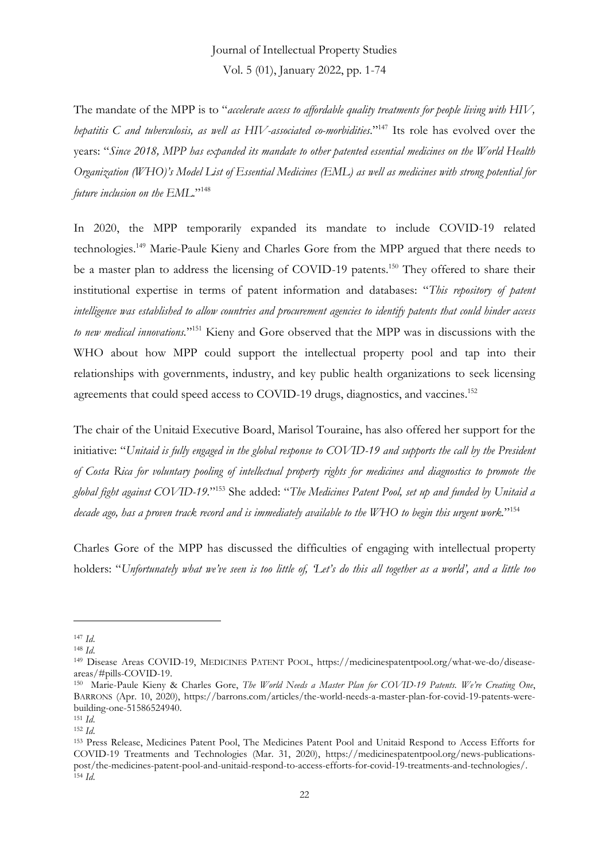The mandate of the MPP is to "*accelerate access to affordable quality treatments for people living with HIV, hepatitis C and tuberculosis, as well as HIV-associated co-morbidities*." <sup>147</sup> Its role has evolved over the years: "*Since 2018, MPP has expanded its mandate to other patented essential medicines on the World Health Organization (WHO)'s Model List of Essential Medicines (EML) as well as medicines with strong potential for future inclusion on the EML*." 148

In 2020, the MPP temporarily expanded its mandate to include COVID-19 related technologies.<sup>149</sup> Marie-Paule Kieny and Charles Gore from the MPP argued that there needs to be a master plan to address the licensing of COVID-19 patents.<sup>150</sup> They offered to share their institutional expertise in terms of patent information and databases: "*This repository of patent intelligence was established to allow countries and procurement agencies to identify patents that could hinder access*  to new medical innovations."<sup>151</sup> Kieny and Gore observed that the MPP was in discussions with the WHO about how MPP could support the intellectual property pool and tap into their relationships with governments, industry, and key public health organizations to seek licensing agreements that could speed access to COVID-19 drugs, diagnostics, and vaccines.<sup>152</sup>

The chair of the Unitaid Executive Board, Marisol Touraine, has also offered her support for the initiative: "*Unitaid is fully engaged in the global response to COVID-19 and supports the call by the President of Costa Rica for voluntary pooling of intellectual property rights for medicines and diagnostics to promote the global fight against COVID-19.*" <sup>153</sup> She added: "*The Medicines Patent Pool, set up and funded by Unitaid a decade ago, has a proven track record and is immediately available to the WHO to begin this urgent work.*" 154

Charles Gore of the MPP has discussed the difficulties of engaging with intellectual property holders: "*Unfortunately what we've seen is too little of, 'Let's do this all together as a world', and a little too* 

<sup>147</sup> *Id*.

<sup>148</sup> *Id*.

<sup>149</sup> Disease Areas COVID-19, MEDICINES PATENT POOL, https://medicinespatentpool.org/what-we-do/diseaseareas/#pills-COVID-19.

<sup>150</sup> Marie-Paule Kieny & Charles Gore, *The World Needs a Master Plan for COVID-19 Patents. We're Creating One*, BARRONS (Apr. 10, 2020), https://barrons.com/articles/the-world-needs-a-master-plan-for-covid-19-patents-werebuilding-one-51586524940.

<sup>151</sup> *Id*.

<sup>152</sup> *Id*.

<sup>153</sup> Press Release, Medicines Patent Pool, The Medicines Patent Pool and Unitaid Respond to Access Efforts for COVID-19 Treatments and Technologies (Mar. 31, 2020), https://medicinespatentpool.org/news-publicationspost/the-medicines-patent-pool-and-unitaid-respond-to-access-efforts-for-covid-19-treatments-and-technologies/. <sup>154</sup> *Id*.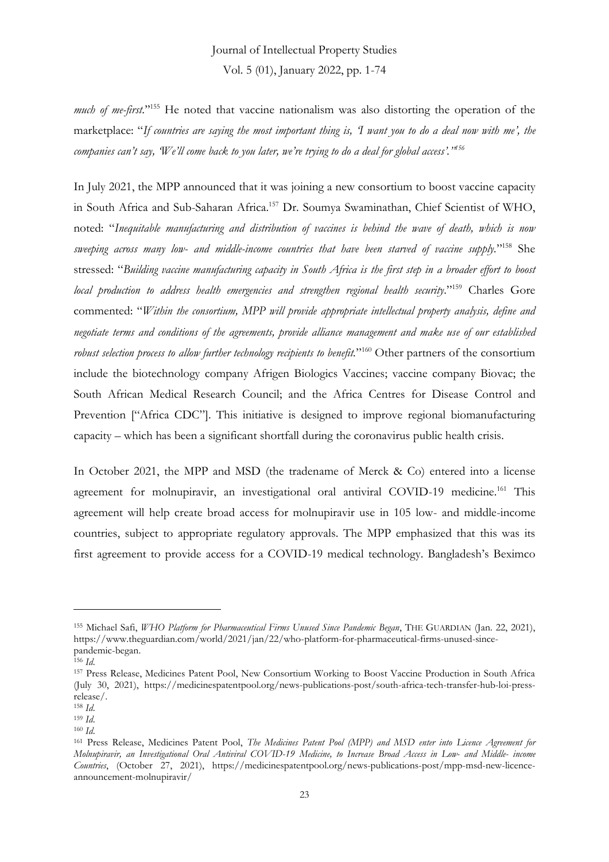much of me-first.<sup>"155</sup> He noted that vaccine nationalism was also distorting the operation of the marketplace: "*If countries are saying the most important thing is, 'I want you to do a deal now with me', the companies can't say, 'We'll come back to you later, we're trying to do a deal for global access'." 156*

In July 2021, the MPP announced that it was joining a new consortium to boost vaccine capacity in South Africa and Sub-Saharan Africa.<sup>157</sup> Dr. Soumya Swaminathan, Chief Scientist of WHO, noted: "*Inequitable manufacturing and distribution of vaccines is behind the wave of death, which is now sweeping across many low- and middle-income countries that have been starved of vaccine supply.*" <sup>158</sup> She stressed: "*Building vaccine manufacturing capacity in South Africa is the first step in a broader effort to boost local production to address health emergencies and strengthen regional health security*." <sup>159</sup> Charles Gore commented: "*Within the consortium, MPP will provide appropriate intellectual property analysis, define and negotiate terms and conditions of the agreements, provide alliance management and make use of our established*  robust selection process to allow further technology recipients to benefit."<sup>160</sup> Other partners of the consortium include the biotechnology company Afrigen Biologics Vaccines; vaccine company Biovac; the South African Medical Research Council; and the Africa Centres for Disease Control and Prevention ["Africa CDC"]. This initiative is designed to improve regional biomanufacturing capacity – which has been a significant shortfall during the coronavirus public health crisis.

In October 2021, the MPP and MSD (the tradename of Merck & Co) entered into a license agreement for molnupiravir, an investigational oral antiviral COVID-19 medicine.<sup>161</sup> This agreement will help create broad access for molnupiravir use in 105 low- and middle-income countries, subject to appropriate regulatory approvals. The MPP emphasized that this was its first agreement to provide access for a COVID-19 medical technology. Bangladesh's Beximco

<sup>155</sup> Michael Safi, *WHO Platform for Pharmaceutical Firms Unused Since Pandemic Began*, THE GUARDIAN (Jan. 22, 2021), https://www.theguardian.com/world/2021/jan/22/who-platform-for-pharmaceutical-firms-unused-sincepandemic-began.

<sup>156</sup> *Id*.

<sup>157</sup> Press Release, Medicines Patent Pool, New Consortium Working to Boost Vaccine Production in South Africa (July 30, 2021), https://medicinespatentpool.org/news-publications-post/south-africa-tech-transfer-hub-loi-pressrelease/.

<sup>158</sup> *Id*.

<sup>159</sup> *Id*.

<sup>160</sup> *Id*.

<sup>161</sup> Press Release, Medicines Patent Pool, *The Medicines Patent Pool (MPP) and MSD enter into Licence Agreement for Molnupiravir, an Investigational Oral Antiviral COVID-19 Medicine, to Increase Broad Access in Low- and Middle- income Countries*, (October 27, 2021), https://medicinespatentpool.org/news-publications-post/mpp-msd-new-licenceannouncement-molnupiravir/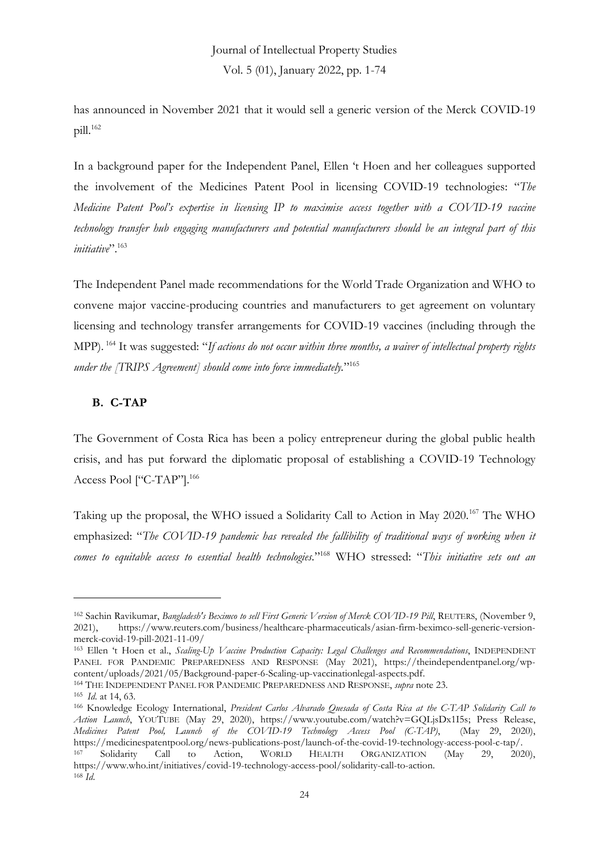has announced in November 2021 that it would sell a generic version of the Merck COVID-19  $pill.<sup>162</sup>$ 

In a background paper for the Independent Panel, Ellen 't Hoen and her colleagues supported the involvement of the Medicines Patent Pool in licensing COVID-19 technologies: "*The Medicine Patent Pool's expertise in licensing IP to maximise access together with a COVID-19 vaccine technology transfer hub engaging manufacturers and potential manufacturers should be an integral part of this initiative*". 163

The Independent Panel made recommendations for the World Trade Organization and WHO to convene major vaccine-producing countries and manufacturers to get agreement on voluntary licensing and technology transfer arrangements for COVID-19 vaccines (including through the MPP). <sup>164</sup> It was suggested: "*If actions do not occur within three months, a waiver of intellectual property rights under the [TRIPS Agreement] should come into force immediately.*" 165

### **B. C-TAP**

The Government of Costa Rica has been a policy entrepreneur during the global public health crisis, and has put forward the diplomatic proposal of establishing a COVID-19 Technology Access Pool ["C-TAP"].<sup>166</sup>

Taking up the proposal, the WHO issued a Solidarity Call to Action in May 2020.<sup>167</sup> The WHO emphasized: "*The COVID-19 pandemic has revealed the fallibility of traditional ways of working when it comes to equitable access to essential health technologies.*" <sup>168</sup> WHO stressed: "*This initiative sets out an* 

<sup>162</sup> Sachin Ravikumar, *Bangladesh's Beximco to sell First Generic Version of Merck COVID-19 Pill*, REUTERS, (November 9, 2021), https://www.reuters.com/business/healthcare-pharmaceuticals/asian-firm-beximco-sell-generic-versionmerck-covid-19-pill-2021-11-09/

<sup>163</sup> Ellen 't Hoen et al., *Scaling-Up Vaccine Production Capacity: Legal Challenges and Recommendations*, INDEPENDENT PANEL FOR PANDEMIC PREPAREDNESS AND RESPONSE (May 2021), https://theindependentpanel.org/wpcontent/uploads/2021/05/Background-paper-6-Scaling-up-vaccinationlegal-aspects.pdf.

<sup>164</sup> THE INDEPENDENT PANEL FOR PANDEMIC PREPAREDNESS AND RESPONSE, *supra* note 23.

<sup>165</sup> *Id*. at 14, 63.

<sup>166</sup> Knowledge Ecology International, *President Carlos Alvarado Quesada of Costa Rica at the C-TAP Solidarity Call to Action Launch*, YOUTUBE (May 29, 2020), https://www.youtube.com/watch?v=GQLjsDx1I5s; Press Release, *Medicines Patent Pool, Launch of the COVID-19 Technology Access Pool (C-TAP)*, (May 29, 2020), https://medicinespatentpool.org/news-publications-post/launch-of-the-covid-19-technology-access-pool-c-tap/. <sup>167</sup> Solidarity Call to Action, WORLD HEALTH ORGANIZATION (May 29, 2020), https://www.who.int/initiatives/covid-19-technology-access-pool/solidarity-call-to-action. <sup>168</sup> *Id*.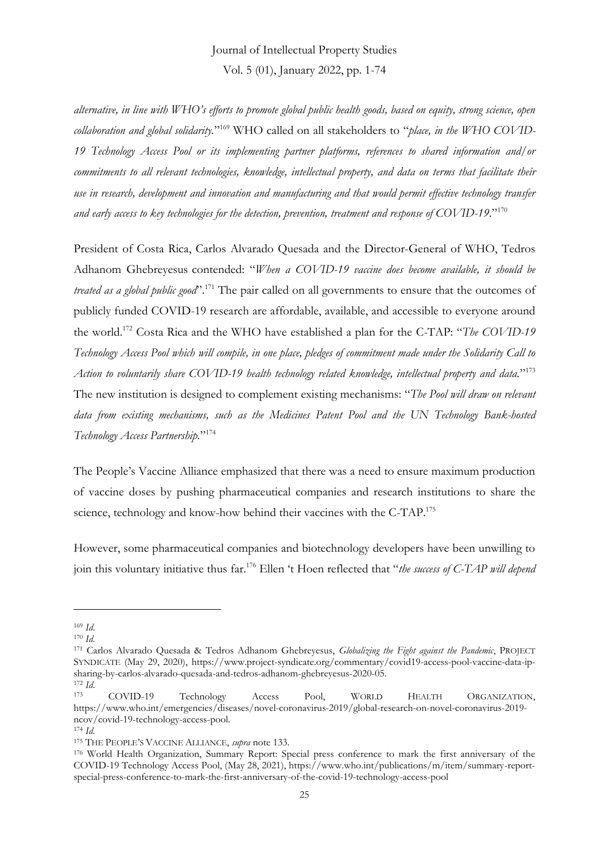*alternative, in line with WHO's efforts to promote global public health goods, based on equity, strong science, open collaboration and global solidarity.*" <sup>169</sup> WHO called on all stakeholders to "*place, in the WHO COVID-19 Technology Access Pool or its implementing partner platforms, references to shared information and/or commitments to all relevant technologies, knowledge, intellectual property, and data on terms that facilitate their use in research, development and innovation and manufacturing and that would permit effective technology transfer and early access to key technologies for the detection, prevention, treatment and response of COVID-19.*" 170

President of Costa Rica, Carlos Alvarado Quesada and the Director-General of WHO, Tedros Adhanom Ghebreyesus contended: "*When a COVID-19 vaccine does become available, it should be treated as a global public good*". <sup>171</sup> The pair called on all governments to ensure that the outcomes of publicly funded COVID-19 research are affordable, available, and accessible to everyone around the world.<sup>172</sup> Costa Rica and the WHO have established a plan for the C-TAP: "*The COVID-19 Technology Access Pool which will compile, in one place, pledges of commitment made under the Solidarity Call to Action to voluntarily share COVID-19 health technology related knowledge, intellectual property and data.*" 173 The new institution is designed to complement existing mechanisms: "*The Pool will draw on relevant data from existing mechanisms, such as the Medicines Patent Pool and the UN Technology Bank-hosted Technology Access Partnership.*" 174

The People's Vaccine Alliance emphasized that there was a need to ensure maximum production of vaccine doses by pushing pharmaceutical companies and research institutions to share the science, technology and know-how behind their vaccines with the C-TAP.<sup>175</sup>

However, some pharmaceutical companies and biotechnology developers have been unwilling to join this voluntary initiative thus far.<sup>176</sup> Ellen 't Hoen reflected that "*the success of C-TAP will depend* 

<sup>169</sup> *Id*.

<sup>170</sup> *Id*.

<sup>171</sup> Carlos Alvarado Quesada & Tedros Adhanom Ghebreyesus, *Globalizing the Fight against the Pandemic*, PROJECT SYNDICATE (May 29, 2020), https://www.project-syndicate.org/commentary/covid19-access-pool-vaccine-data-ipsharing-by-carlos-alvarado-quesada-and-tedros-adhanom-ghebreyesus-2020-05.

<sup>172</sup> *Id*. <sup>173</sup> COVID-19 Technology Access Pool, WORLD HEALTH ORGANIZATION, https://www.who.int/emergencies/diseases/novel-coronavirus-2019/global-research-on-novel-coronavirus-2019 ncov/covid-19-technology-access-pool.

<sup>174</sup> *Id.*

<sup>175</sup> THE PEOPLE'S VACCINE ALLIANCE, *supra* note 133.

<sup>176</sup> World Health Organization, Summary Report: Special press conference to mark the first anniversary of the COVID-19 Technology Access Pool, (May 28, 2021), https://www.who.int/publications/m/item/summary-reportspecial-press-conference-to-mark-the-first-anniversary-of-the-covid-19-technology-access-pool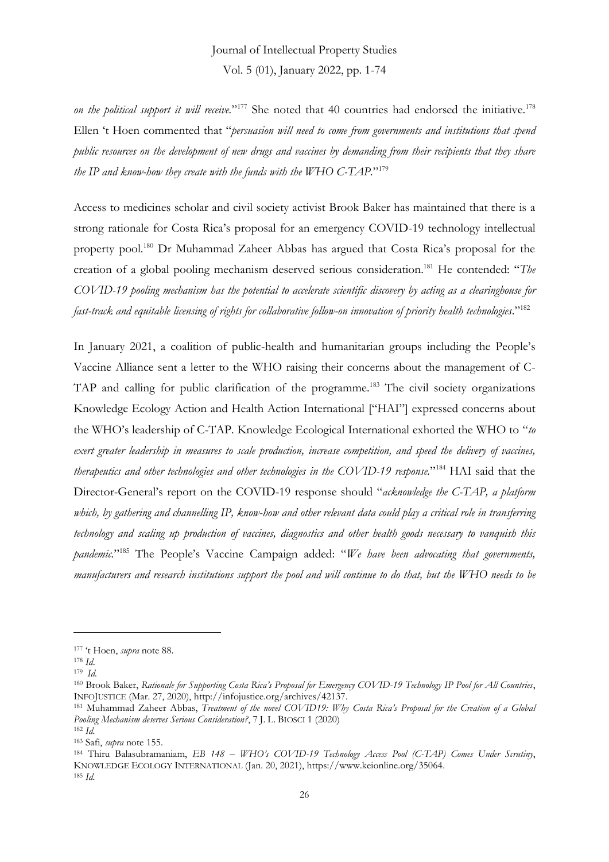*on the political support it will receive.*" <sup>177</sup> She noted that 40 countries had endorsed the initiative.<sup>178</sup> Ellen 't Hoen commented that "*persuasion will need to come from governments and institutions that spend public resources on the development of new drugs and vaccines by demanding from their recipients that they share the IP and know-how they create with the funds with the WHO C-TAP.*" 179

Access to medicines scholar and civil society activist Brook Baker has maintained that there is a strong rationale for Costa Rica's proposal for an emergency COVID-19 technology intellectual property pool.<sup>180</sup> Dr Muhammad Zaheer Abbas has argued that Costa Rica's proposal for the creation of a global pooling mechanism deserved serious consideration.<sup>181</sup> He contended: "*The COVID-19 pooling mechanism has the potential to accelerate scientific discovery by acting as a clearinghouse for fast-track and equitable licensing of rights for collaborative follow-on innovation of priority health technologies*." 182

In January 2021, a coalition of public-health and humanitarian groups including the People's Vaccine Alliance sent a letter to the WHO raising their concerns about the management of C-TAP and calling for public clarification of the programme.<sup>183</sup> The civil society organizations Knowledge Ecology Action and Health Action International ["HAI"] expressed concerns about the WHO's leadership of C-TAP. Knowledge Ecological International exhorted the WHO to "*to exert greater leadership in measures to scale production, increase competition, and speed the delivery of vaccines, therapeutics and other technologies and other technologies in the COVID-19 response.*" <sup>184</sup> HAI said that the Director-General's report on the COVID-19 response should "*acknowledge the C-TAP, a platform which, by gathering and channelling IP, know-how and other relevant data could play a critical role in transferring technology and scaling up production of vaccines, diagnostics and other health goods necessary to vanquish this pandemic.*" <sup>185</sup> The People's Vaccine Campaign added: "*We have been advocating that governments, manufacturers and research institutions support the pool and will continue to do that, but the WHO needs to be*

<sup>177</sup> 't Hoen, *supra* note 88.

<sup>178</sup> *Id*.

<sup>179</sup> *Id.*

<sup>180</sup> Brook Baker, *Rationale for Supporting Costa Rica's Proposal for Emergency COVID-19 Technology IP Pool for All Countries*, INFOJUSTICE (Mar. 27, 2020), http://infojustice.org/archives/42137.

<sup>181</sup> Muhammad Zaheer Abbas, *Treatment of the novel COVID19: Why Costa Rica's Proposal for the Creation of a Global Pooling Mechanism deserves Serious Consideration?*, 7 J. L. BIOSCI 1 (2020)

<sup>182</sup> *Id.*

<sup>183</sup> Safi, *supra* note 155.

<sup>184</sup> Thiru Balasubramaniam, *EB 148 – WHO's COVID-19 Technology Access Pool (C-TAP) Comes Under Scrutiny*, KNOWLEDGE ECOLOGY INTERNATIONAL (Jan. 20, 2021), https://www.keionline.org/35064. <sup>185</sup> *Id.*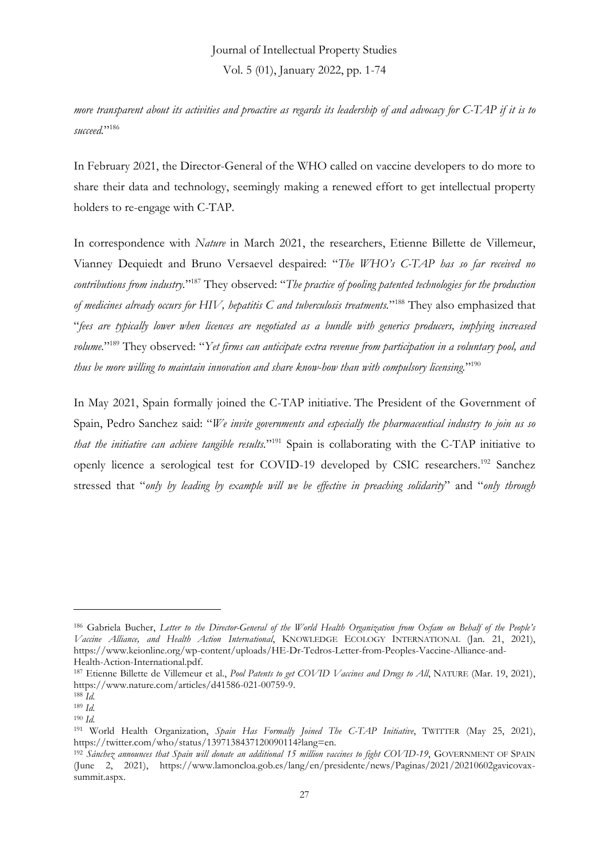*more transparent about its activities and proactive as regards its leadership of and advocacy for C-TAP if it is to succeed.*" 186

In February 2021, the Director-General of the WHO called on vaccine developers to do more to share their data and technology, seemingly making a renewed effort to get intellectual property holders to re-engage with C-TAP.

In correspondence with *Nature* in March 2021, the researchers, Etienne Billette de Villemeur, Vianney Dequiedt and Bruno Versaevel despaired: "*The WHO's C-TAP has so far received no*  contributions from industry."<sup>187</sup> They 0bserved: "The practice of pooling patented technologies for the production *of medicines already occurs for HIV, hepatitis C and tuberculosis treatments.*" <sup>188</sup> They also emphasized that "*fees are typically lower when licences are negotiated as a bundle with generics producers, implying increased volume.*" <sup>189</sup> They observed: "*Yet firms can anticipate extra revenue from participation in a voluntary pool, and thus be more willing to maintain innovation and share know-how than with compulsory licensing.*" 190

In May 2021, Spain formally joined the C-TAP initiative. The President of the Government of Spain, Pedro Sanchez said: "*We invite governments and especially the pharmaceutical industry to join us so that the initiative can achieve tangible results.*" <sup>191</sup> Spain is collaborating with the C-TAP initiative to openly licence a serological test for COVID-19 developed by CSIC researchers.<sup>192</sup> Sanchez stressed that "*only by leading by example will we be effective in preaching solidarity*" and "*only through* 

<sup>186</sup> Gabriela Bucher, *Letter to the Director-General of the World Health Organization from Oxfam on Behalf of the People's Vaccine Alliance, and Health Action International*, KNOWLEDGE ECOLOGY INTERNATIONAL (Jan. 21, 2021), https://www.keionline.org/wp-content/uploads/HE-Dr-Tedros-Letter-from-Peoples-Vaccine-Alliance-and-Health-Action-International.pdf.

<sup>187</sup> Etienne Billette de Villemeur et al., *Pool Patents to get COVID Vaccines and Drugs to All*, NATURE (Mar. 19, 2021), https://www.nature.com/articles/d41586-021-00759-9.

<sup>188</sup> *Id.*

<sup>189</sup> *Id.*

<sup>190</sup> *Id.*

<sup>191</sup> World Health Organization, *Spain Has Formally Joined The C-TAP Initiative*, TWITTER (May 25, 2021), https://twitter.com/who/status/1397138437120090114?lang=en.

<sup>192</sup> *Sánchez announces that Spain will donate an additional 15 million vaccines to fight COVID-19*, GOVERNMENT OF SPAIN (June 2, 2021), https://www.lamoncloa.gob.es/lang/en/presidente/news/Paginas/2021/20210602gavicovaxsummit.aspx.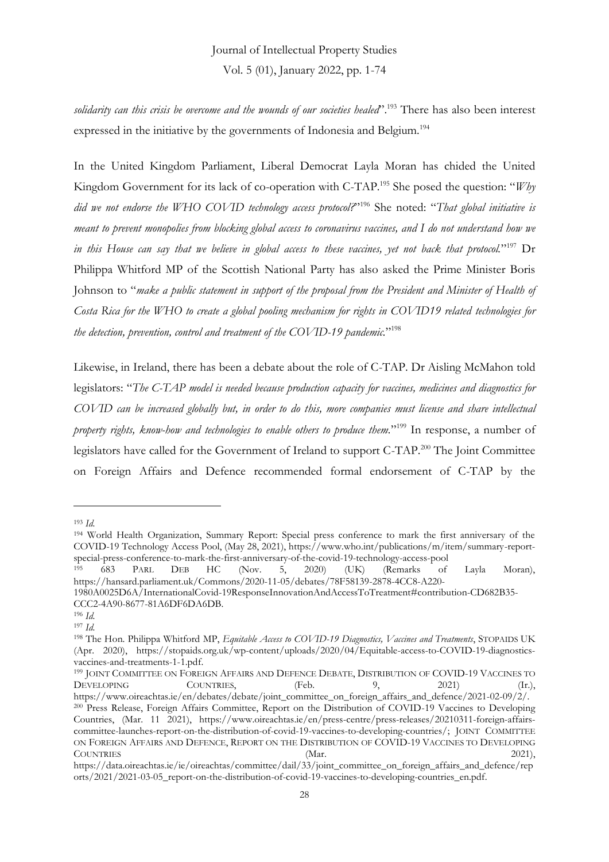*solidarity can this crisis be overcome and the wounds of our societies healed*". <sup>193</sup> There has also been interest expressed in the initiative by the governments of Indonesia and Belgium.<sup>194</sup>

In the United Kingdom Parliament, Liberal Democrat Layla Moran has chided the United Kingdom Government for its lack of co-operation with C-TAP.<sup>195</sup> She posed the question: "*Why did we not endorse the WHO COVID technology access protocol?*" <sup>196</sup> She noted: "*That global initiative is meant to prevent monopolies from blocking global access to coronavirus vaccines, and I do not understand how we in this House can say that we believe in global access to these vaccines, yet not back that protocol.*" <sup>197</sup> Dr Philippa Whitford MP of the Scottish National Party has also asked the Prime Minister Boris Johnson to "*make a public statement in support of the proposal from the President and Minister of Health of Costa Rica for the WHO to create a global pooling mechanism for rights in COVID19 related technologies for the detection, prevention, control and treatment of the COVID-19 pandemic.*" 198

Likewise, in Ireland, there has been a debate about the role of C-TAP. Dr Aisling McMahon told legislators: "*The C-TAP model is needed because production capacity for vaccines, medicines and diagnostics for COVID can be increased globally but, in order to do this, more companies must license and share intellectual property rights, know-how and technologies to enable others to produce them.*" <sup>199</sup> In response, a number of legislators have called for the Government of Ireland to support C-TAP.<sup>200</sup> The Joint Committee on Foreign Affairs and Defence recommended formal endorsement of C-TAP by the

<sup>193</sup> *Id.*

<sup>194</sup> World Health Organization, Summary Report: Special press conference to mark the first anniversary of the COVID-19 Technology Access Pool, (May 28, 2021), https://www.who.int/publications/m/item/summary-reportspecial-press-conference-to-mark-the-first-anniversary-of-the-covid-19-technology-access-pool<br><sup>195</sup> 683 PARL DEB HC (Nov. 5, 2020) (UK) (Remarks of

<sup>195</sup> 683 PARL DEB HC (Nov. 5, 2020) (UK) (Remarks of Layla Moran), https://hansard.parliament.uk/Commons/2020-11-05/debates/78F58139-2878-4CC8-A220-

<sup>1980</sup>A0025D6A/InternationalCovid-19ResponseInnovationAndAccessToTreatment#contribution-CD682B35- CCC2-4A90-8677-81A6DF6DA6DB.

<sup>196</sup> *Id.*

<sup>197</sup> *Id.*

<sup>198</sup> The Hon. Philippa Whitford MP, *Equitable Access to COVID-19 Diagnostics, Vaccines and Treatments*, STOPAIDS UK (Apr. 2020), https://stopaids.org.uk/wp-content/uploads/2020/04/Equitable-access-to-COVID-19-diagnosticsvaccines-and-treatments-1-1.pdf.

<sup>199</sup> JOINT COMMITTEE ON FOREIGN AFFAIRS AND DEFENCE DEBATE, DISTRIBUTION OF COVID-19 VACCINES TO DEVELOPING COUNTRIES, (Feb. 9, 2021) (Ir.), https://www.oireachtas.ie/en/debates/debate/joint\_committee\_on\_foreign\_affairs\_and\_defence/2021-02-09/2/.

<sup>200</sup> Press Release, Foreign Affairs Committee, Report on the Distribution of COVID-19 Vaccines to Developing Countries, (Mar. 11 2021), https://www.oireachtas.ie/en/press-centre/press-releases/20210311-foreign-affairscommittee-launches-report-on-the-distribution-of-covid-19-vaccines-to-developing-countries/; JOINT COMMITTEE ON FOREIGN AFFAIRS AND DEFENCE, REPORT ON THE DISTRIBUTION OF COVID-19 VACCINES TO DEVELOPING COUNTRIES (Mar. 2021),

https://data.oireachtas.ie/ie/oireachtas/committee/dail/33/joint\_committee\_on\_foreign\_affairs\_and\_defence/rep orts/2021/2021-03-05\_report-on-the-distribution-of-covid-19-vaccines-to-developing-countries\_en.pdf.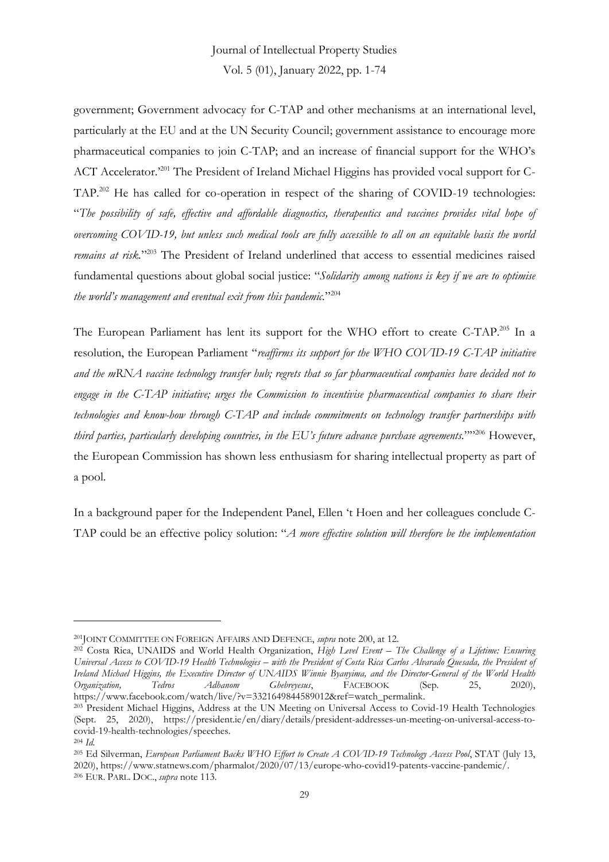Vol. 5 (01), January 2022, pp. 1-74

government; Government advocacy for C-TAP and other mechanisms at an international level, particularly at the EU and at the UN Security Council; government assistance to encourage more pharmaceutical companies to join C-TAP; and an increase of financial support for the WHO's ACT Accelerator.<sup>201</sup> The President of Ireland Michael Higgins has provided vocal support for C-TAP.<sup>202</sup> He has called for co-operation in respect of the sharing of COVID-19 technologies: "*The possibility of safe, effective and affordable diagnostics, therapeutics and vaccines provides vital hope of overcoming COVID-19, but unless such medical tools are fully accessible to all on an equitable basis the world remains at risk.*" <sup>203</sup> The President of Ireland underlined that access to essential medicines raised fundamental questions about global social justice: "*Solidarity among nations is key if we are to optimise the world's management and eventual exit from this pandemic.*" 204

The European Parliament has lent its support for the WHO effort to create C-TAP.<sup>205</sup> In a resolution, the European Parliament "*reaffirms its support for the WHO COVID-19 C-TAP initiative and the mRNA vaccine technology transfer hub; regrets that so far pharmaceutical companies have decided not to engage in the C-TAP initiative; urges the Commission to incentivise pharmaceutical companies to share their technologies and know-how through C-TAP and include commitments on technology transfer partnerships with third parties, particularly developing countries, in the EU's future advance purchase agreements.*"" <sup>206</sup> However, the European Commission has shown less enthusiasm for sharing intellectual property as part of a pool.

In a background paper for the Independent Panel, Ellen 't Hoen and her colleagues conclude C-TAP could be an effective policy solution: "*A more effective solution will therefore be the implementation* 

<sup>201</sup>JOINT COMMITTEE ON FOREIGN AFFAIRS AND DEFENCE, *supra* note 200, at 12.

<sup>202</sup> Costa Rica, UNAIDS and World Health Organization, *High Level Event – The Challenge of a Lifetime: Ensuring Universal Access to COVID-19 Health Technologies – with the President of Costa Rica Carlos Alvarado Quesada, the President of Ireland Michael Higgins, the Executive Director of UNAIDS Winnie Byanyima, and the Director-General of the World Health Organization, Tedros Adhanom Ghebreyesus*, FACEBOOK (Sep. 25, 2020), https://www.facebook.com/watch/live/?v=3321649844589012&ref=watch\_permalink.

<sup>203</sup> President Michael Higgins, Address at the UN Meeting on Universal Access to Covid-19 Health Technologies (Sept. 25, 2020), https://president.ie/en/diary/details/president-addresses-un-meeting-on-universal-access-tocovid-19-health-technologies/speeches.

<sup>204</sup> *Id.*

<sup>205</sup> Ed Silverman, *European Parliament Backs WHO Effort to Create A COVID-19 Technology Access Pool*, STAT (July 13, 2020), https://www.statnews.com/pharmalot/2020/07/13/europe-who-covid19-patents-vaccine-pandemic/. <sup>206</sup> EUR. PARL. DOC., *supra* note 113.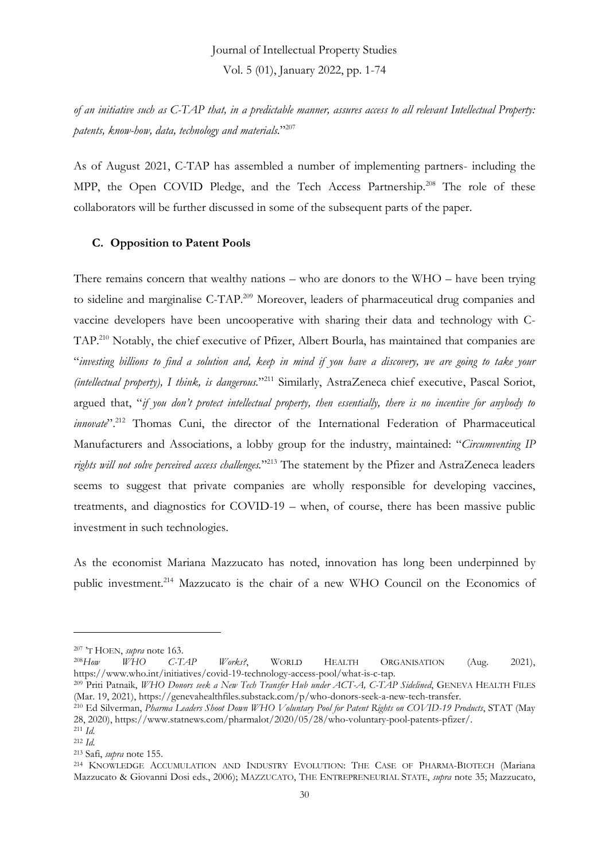*of an initiative such as C-TAP that, in a predictable manner, assures access to all relevant Intellectual Property: patents, know-how, data, technology and materials.*" 207

As of August 2021, C-TAP has assembled a number of implementing partners- including the MPP, the Open COVID Pledge, and the Tech Access Partnership.<sup>208</sup> The role of these collaborators will be further discussed in some of the subsequent parts of the paper.

### **C. Opposition to Patent Pools**

There remains concern that wealthy nations – who are donors to the WHO – have been trying to sideline and marginalise C-TAP.<sup>209</sup> Moreover, leaders of pharmaceutical drug companies and vaccine developers have been uncooperative with sharing their data and technology with C-TAP.<sup>210</sup> Notably, the chief executive of Pfizer, Albert Bourla, has maintained that companies are "*investing billions to find a solution and, keep in mind if you have a discovery, we are going to take your (intellectual property), I think, is dangerous.*" <sup>211</sup> Similarly, AstraZeneca chief executive, Pascal Soriot, argued that, "*if you don't protect intellectual property, then essentially, there is no incentive for anybody to innovate*". <sup>212</sup> Thomas Cuni, the director of the International Federation of Pharmaceutical Manufacturers and Associations, a lobby group for the industry, maintained: "*Circumventing IP rights will not solve perceived access challenges.*" <sup>213</sup> The statement by the Pfizer and AstraZeneca leaders seems to suggest that private companies are wholly responsible for developing vaccines, treatments, and diagnostics for COVID-19 – when, of course, there has been massive public investment in such technologies.

As the economist Mariana Mazzucato has noted, innovation has long been underpinned by public investment.<sup>214</sup> Mazzucato is the chair of a new WHO Council on the Economics of

<sup>207</sup> 'T HOEN, *supra* note 163.

<sup>208</sup>*How WHO C-TAP Works?*, WORLD HEALTH ORGANISATION (Aug. 2021), https://www.who.int/initiatives/covid-19-technology-access-pool/what-is-c-tap.

<sup>209</sup> Priti Patnaik, *WHO Donors seek a New Tech Transfer Hub under ACT-A, C-TAP Sidelined*, GENEVA HEALTH FILES (Mar. 19, 2021), https://genevahealthfiles.substack.com/p/who-donors-seek-a-new-tech-transfer.

<sup>210</sup> Ed Silverman, *Pharma Leaders Shoot Down WHO Voluntary Pool for Patent Rights on COVID-19 Products*, STAT (May 28, 2020), https://www.statnews.com/pharmalot/2020/05/28/who-voluntary-pool-patents-pfizer/.

<sup>211</sup> *Id.* <sup>212</sup> *Id.*

<sup>213</sup> Safi, *supra* note 155.

<sup>214</sup> KNOWLEDGE ACCUMULATION AND INDUSTRY EVOLUTION: THE CASE OF PHARMA-BIOTECH (Mariana Mazzucato & Giovanni Dosi eds., 2006); MAZZUCATO, THE ENTREPRENEURIAL STATE, *supra* note 35; Mazzucato,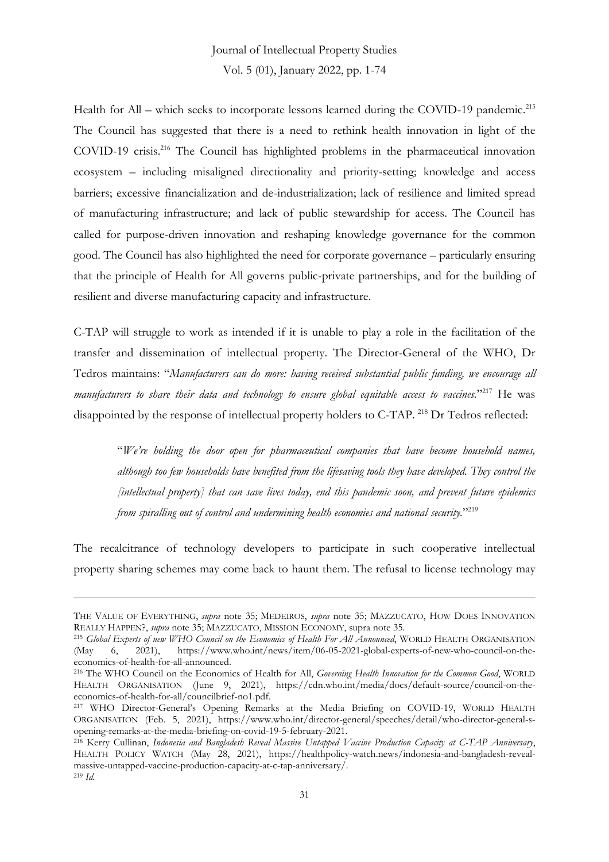Health for All – which seeks to incorporate lessons learned during the COVID-19 pandemic.<sup>215</sup> The Council has suggested that there is a need to rethink health innovation in light of the COVID-19 crisis.<sup>216</sup> The Council has highlighted problems in the pharmaceutical innovation ecosystem – including misaligned directionality and priority-setting; knowledge and access barriers; excessive financialization and de-industrialization; lack of resilience and limited spread of manufacturing infrastructure; and lack of public stewardship for access. The Council has called for purpose-driven innovation and reshaping knowledge governance for the common good. The Council has also highlighted the need for corporate governance – particularly ensuring that the principle of Health for All governs public-private partnerships, and for the building of resilient and diverse manufacturing capacity and infrastructure.

C-TAP will struggle to work as intended if it is unable to play a role in the facilitation of the transfer and dissemination of intellectual property. The Director-General of the WHO, Dr Tedros maintains: "*Manufacturers can do more: having received substantial public funding, we encourage all manufacturers to share their data and technology to ensure global equitable access to vaccines.*" <sup>217</sup> He was disappointed by the response of intellectual property holders to C-TAP. <sup>218</sup> Dr Tedros reflected:

"*We're holding the door open for pharmaceutical companies that have become household names, although too few households have benefited from the lifesaving tools they have developed. They control the [intellectual property] that can save lives today, end this pandemic soon, and prevent future epidemics from spiralling out of control and undermining health economies and national security.*" 219

The recalcitrance of technology developers to participate in such cooperative intellectual property sharing schemes may come back to haunt them. The refusal to license technology may

THE VALUE OF EVERYTHING, *supra* note 35; MEDEIROS, *supra* note 35; MAZZUCATO, HOW DOES INNOVATION REALLY HAPPEN?, *supra* note 35; MAZZUCATO, MISSION ECONOMY, supra note 35.

<sup>215</sup> *Global Experts of new WHO Council on the Economics of Health For All Announced*, WORLD HEALTH ORGANISATION (May 6, 2021), https://www.who.int/news/item/06-05-2021-global-experts-of-new-who-council-on-theeconomics-of-health-for-all-announced.

<sup>216</sup> The WHO Council on the Economics of Health for All, *Governing Health Innovation for the Common Good*, WORLD HEALTH ORGANISATION (June 9, 2021), https://cdn.who.int/media/docs/default-source/council-on-theeconomics-of-health-for-all/councilbrief-no1.pdf.

<sup>217</sup> WHO Director-General's Opening Remarks at the Media Briefing on COVID-19, WORLD HEALTH ORGANISATION (Feb. 5, 2021), https://www.who.int/director-general/speeches/detail/who-director-general-sopening-remarks-at-the-media-briefing-on-covid-19-5-february-2021.

<sup>218</sup> Kerry Cullinan, *Indonesia and Bangladesh Reveal Massive Untapped Vaccine Production Capacity at C-TAP Anniversary*, HEALTH POLICY WATCH (May 28, 2021), https://healthpolicy-watch.news/indonesia-and-bangladesh-revealmassive-untapped-vaccine-production-capacity-at-c-tap-anniversary/. <sup>219</sup> *Id.*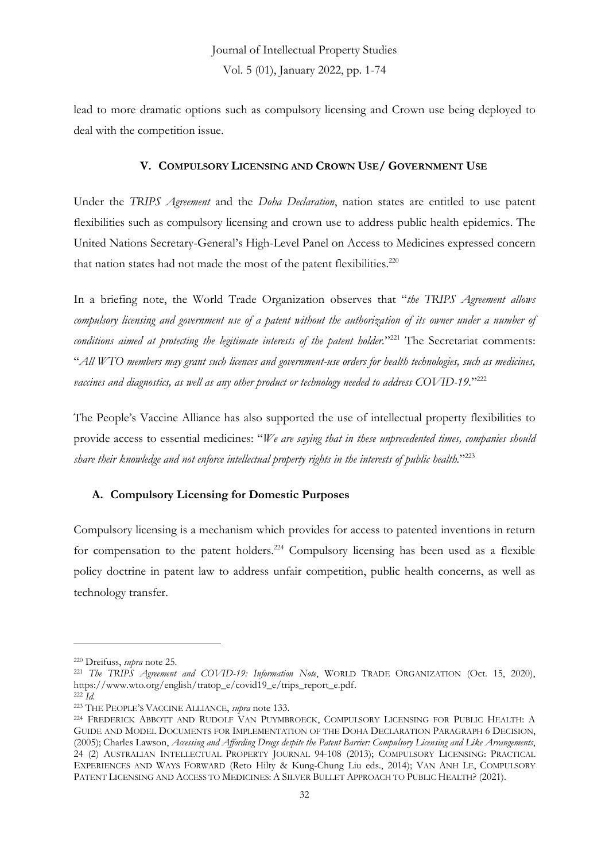lead to more dramatic options such as compulsory licensing and Crown use being deployed to deal with the competition issue.

### **V. COMPULSORY LICENSING AND CROWN USE/ GOVERNMENT USE**

Under the *TRIPS Agreement* and the *Doha Declaration*, nation states are entitled to use patent flexibilities such as compulsory licensing and crown use to address public health epidemics. The United Nations Secretary-General's High-Level Panel on Access to Medicines expressed concern that nation states had not made the most of the patent flexibilities.<sup>220</sup>

In a briefing note, the World Trade Organization observes that "*the TRIPS Agreement allows compulsory licensing and government use of a patent without the authorization of its owner under a number of conditions aimed at protecting the legitimate interests of the patent holder.*" <sup>221</sup> The Secretariat comments: "*All WTO members may grant such licences and government-use orders for health technologies, such as medicines, vaccines and diagnostics, as well as any other product or technology needed to address COVID-19.*" 222

The People's Vaccine Alliance has also supported the use of intellectual property flexibilities to provide access to essential medicines: "*We are saying that in these unprecedented times, companies should share their knowledge and not enforce intellectual property rights in the interests of public health.*" 223

### **A. Compulsory Licensing for Domestic Purposes**

Compulsory licensing is a mechanism which provides for access to patented inventions in return for compensation to the patent holders.<sup>224</sup> Compulsory licensing has been used as a flexible policy doctrine in patent law to address unfair competition, public health concerns, as well as technology transfer.

<sup>220</sup> Dreifuss, *supra* note 25.

<sup>221</sup> *The TRIPS Agreement and COVID-19: Information Note*, WORLD TRADE ORGANIZATION (Oct. 15, 2020), https://www.wto.org/english/tratop\_e/covid19\_e/trips\_report\_e.pdf.

 $222 \overrightarrow{Id}$ .

<sup>223</sup> THE PEOPLE'S VACCINE ALLIANCE, *supra* note 133.

<sup>224</sup> FREDERICK ABBOTT AND RUDOLF VAN PUYMBROECK, COMPULSORY LICENSING FOR PUBLIC HEALTH: A GUIDE AND MODEL DOCUMENTS FOR IMPLEMENTATION OF THE DOHA DECLARATION PARAGRAPH 6 DECISION, (2005); Charles Lawson, *Accessing and Affording Drugs despite the Patent Barrier: Compulsory Licensing and Like Arrangements*, 24 (2) AUSTRALIAN INTELLECTUAL PROPERTY JOURNAL 94-108 (2013); COMPULSORY LICENSING: PRACTICAL EXPERIENCES AND WAYS FORWARD (Reto Hilty & Kung-Chung Liu eds., 2014); VAN ANH LE, COMPULSORY PATENT LICENSING AND ACCESS TO MEDICINES: A SILVER BULLET APPROACH TO PUBLIC HEALTH? (2021).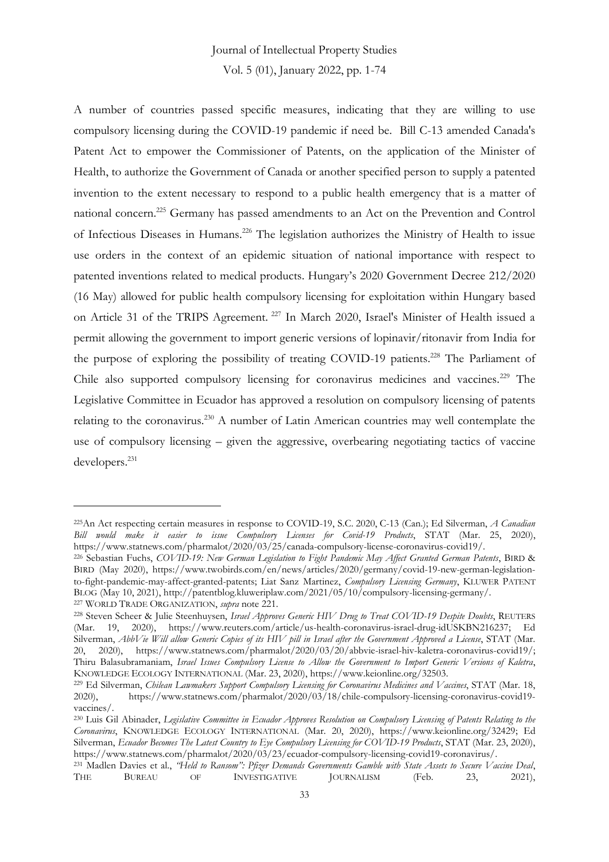A number of countries passed specific measures, indicating that they are willing to use compulsory licensing during the COVID-19 pandemic if need be. Bill C-13 amended Canada's Patent Act to empower the Commissioner of Patents, on the application of the Minister of Health, to authorize the Government of Canada or another specified person to supply a patented invention to the extent necessary to respond to a public health emergency that is a matter of national concern.<sup>225</sup> Germany has passed amendments to an Act on the Prevention and Control of Infectious Diseases in Humans.<sup>226</sup> The legislation authorizes the Ministry of Health to issue use orders in the context of an epidemic situation of national importance with respect to patented inventions related to medical products. Hungary's 2020 Government Decree 212/2020 (16 May) allowed for public health compulsory licensing for exploitation within Hungary based on Article 31 of the TRIPS Agreement. <sup>227</sup> In March 2020, Israel's Minister of Health issued a permit allowing the government to import generic versions of lopinavir/ritonavir from India for the purpose of exploring the possibility of treating COVID-19 patients.<sup>228</sup> The Parliament of Chile also supported compulsory licensing for coronavirus medicines and vaccines.<sup>229</sup> The Legislative Committee in Ecuador has approved a resolution on compulsory licensing of patents relating to the coronavirus.<sup>230</sup> A number of Latin American countries may well contemplate the use of compulsory licensing – given the aggressive, overbearing negotiating tactics of vaccine developers.<sup>231</sup>

<sup>225</sup>An Act respecting certain measures in response to COVID-19, S.C. 2020, C-13 (Can.); Ed Silverman, *A Canadian Bill would make it easier to issue Compulsory Licenses for Covid-19 Products*, STAT (Mar. 25, 2020), https://www.statnews.com/pharmalot/2020/03/25/canada-compulsory-license-coronavirus-covid19/.

<sup>226</sup> Sebastian Fuchs, *COVID-19: New German Legislation to Fight Pandemic May Affect Granted German Patents*, BIRD & BIRD (May 2020), https://www.twobirds.com/en/news/articles/2020/germany/covid-19-new-german-legislationto-fight-pandemic-may-affect-granted-patents; Liat Sanz Martinez, *Compulsory Licensing Germany*, KLUWER PATENT BLOG (May 10, 2021), http://patentblog.kluweriplaw.com/2021/05/10/compulsory-licensing-germany/. <sup>227</sup> WORLD TRADE ORGANIZATION, *supra* note 221.

<sup>228</sup> Steven Scheer & Julie Steenhuysen, *Israel Approves Generic HIV Drug to Treat COVID-19 Despite Doubts*, REUTERS (Mar. 19, 2020), https://www.reuters.com/article/us-health-coronavirus-israel-drug-idUSKBN216237; Ed Silverman, *AbbVie Will allow Generic Copies of its HIV pill in Israel after the Government Approved a License*, STAT (Mar. 20, 2020), https://www.statnews.com/pharmalot/2020/03/20/abbvie-israel-hiv-kaletra-coronavirus-covid19/; Thiru Balasubramaniam, *Israel Issues Compulsory License to Allow the Government to Import Generic Versions of Kaletra*, KNOWLEDGE ECOLOGY INTERNATIONAL (Mar. 23, 2020), https://www.keionline.org/32503.

<sup>&</sup>lt;sup>229</sup> Ed Silverman, *Chilean Lawmakers Support Compulsory Licensing for Coronavirus Medicines and Vaccines*, STAT (Mar. 18, 2020), https://www.statnews.com/pharmalot/2020/03/18/chile-compulsory-licensing-coronavirus-covid1 2020), https://www.statnews.com/pharmalot/2020/03/18/chile-compulsory-licensing-coronavirus-covid19 vaccines/.

<sup>230</sup> Luis Gil Abinader, *Legislative Committee in Ecuador Approves Resolution on Compulsory Licensing of Patents Relating to the Coronavirus*, KNOWLEDGE ECOLOGY INTERNATIONAL (Mar. 20, 2020), https://www.keionline.org/32429; Ed Silverman, *Ecuador Becomes The Latest Country to Eye Compulsory Licensing for COVID-19 Products*, STAT (Mar. 23, 2020), https://www.statnews.com/pharmalot/2020/03/23/ecuador-compulsory-licensing-covid19-coronavirus/.

<sup>231</sup> Madlen Davies et al., *"Held to Ransom": Pfizer Demands Governments Gamble with State Assets to Secure Vaccine Deal*, THE BUREAU OF INVESTIGATIVE JOURNALISM (Feb. 23, 2021),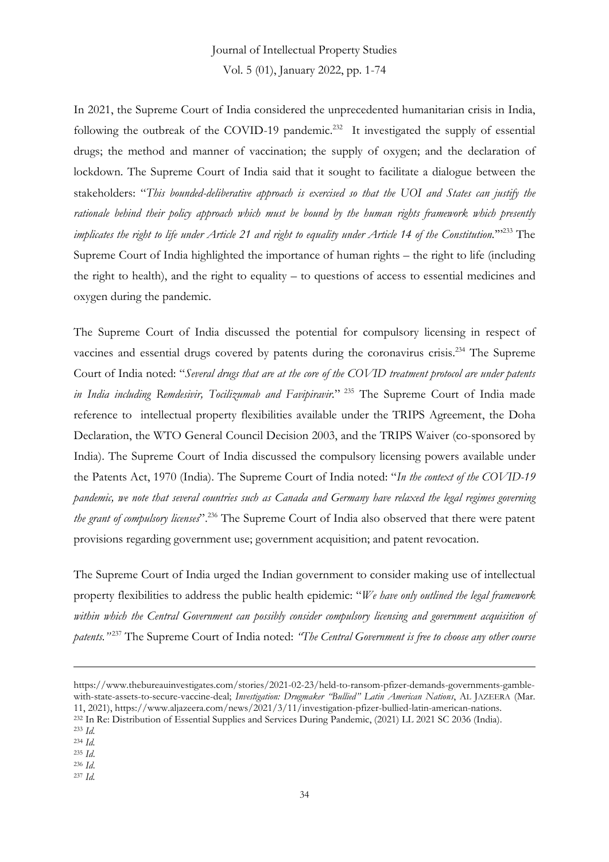Vol. 5 (01), January 2022, pp. 1-74

In 2021, the Supreme Court of India considered the unprecedented humanitarian crisis in India, following the outbreak of the COVID-19 pandemic.<sup>232</sup> It investigated the supply of essential drugs; the method and manner of vaccination; the supply of oxygen; and the declaration of lockdown. The Supreme Court of India said that it sought to facilitate a dialogue between the stakeholders: "*This bounded-deliberative approach is exercised so that the UOI and States can justify the rationale behind their policy approach which must be bound by the human rights framework which presently implicates the right to life under Article 21 and right to equality under Article 14 of the Constitution.*'" <sup>233</sup> The Supreme Court of India highlighted the importance of human rights – the right to life (including the right to health), and the right to equality – to questions of access to essential medicines and oxygen during the pandemic.

The Supreme Court of India discussed the potential for compulsory licensing in respect of vaccines and essential drugs covered by patents during the coronavirus crisis.<sup>234</sup> The Supreme Court of India noted: "*Several drugs that are at the core of the COVID treatment protocol are under patents in India including Remdesivir, Tocilizumab and Favipiravir.*" <sup>235</sup> The Supreme Court of India made reference to intellectual property flexibilities available under the TRIPS Agreement, the Doha Declaration, the WTO General Council Decision 2003, and the TRIPS Waiver (co-sponsored by India). The Supreme Court of India discussed the compulsory licensing powers available under the Patents Act, 1970 (India). The Supreme Court of India noted: "*In the context of the COVID-19 pandemic, we note that several countries such as Canada and Germany have relaxed the legal regimes governing the grant of compulsory licenses*". <sup>236</sup> The Supreme Court of India also observed that there were patent provisions regarding government use; government acquisition; and patent revocation.

The Supreme Court of India urged the Indian government to consider making use of intellectual property flexibilities to address the public health epidemic: "*We have only outlined the legal framework within which the Central Government can possibly consider compulsory licensing and government acquisition of patents."* <sup>237</sup> The Supreme Court of India noted: *"The Central Government is free to choose any other course* 

<sup>237</sup> *Id.*

https://www.thebureauinvestigates.com/stories/2021-02-23/held-to-ransom-pfizer-demands-governments-gamblewith-state-assets-to-secure-vaccine-deal; *Investigation: Drugmaker "Bullied" Latin American Nations*, AL JAZEERA (Mar. 11, 2021), https://www.aljazeera.com/news/2021/3/11/investigation-pfizer-bullied-latin-american-nations.

<sup>232</sup> In Re: Distribution of Essential Supplies and Services During Pandemic, (2021) LL 2021 SC 2036 (India).

<sup>233</sup> *Id.*

<sup>234</sup> *Id.* <sup>235</sup> *Id*.

<sup>236</sup> *Id*.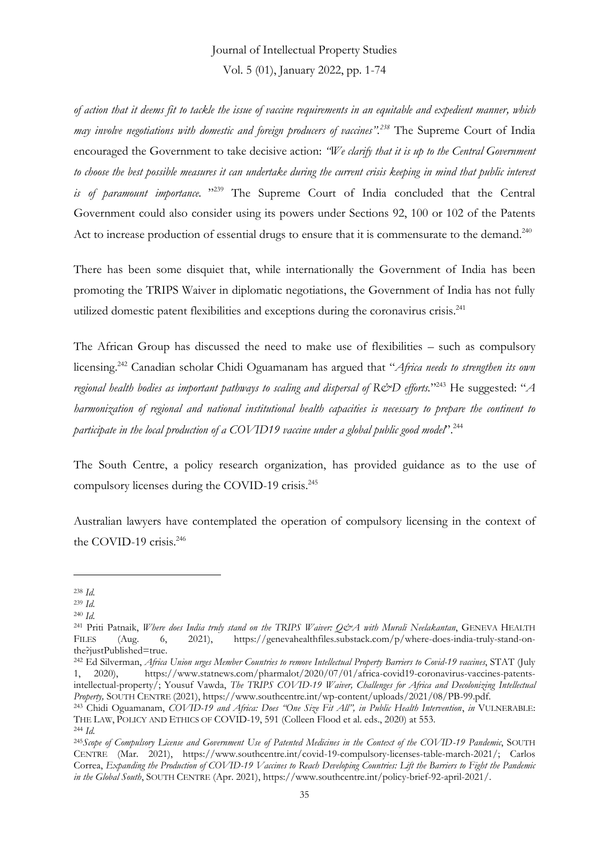Vol. 5 (01), January 2022, pp. 1-74

*of action that it deems fit to tackle the issue of vaccine requirements in an equitable and expedient manner, which may involve negotiations with domestic and foreign producers of vaccines". <sup>238</sup>* The Supreme Court of India encouraged the Government to take decisive action: *"We clarify that it is up to the Central Government*  to choose the best possible measures it can undertake during the current crisis keeping in mind that public interest *is of paramount importance.* " <sup>239</sup> The Supreme Court of India concluded that the Central Government could also consider using its powers under Sections 92, 100 or 102 of the Patents Act to increase production of essential drugs to ensure that it is commensurate to the demand.<sup>240</sup>

There has been some disquiet that, while internationally the Government of India has been promoting the TRIPS Waiver in diplomatic negotiations, the Government of India has not fully utilized domestic patent flexibilities and exceptions during the coronavirus crisis.<sup>241</sup>

The African Group has discussed the need to make use of flexibilities – such as compulsory licensing.<sup>242</sup> Canadian scholar Chidi Oguamanam has argued that "*Africa needs to strengthen its own regional health bodies as important pathways to scaling and dispersal of R&D efforts.*" <sup>243</sup> He suggested: "*A harmonization of regional and national institutional health capacities is necessary to prepare the continent to participate in the local production of a COVID19 vaccine under a global public good model*". 244

The South Centre, a policy research organization, has provided guidance as to the use of compulsory licenses during the COVID-19 crisis.<sup>245</sup>

Australian lawyers have contemplated the operation of compulsory licensing in the context of the COVID-19 crisis.<sup>246</sup>

<sup>238</sup> *Id.*

<sup>239</sup> *Id.*

<sup>240</sup> *Id.*

<sup>241</sup> Priti Patnaik, *Where does India truly stand on the TRIPS Waiver: Q&A with Murali Neelakantan*, GENEVA HEALTH FILES (Aug. 6, 2021), https://genevahealthfiles.substack.com/p/where-does-india-truly-stand-onthe?justPublished=true.

<sup>242</sup> Ed Silverman, *Africa Union urges Member Countries to remove Intellectual Property Barriers to Covid-19 vaccines*, STAT (July 1, 2020), https://www.statnews.com/pharmalot/2020/07/01/africa-covid19-coronavirus-vaccines-patentsintellectual-property/; Yousuf Vawda, *The TRIPS COVID-19 Waiver, Challenges for Africa and Decolonizing Intellectual Property,* SOUTH CENTRE (2021), https://www.southcentre.int/wp-content/uploads/2021/08/PB-99.pdf.

<sup>243</sup> Chidi Oguamanam, *COVID-19 and Africa: Does "One Size Fit All", in Public Health Intervention*, *in* VULNERABLE: THE LAW, POLICY AND ETHICS OF COVID-19, 591 (Colleen Flood et al. eds., 2020) at 553.

<sup>244</sup> *Id.*

<sup>245</sup>*Scope of Compulsory License and Government Use of Patented Medicines in the Context of the COVID-19 Pandemic*, SOUTH CENTRE (Mar. 2021), https://www.southcentre.int/covid-19-compulsory-licenses-table-march-2021/; Carlos Correa, *Expanding the Production of COVID-19 Vaccines to Reach Developing Countries: Lift the Barriers to Fight the Pandemic in the Global South*, SOUTH CENTRE (Apr. 2021), https://www.southcentre.int/policy-brief-92-april-2021/.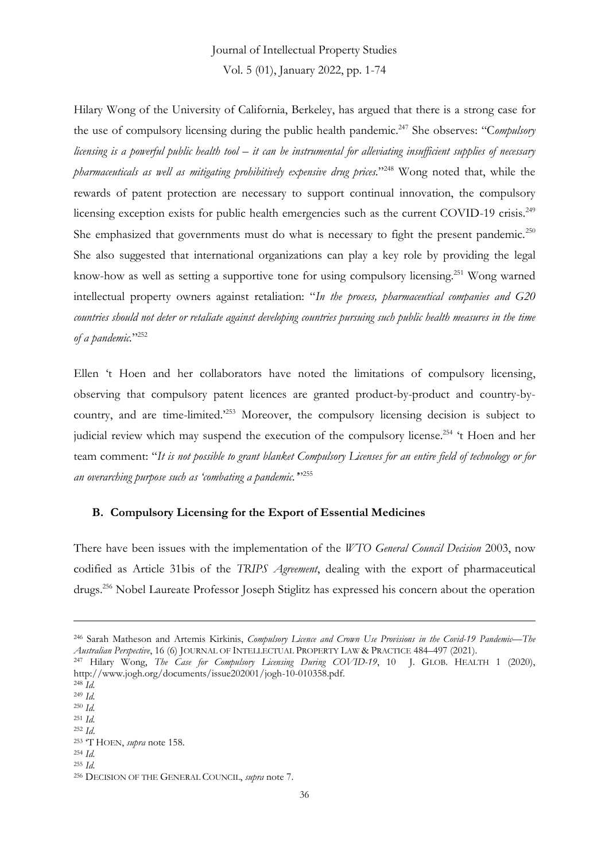Hilary Wong of the University of California, Berkeley, has argued that there is a strong case for the use of compulsory licensing during the public health pandemic.<sup>247</sup> She observes: "C*ompulsory licensing is a powerful public health tool – it can be instrumental for alleviating insufficient supplies of necessary pharmaceuticals as well as mitigating prohibitively expensive drug prices.*" <sup>248</sup> Wong noted that, while the rewards of patent protection are necessary to support continual innovation, the compulsory licensing exception exists for public health emergencies such as the current COVID-19 crisis.<sup>249</sup> She emphasized that governments must do what is necessary to fight the present pandemic.<sup>250</sup> She also suggested that international organizations can play a key role by providing the legal know-how as well as setting a supportive tone for using compulsory licensing.<sup>251</sup> Wong warned intellectual property owners against retaliation: "*In the process, pharmaceutical companies and G20 countries should not deter or retaliate against developing countries pursuing such public health measures in the time of a pandemic.*" 252

Ellen 't Hoen and her collaborators have noted the limitations of compulsory licensing, observing that compulsory patent licences are granted product-by-product and country-bycountry, and are time-limited.'<sup>253</sup> Moreover, the compulsory licensing decision is subject to judicial review which may suspend the execution of the compulsory license.<sup>254</sup> 't Hoen and her team comment: "*It is not possible to grant blanket Compulsory Licenses for an entire field of technology or for an overarching purpose such as 'combating a pandemic.'*" 255

### **B. Compulsory Licensing for the Export of Essential Medicines**

There have been issues with the implementation of the *WTO General Council Decision* 2003, now codified as Article 31bis of the *TRIPS Agreement*, dealing with the export of pharmaceutical drugs.<sup>256</sup> Nobel Laureate Professor Joseph Stiglitz has expressed his concern about the operation

<sup>246</sup> Sarah Matheson and Artemis Kirkinis, *Compulsory Licence and Crown Use Provisions in the Covid-19 Pandemic—The Australian Perspective*, 16 (6) JOURNAL OF INTELLECTUAL PROPERTY LAW & PRACTICE 484–497 (2021).

<sup>247</sup> Hilary Wong, *The Case for Compulsory Licensing During COVID-19*, 10 J. GLOB. HEALTH 1 (2020), http://www.jogh.org/documents/issue202001/jogh-10-010358.pdf.

<sup>248</sup> *Id.* <sup>249</sup> *Id.*

<sup>250</sup> *Id.*

<sup>251</sup> *Id.*

<sup>252</sup> *Id*.

<sup>253</sup> 'T HOEN, *supra* note 158.

<sup>254</sup> *Id.*

<sup>255</sup> *Id.*

<sup>256</sup> DECISION OF THE GENERAL COUNCIL, *supra* note 7.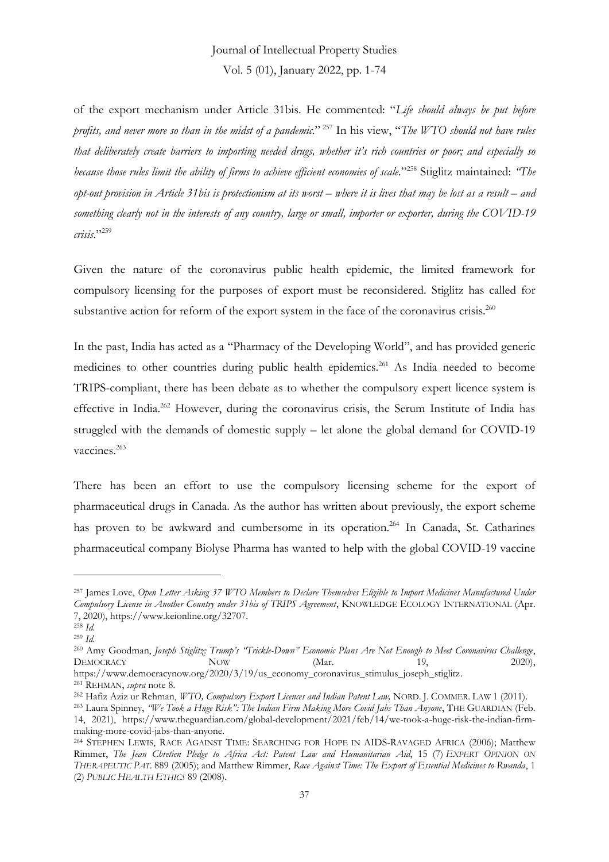of the export mechanism under Article 31bis. He commented: "*Life should always be put before profits, and never more so than in the midst of a pandemic.*" <sup>257</sup> In his view, "*The WTO should not have rules that deliberately create barriers to importing needed drugs, whether it's rich countries or poor; and especially so because those rules limit the ability of firms to achieve efficient economies of scale.*" <sup>258</sup> Stiglitz maintained: *"The opt-out provision in Article 31 bis is protectionism at its worst – where it is lives that may be lost as a result – and something clearly not in the interests of any country, large or small, importer or exporter, during the COVID-19 crisis*." 259

Given the nature of the coronavirus public health epidemic, the limited framework for compulsory licensing for the purposes of export must be reconsidered. Stiglitz has called for substantive action for reform of the export system in the face of the coronavirus crisis.<sup>260</sup>

In the past, India has acted as a "Pharmacy of the Developing World", and has provided generic medicines to other countries during public health epidemics.<sup>261</sup> As India needed to become TRIPS-compliant, there has been debate as to whether the compulsory expert licence system is effective in India.<sup>262</sup> However, during the coronavirus crisis, the Serum Institute of India has struggled with the demands of domestic supply – let alone the global demand for COVID-19 vaccines.<sup>263</sup>

There has been an effort to use the compulsory licensing scheme for the export of pharmaceutical drugs in Canada. As the author has written about previously, the export scheme has proven to be awkward and cumbersome in its operation.<sup>264</sup> In Canada, St. Catharines pharmaceutical company Biolyse Pharma has wanted to help with the global COVID-19 vaccine

<sup>257</sup> James Love, *Open Letter Asking 37 WTO Members to Declare Themselves Eligible to Import Medicines Manufactured Under Compulsory License in Another Country under 31bis of TRIPS Agreement*, KNOWLEDGE ECOLOGY INTERNATIONAL (Apr. 7, 2020), https://www.keionline.org/32707.

<sup>258</sup> *Id.*

<sup>259</sup> *Id.*

<sup>260</sup> Amy Goodman, *Joseph Stiglitz: Trump's "Trickle-Down" Economic Plans Are Not Enough to Meet Coronavirus Challenge*, DEMOCRACY NOW NOW (Mar. 19, 2020),

https://www.democracynow.org/2020/3/19/us\_economy\_coronavirus\_stimulus\_joseph\_stiglitz. <sup>261</sup> REHMAN, *supra* note 8.

<sup>262</sup> Hafiz Aziz ur Rehman, *WTO, Compulsory Export Licences and Indian Patent Law,* NORD. J. COMMER. LAW 1 (2011).

<sup>263</sup> Laura Spinney, *"We Took a Huge Risk": The Indian Firm Making More Covid Jabs Than Anyone*, THE GUARDIAN (Feb. 14, 2021), https://www.theguardian.com/global-development/2021/feb/14/we-took-a-huge-risk-the-indian-firmmaking-more-covid-jabs-than-anyone.

<sup>264</sup> STEPHEN LEWIS, RACE AGAINST TIME: SEARCHING FOR HOPE IN AIDS-RAVAGED AFRICA (2006); Matthew Rimmer, *The Jean Chretien Pledge to Africa Act: Patent Law and Humanitarian Aid*, 15 (7) *EXPERT OPINION ON THERAPEUTIC PAT.* 889 (2005); and Matthew Rimmer, *Race Against Time: The Export of Essential Medicines to Rwanda*, 1 (2) *PUBLIC HEALTH ETHICS* 89 (2008).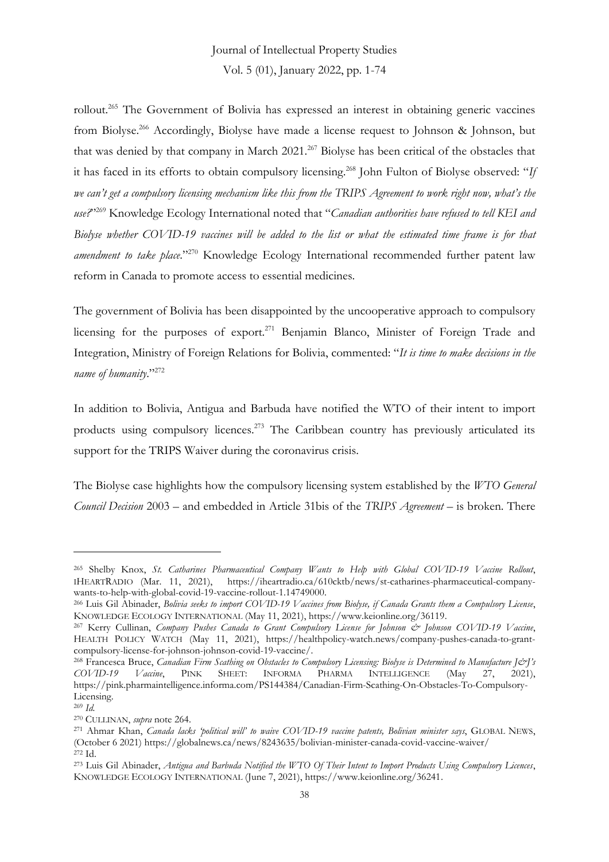rollout.<sup>265</sup> The Government of Bolivia has expressed an interest in obtaining generic vaccines from Biolyse.<sup>266</sup> Accordingly, Biolyse have made a license request to Johnson & Johnson, but that was denied by that company in March 2021.<sup>267</sup> Biolyse has been critical of the obstacles that it has faced in its efforts to obtain compulsory licensing.<sup>268</sup> John Fulton of Biolyse observed: "*If we can't get a compulsory licensing mechanism like this from the TRIPS Agreement to work right now, what's the use?*" <sup>269</sup> Knowledge Ecology International noted that "*Canadian authorities have refused to tell KEI and Biolyse whether COVID-19 vaccines will be added to the list or what the estimated time frame is for that amendment to take place*." <sup>270</sup> Knowledge Ecology International recommended further patent law reform in Canada to promote access to essential medicines.

The government of Bolivia has been disappointed by the uncooperative approach to compulsory licensing for the purposes of export.<sup>271</sup> Benjamin Blanco, Minister of Foreign Trade and Integration, Ministry of Foreign Relations for Bolivia, commented: "*It is time to make decisions in the name of humanity*."<sup>272</sup>

In addition to Bolivia, Antigua and Barbuda have notified the WTO of their intent to import products using compulsory licences.<sup>273</sup> The Caribbean country has previously articulated its support for the TRIPS Waiver during the coronavirus crisis.

The Biolyse case highlights how the compulsory licensing system established by the *WTO General Council Decision* 2003 – and embedded in Article 31bis of the *TRIPS Agreement* – is broken. There

<sup>265</sup> Shelby Knox, *St. Catharines Pharmaceutical Company Wants to Help with Global COVID-19 Vaccine Rollout*, IHEARTRADIO (Mar. 11, 2021), https://iheartradio.ca/610cktb/news/st-catharines-pharmaceutical-companywants-to-help-with-global-covid-19-vaccine-rollout-1.14749000.

<sup>266</sup> Luis Gil Abinader, *Bolivia seeks to import COVID-19 Vaccines from Biolyse, if Canada Grants them a Compulsory License*, KNOWLEDGE ECOLOGY INTERNATIONAL (May 11, 2021), https://www.keionline.org/36119.

<sup>267</sup> Kerry Cullinan, *Company Pushes Canada to Grant Compulsory License for Johnson & Johnson COVID-19 Vaccine*, HEALTH POLICY WATCH (May 11, 2021), https://healthpolicy-watch.news/company-pushes-canada-to-grantcompulsory-license-for-johnson-johnson-covid-19-vaccine/.

<sup>268</sup> Francesca Bruce, *Canadian Firm Scathing on Obstacles to Compulsory Licensing: Biolyse is Determined to Manufacture J&J's COVID-19 Vaccine*, PINK SHEET: INFORMA PHARMA INTELLIGENCE (May 27, 2021), https://pink.pharmaintelligence.informa.com/PS144384/Canadian-Firm-Scathing-On-Obstacles-To-Compulsory-Licensing.

<sup>269</sup> *Id.*

<sup>270</sup> CULLINAN, *supra* note 264.

<sup>271</sup> Ahmar Khan, *Canada lacks 'political will' to waive COVID-19 vaccine patents, Bolivian minister says*, GLOBAL NEWS, (October 6 2021) https://globalnews.ca/news/8243635/bolivian-minister-canada-covid-vaccine-waiver/ <sup>272</sup> Id.

<sup>273</sup> Luis Gil Abinader, *Antigua and Barbuda Notified the WTO Of Their Intent to Import Products Using Compulsory Licences*, KNOWLEDGE ECOLOGY INTERNATIONAL (June 7, 2021), https://www.keionline.org/36241.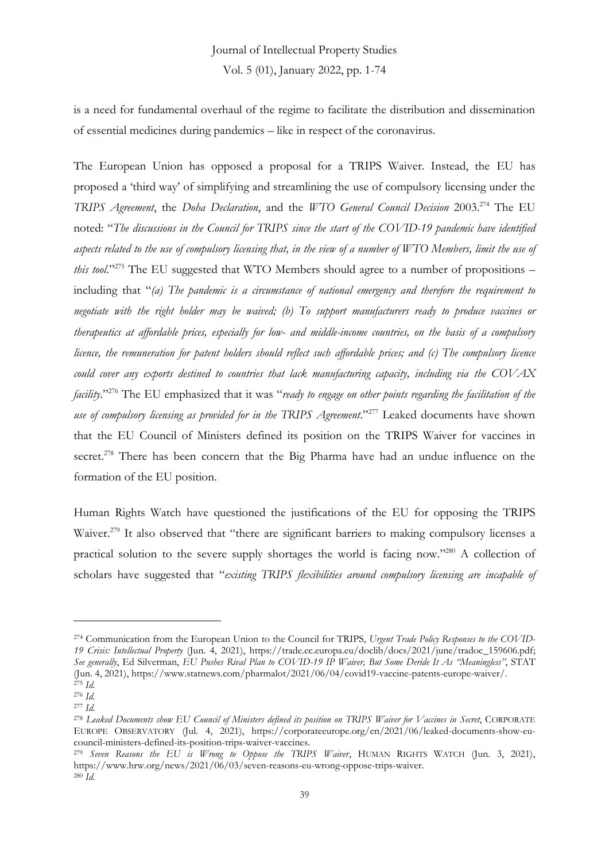is a need for fundamental overhaul of the regime to facilitate the distribution and dissemination of essential medicines during pandemics – like in respect of the coronavirus.

The European Union has opposed a proposal for a TRIPS Waiver. Instead, the EU has proposed a 'third way' of simplifying and streamlining the use of compulsory licensing under the *TRIPS Agreement*, the *Doha Declaration*, and the *WTO General Council Decision* 2003.<sup>274</sup> The EU noted: "*The discussions in the Council for TRIPS since the start of the COVID-19 pandemic have identified aspects related to the use of compulsory licensing that, in the view of a number of WTO Members, limit the use of*  this tool."<sup>275</sup> The EU suggested that WTO Members should agree to a number of propositions – including that "*(a) The pandemic is a circumstance of national emergency and therefore the requirement to negotiate with the right holder may be waived; (b) To support manufacturers ready to produce vaccines or therapeutics at affordable prices, especially for low- and middle-income countries, on the basis of a compulsory licence, the remuneration for patent holders should reflect such affordable prices; and (c)* The compulsory licence *could cover any exports destined to countries that lack manufacturing capacity, including via the COVAX facility*." <sup>276</sup> The EU emphasized that it was "*ready to engage on other points regarding the facilitation of the use of compulsory licensing as provided for in the TRIPS Agreement*." <sup>277</sup> Leaked documents have shown that the EU Council of Ministers defined its position on the TRIPS Waiver for vaccines in secret.<sup>278</sup> There has been concern that the Big Pharma have had an undue influence on the formation of the EU position.

Human Rights Watch have questioned the justifications of the EU for opposing the TRIPS Waiver.<sup>279</sup> It also observed that "there are significant barriers to making compulsory licenses a practical solution to the severe supply shortages the world is facing now."<sup>280</sup> A collection of scholars have suggested that "*existing TRIPS flexibilities around compulsory licensing are incapable of* 

<sup>274</sup> Communication from the European Union to the Council for TRIPS, *Urgent Trade Policy Responses to the COVID-19 Crisis: Intellectual Property* (Jun. 4, 2021), https://trade.ec.europa.eu/doclib/docs/2021/june/tradoc\_159606.pdf; *See generally*, Ed Silverman, *EU Pushes Rival Plan to COVID-19 IP Waiver, But Some Deride It As "Meaningless"*, STAT (Jun. 4, 2021), https://www.statnews.com/pharmalot/2021/06/04/covid19-vaccine-patents-europe-waiver/. <sup>275</sup> *Id.*

<sup>276</sup> *Id.*

<sup>277</sup> *Id.*

<sup>278</sup> *Leaked Documents show EU Council of Ministers defined its position on TRIPS Waiver for Vaccines in Secret*, CORPORATE EUROPE OBSERVATORY (Jul. 4, 2021), https://corporateeurope.org/en/2021/06/leaked-documents-show-eucouncil-ministers-defined-its-position-trips-waiver-vaccines.

<sup>279</sup> *Seven Reasons the EU is Wrong to Oppose the TRIPS Waiver*, HUMAN RIGHTS WATCH (Jun. 3, 2021), https://www.hrw.org/news/2021/06/03/seven-reasons-eu-wrong-oppose-trips-waiver. <sup>280</sup> *Id.*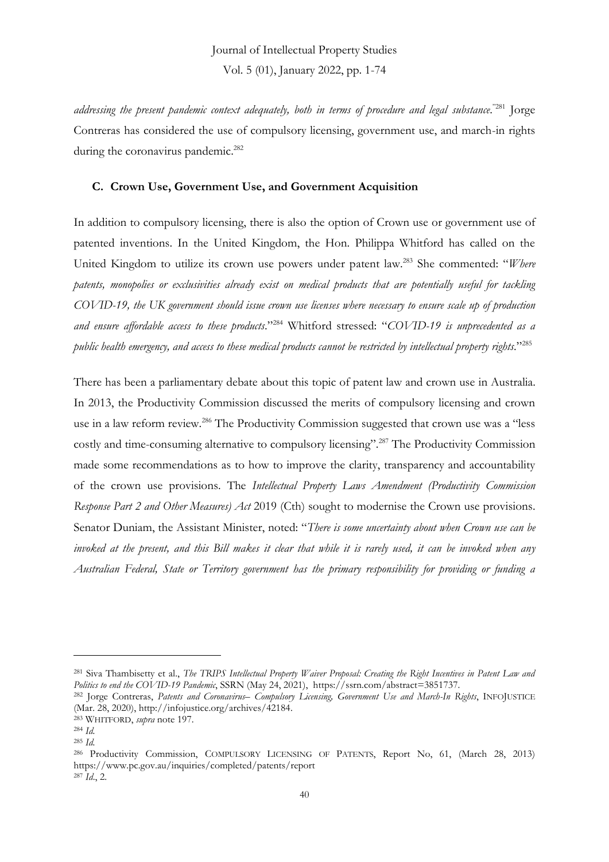*addressing the present pandemic context adequately, both in terms of procedure and legal substance*. "<sup>281</sup> Jorge Contreras has considered the use of compulsory licensing, government use, and march-in rights during the coronavirus pandemic.<sup>282</sup>

#### **C. Crown Use, Government Use, and Government Acquisition**

In addition to compulsory licensing, there is also the option of Crown use or government use of patented inventions. In the United Kingdom, the Hon. Philippa Whitford has called on the United Kingdom to utilize its crown use powers under patent law.<sup>283</sup> She commented: "*Where patents, monopolies or exclusivities already exist on medical products that are potentially useful for tackling COVID-19, the UK government should issue crown use licenses where necessary to ensure scale up of production and ensure affordable access to these products*." <sup>284</sup> Whitford stressed: "*COVID-19 is unprecedented as a public health emergency, and access to these medical products cannot be restricted by intellectual property rights*." 285

There has been a parliamentary debate about this topic of patent law and crown use in Australia. In 2013, the Productivity Commission discussed the merits of compulsory licensing and crown use in a law reform review.<sup>286</sup> The Productivity Commission suggested that crown use was a "less costly and time-consuming alternative to compulsory licensing".<sup>287</sup> The Productivity Commission made some recommendations as to how to improve the clarity, transparency and accountability of the crown use provisions. The *Intellectual Property Laws Amendment (Productivity Commission Response Part 2 and Other Measures) Act* 2019 (Cth) sought to modernise the Crown use provisions. Senator Duniam, the Assistant Minister, noted: "*There is some uncertainty about when Crown use can be invoked at the present, and this Bill makes it clear that while it is rarely used, it can be invoked when any Australian Federal, State or Territory government has the primary responsibility for providing or funding a* 

<sup>281</sup> Siva Thambisetty et al., *The TRIPS Intellectual Property Waiver Proposal: Creating the Right Incentives in Patent Law and Politics to end the COVID-19 Pandemic*, SSRN (May 24, 2021), https://ssrn.com/abstract=3851737.

<sup>282</sup> Jorge Contreras, *Patents and Coronavirus– Compulsory Licensing, Government Use and March-In Rights*, INFOJUSTICE (Mar. 28, 2020), http://infojustice.org/archives/42184.

<sup>283</sup> WHITFORD, *supra* note 197.

<sup>284</sup> *Id.*

<sup>285</sup> *Id.*

<sup>286</sup> Productivity Commission, COMPULSORY LICENSING OF PATENTS, Report No, 61, (March 28, 2013) https://www.pc.gov.au/inquiries/completed/patents/report <sup>287</sup> *Id*., 2.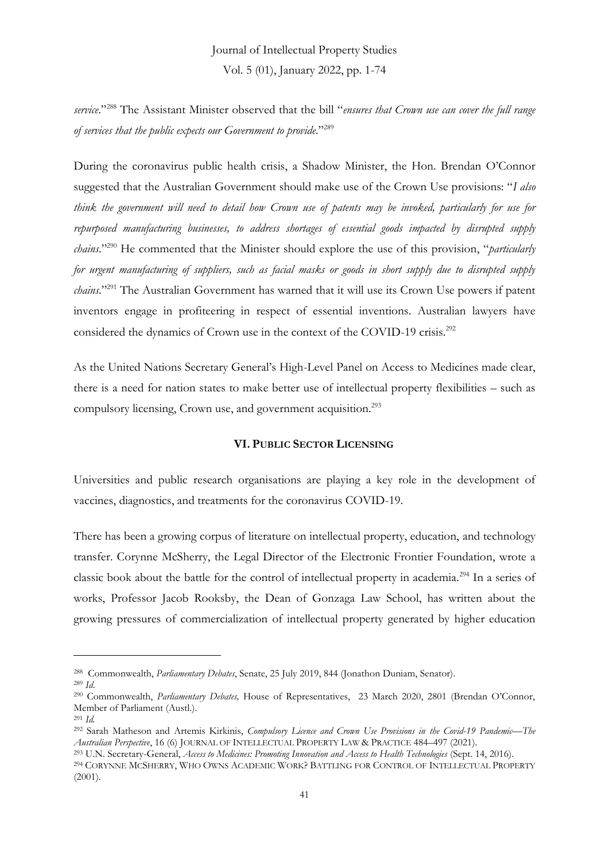*service*." <sup>288</sup> The Assistant Minister observed that the bill "*ensures that Crown use can cover the full range of services that the public expects our Government to provide*."<sup>289</sup>

During the coronavirus public health crisis, a Shadow Minister, the Hon. Brendan O'Connor suggested that the Australian Government should make use of the Crown Use provisions: "*I also think the government will need to detail how Crown use of patents may be invoked, particularly for use for repurposed manufacturing businesses, to address shortages of essential goods impacted by disrupted supply chains*." <sup>290</sup> He commented that the Minister should explore the use of this provision, "*particularly for urgent manufacturing of suppliers, such as facial masks or goods in short supply due to disrupted supply chains*." <sup>291</sup> The Australian Government has warned that it will use its Crown Use powers if patent inventors engage in profiteering in respect of essential inventions. Australian lawyers have considered the dynamics of Crown use in the context of the COVID-19 crisis.<sup>292</sup>

As the United Nations Secretary General's High-Level Panel on Access to Medicines made clear, there is a need for nation states to make better use of intellectual property flexibilities – such as compulsory licensing, Crown use, and government acquisition.<sup>293</sup>

#### **VI. PUBLIC SECTOR LICENSING**

Universities and public research organisations are playing a key role in the development of vaccines, diagnostics, and treatments for the coronavirus COVID-19.

There has been a growing corpus of literature on intellectual property, education, and technology transfer. Corynne McSherry, the Legal Director of the Electronic Frontier Foundation, wrote a classic book about the battle for the control of intellectual property in academia.<sup>294</sup> In a series of works, Professor Jacob Rooksby, the Dean of Gonzaga Law School, has written about the growing pressures of commercialization of intellectual property generated by higher education

<sup>288</sup> Commonwealth, *Parliamentary Debates*, Senate, 25 July 2019, 844 (Jonathon Duniam, Senator).

<sup>289</sup> *Id*.

<sup>290</sup> Commonwealth, *Parliamentary Debates,* House of Representatives, 23 March 2020, 2801 (Brendan O'Connor, Member of Parliament (Austl.).

<sup>291</sup> *Id.*

<sup>292</sup> Sarah Matheson and Artemis Kirkinis, *Compulsory Licence and Crown Use Provisions in the Covid-19 Pandemic—The Australian Perspective*, 16 (6) JOURNAL OF INTELLECTUAL PROPERTY LAW & PRACTICE 484–497 (2021).

<sup>293</sup> U.N. Secretary-General, *Access to Medicines: Promoting Innovation and Access to Health Technologies* (Sept. 14, 2016). <sup>294</sup> CORYNNE MCSHERRY, WHO OWNS ACADEMIC WORK? BATTLING FOR CONTROL OF INTELLECTUAL PROPERTY (2001).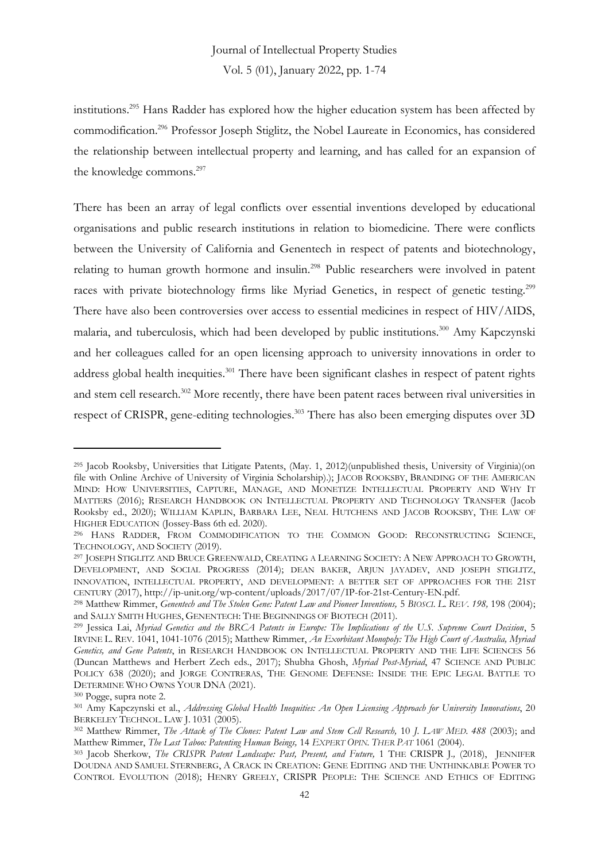institutions.<sup>295</sup> Hans Radder has explored how the higher education system has been affected by commodification.<sup>296</sup> Professor Joseph Stiglitz, the Nobel Laureate in Economics, has considered the relationship between intellectual property and learning, and has called for an expansion of the knowledge commons.<sup>297</sup>

There has been an array of legal conflicts over essential inventions developed by educational organisations and public research institutions in relation to biomedicine. There were conflicts between the University of California and Genentech in respect of patents and biotechnology, relating to human growth hormone and insulin.<sup>298</sup> Public researchers were involved in patent races with private biotechnology firms like Myriad Genetics, in respect of genetic testing.<sup>299</sup> There have also been controversies over access to essential medicines in respect of HIV/AIDS, malaria, and tuberculosis, which had been developed by public institutions.<sup>300</sup> Amy Kapczynski and her colleagues called for an open licensing approach to university innovations in order to address global health inequities.<sup>301</sup> There have been significant clashes in respect of patent rights and stem cell research.<sup>302</sup> More recently, there have been patent races between rival universities in respect of CRISPR, gene-editing technologies.<sup>303</sup> There has also been emerging disputes over 3D

<sup>295</sup> Jacob Rooksby, Universities that Litigate Patents, (May. 1, 2012)(unpublished thesis, University of Virginia)(on file with Online Archive of University of Virginia Scholarship).); JACOB ROOKSBY, BRANDING OF THE AMERICAN MIND: HOW UNIVERSITIES, CAPTURE, MANAGE, AND MONETIZE INTELLECTUAL PROPERTY AND WHY IT MATTERS (2016); RESEARCH HANDBOOK ON INTELLECTUAL PROPERTY AND TECHNOLOGY TRANSFER (Jacob Rooksby ed., 2020); WILLIAM KAPLIN, BARBARA LEE, NEAL HUTCHENS AND JACOB ROOKSBY, THE LAW OF HIGHER EDUCATION (Jossey-Bass 6th ed. 2020).

<sup>296</sup> HANS RADDER, FROM COMMODIFICATION TO THE COMMON GOOD: RECONSTRUCTING SCIENCE, TECHNOLOGY, AND SOCIETY (2019).

<sup>297</sup> JOSEPH STIGLITZ AND BRUCE GREENWALD, CREATING A LEARNING SOCIETY: A NEW APPROACH TO GROWTH, DEVELOPMENT, AND SOCIAL PROGRESS (2014); DEAN BAKER, ARJUN JAYADEV, AND JOSEPH STIGLITZ, INNOVATION, INTELLECTUAL PROPERTY, AND DEVELOPMENT: A BETTER SET OF APPROACHES FOR THE 21ST CENTURY (2017), http://ip-unit.org/wp-content/uploads/2017/07/IP-for-21st-Century-EN.pdf.

<sup>298</sup> Matthew Rimmer, *Genentech and The Stolen Gene: Patent Law and Pioneer Inventions,* 5 *BIOSCI. L. REV. 198,* 198 (2004); and SALLY SMITH HUGHES, GENENTECH: THE BEGINNINGS OF BIOTECH (2011).

<sup>299</sup> Jessica Lai, *Myriad Genetics and the BRCA Patents in Europe: The Implications of the U.S. Supreme Court Decision*, 5 IRVINE L. REV*.* 1041, 1041-1076 (2015); Matthew Rimmer, *An Exorbitant Monopoly: The High Court of Australia, Myriad Genetics, and Gene Patents*, in RESEARCH HANDBOOK ON INTELLECTUAL PROPERTY AND THE LIFE SCIENCES 56 (Duncan Matthews and Herbert Zech eds., 2017); Shubha Ghosh, *Myriad Post-Myriad*, 47 SCIENCE AND PUBLIC POLICY 638 (2020); and JORGE CONTRERAS, THE GENOME DEFENSE: INSIDE THE EPIC LEGAL BATTLE TO DETERMINE WHO OWNS YOUR DNA (2021).

<sup>300</sup> Pogge, supra note 2.

<sup>301</sup> Amy Kapczynski et al., *Addressing Global Health Inequities: An Open Licensing Approach for University Innovations*, 20 BERKELEY TECHNOL. LAW J. 1031 (2005).

<sup>302</sup> Matthew Rimmer, *The Attack of The Clones: Patent Law and Stem Cell Research,* 10 *J. LAW MED. 488* (2003); and Matthew Rimmer, *The Last Taboo: Patenting Human Beings,* 14 *EXPERT OPIN. THER PAT* 1061 (2004).

<sup>303</sup> Jacob Sherkow, *The CRISPR Patent Landscape: Past, Present, and Future,* 1 THE CRISPR J*.,* (2018), JENNIFER DOUDNA AND SAMUEL STERNBERG, A CRACK IN CREATION: GENE EDITING AND THE UNTHINKABLE POWER TO CONTROL EVOLUTION (2018); HENRY GREELY, CRISPR PEOPLE: THE SCIENCE AND ETHICS OF EDITING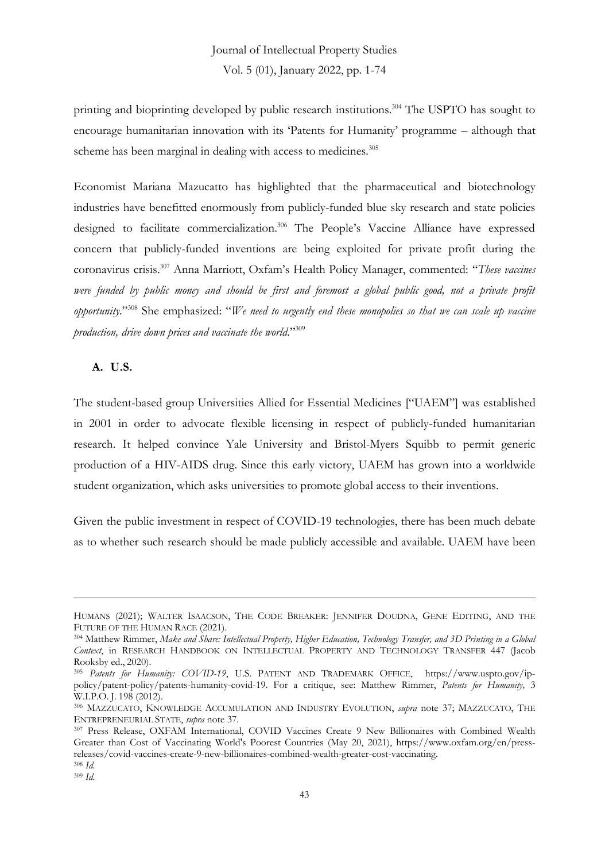printing and bioprinting developed by public research institutions. <sup>304</sup> The USPTO has sought to encourage humanitarian innovation with its 'Patents for Humanity' programme – although that scheme has been marginal in dealing with access to medicines.<sup>305</sup>

Economist Mariana Mazucatto has highlighted that the pharmaceutical and biotechnology industries have benefitted enormously from publicly-funded blue sky research and state policies designed to facilitate commercialization.<sup>306</sup> The People's Vaccine Alliance have expressed concern that publicly-funded inventions are being exploited for private profit during the coronavirus crisis. <sup>307</sup> Anna Marriott, Oxfam's Health Policy Manager, commented: "*These vaccines were funded by public money and should be first and foremost a global public good, not a private profit opportunity*." <sup>308</sup> She emphasized: "*We need to urgently end these monopolies so that we can scale up vaccine production, drive down prices and vaccinate the world*." 309

#### **A. U.S.**

The student-based group Universities Allied for Essential Medicines ["UAEM"] was established in 2001 in order to advocate flexible licensing in respect of publicly-funded humanitarian research. It helped convince Yale University and Bristol-Myers Squibb to permit generic production of a HIV-AIDS drug. Since this early victory, UAEM has grown into a worldwide student organization, which asks universities to promote global access to their inventions.

Given the public investment in respect of COVID-19 technologies, there has been much debate as to whether such research should be made publicly accessible and available. UAEM have been

HUMANS (2021); WALTER ISAACSON, THE CODE BREAKER: JENNIFER DOUDNA, GENE EDITING, AND THE FUTURE OF THE HUMAN RACE (2021).

<sup>304</sup> Matthew Rimmer, *Make and Share: Intellectual Property, Higher Education, Technology Transfer, and 3D Printing in a Global Context*, in RESEARCH HANDBOOK ON INTELLECTUAL PROPERTY AND TECHNOLOGY TRANSFER 447 (Jacob Rooksby ed., 2020).

<sup>305</sup> *Patents for Humanity: COVID-19*, U.S. PATENT AND TRADEMARK OFFICE, https://www.uspto.gov/ippolicy/patent-policy/patents-humanity-covid-19. For a critique, see: Matthew Rimmer, *Patents for Humanity,* 3 W.I.P.O. J*.* 198 (2012).

<sup>306</sup> MAZZUCATO, KNOWLEDGE ACCUMULATION AND INDUSTRY EVOLUTION, *supra* note 37; MAZZUCATO, THE ENTREPRENEURIAL STATE, *supra* note 37.

<sup>307</sup> Press Release, OXFAM International, COVID Vaccines Create 9 New Billionaires with Combined Wealth Greater than Cost of Vaccinating World's Poorest Countries (May 20, 2021), https://www.oxfam.org/en/pressreleases/covid-vaccines-create-9-new-billionaires-combined-wealth-greater-cost-vaccinating. <sup>308</sup> *Id.*

<sup>309</sup> *Id.*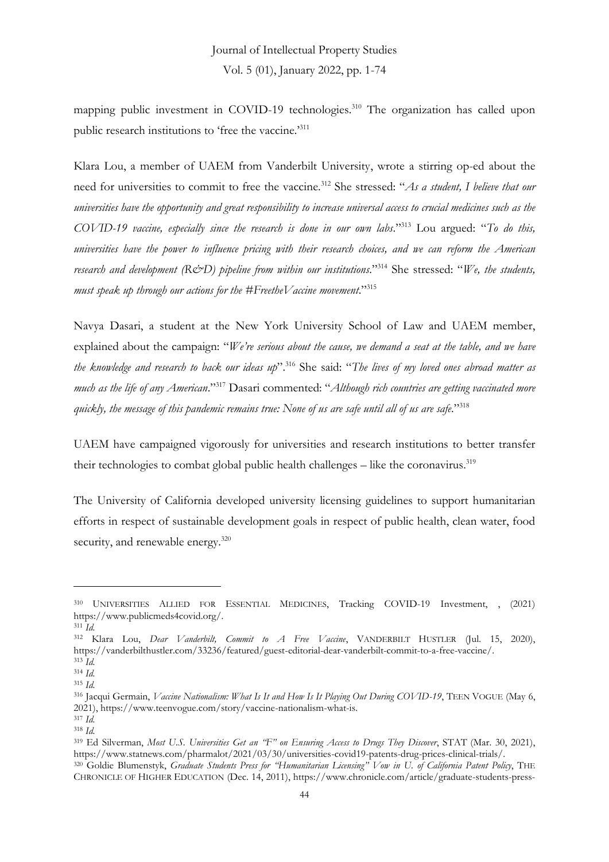mapping public investment in COVID-19 technologies.<sup>310</sup> The organization has called upon public research institutions to 'free the vaccine.'<sup>311</sup>

Klara Lou, a member of UAEM from Vanderbilt University, wrote a stirring op-ed about the need for universities to commit to free the vaccine.<sup>312</sup> She stressed: "*As a student, I believe that our universities have the opportunity and great responsibility to increase universal access to crucial medicines such as the COVID-19 vaccine, especially since the research is done in our own labs*." <sup>313</sup> Lou argued: "*To do this, universities have the power to influence pricing with their research choices, and we can reform the American research and development (R&D) pipeline from within our institutions*." <sup>314</sup> She stressed: "*We, the students, must speak up through our actions for the #FreetheVaccine movement*." 315

Navya Dasari, a student at the New York University School of Law and UAEM member, explained about the campaign: "*We're serious about the cause, we demand a seat at the table, and we have the knowledge and research to back our ideas up*". <sup>316</sup> She said: "*The lives of my loved ones abroad matter as much as the life of any American*." <sup>317</sup> Dasari commented: "*Although rich countries are getting vaccinated more quickly, the message of this pandemic remains true: None of us are safe until all of us are safe*." 318

UAEM have campaigned vigorously for universities and research institutions to better transfer their technologies to combat global public health challenges  $-$  like the coronavirus.<sup>319</sup>

The University of California developed university licensing guidelines to support humanitarian efforts in respect of sustainable development goals in respect of public health, clean water, food security, and renewable energy.<sup>320</sup>

<sup>310</sup> UNIVERSITIES ALLIED FOR ESSENTIAL MEDICINES, Tracking COVID-19 Investment, , (2021) https://www.publicmeds4covid.org/.

<sup>311</sup> *Id.*

<sup>312</sup> Klara Lou, *Dear Vanderbilt, Commit to A Free Vaccine*, VANDERBILT HUSTLER (Jul. 15, 2020), https://vanderbilthustler.com/33236/featured/guest-editorial-dear-vanderbilt-commit-to-a-free-vaccine/. <sup>313</sup> *Id.*

<sup>314</sup> *Id.*

<sup>315</sup> *Id.*

<sup>316</sup> Jacqui Germain, *Vaccine Nationalism: What Is It and How Is It Playing Out During COVID-19*, TEEN VOGUE (May 6, 2021), https://www.teenvogue.com/story/vaccine-nationalism-what-is.

<sup>317</sup> *Id.*

<sup>318</sup> *Id.*

<sup>319</sup> Ed Silverman, *Most U.S. Universities Get an "F" on Ensuring Access to Drugs They Discover*, STAT (Mar. 30, 2021), https://www.statnews.com/pharmalot/2021/03/30/universities-covid19-patents-drug-prices-clinical-trials/. <sup>320</sup> Goldie Blumenstyk, *Graduate Students Press for "Humanitarian Licensing" Vow in U. of California Patent Policy*, THE

CHRONICLE OF HIGHER EDUCATION (Dec. 14, 2011), https://www.chronicle.com/article/graduate-students-press-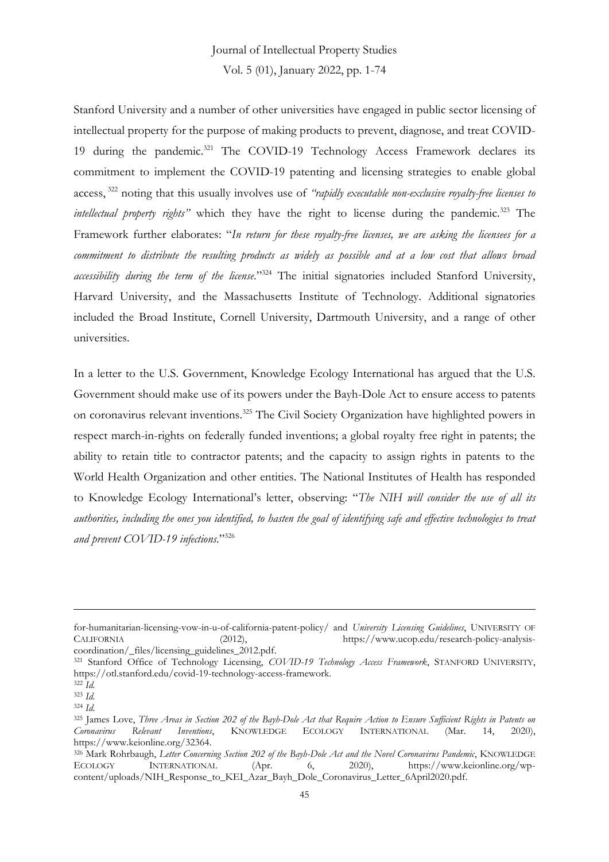# Journal of Intellectual Property Studies

Vol. 5 (01), January 2022, pp. 1-74

Stanford University and a number of other universities have engaged in public sector licensing of intellectual property for the purpose of making products to prevent, diagnose, and treat COVID-19 during the pandemic.<sup>321</sup> The COVID-19 Technology Access Framework declares its commitment to implement the COVID-19 patenting and licensing strategies to enable global access, <sup>322</sup> noting that this usually involves use of *"rapidly executable non-exclusive royalty-free licenses to intellectual property rights"* which they have the right to license during the pandemic*.* <sup>323</sup> The Framework further elaborates: "*In return for these royalty-free licenses, we are asking the licensees for a commitment to distribute the resulting products as widely as possible and at a low cost that allows broad accessibility during the term of the license*." <sup>324</sup> The initial signatories included Stanford University, Harvard University, and the Massachusetts Institute of Technology. Additional signatories included the Broad Institute, Cornell University, Dartmouth University, and a range of other universities.

In a letter to the U.S. Government, Knowledge Ecology International has argued that the U.S. Government should make use of its powers under the Bayh-Dole Act to ensure access to patents on coronavirus relevant inventions.<sup>325</sup> The Civil Society Organization have highlighted powers in respect march-in-rights on federally funded inventions; a global royalty free right in patents; the ability to retain title to contractor patents; and the capacity to assign rights in patents to the World Health Organization and other entities. The National Institutes of Health has responded to Knowledge Ecology International's letter, observing: "*The NIH will consider the use of all its authorities, including the ones you identified, to hasten the goal of identifying safe and effective technologies to treat and prevent COVID-19 infections*." 326

for-humanitarian-licensing-vow-in-u-of-california-patent-policy/ and *University Licensing Guidelines*, UNIVERSITY OF CALIFORNIA (2012), https://www.ucop.edu/research-policy-analysiscoordination/\_files/licensing\_guidelines\_2012.pdf.

<sup>321</sup> Stanford Office of Technology Licensing, *COVID-19 Technology Access Framework*, STANFORD UNIVERSITY, https://otl.stanford.edu/covid-19-technology-access-framework.

<sup>322</sup> *Id.*

<sup>323</sup> *Id.*

<sup>324</sup> *Id.*

<sup>&</sup>lt;sup>325</sup> James Love, *Three Areas in Section 202 of the Bayh-Dole Act that Require Action to Ensure Sufficient Rights in Patents on Coronavirus Relevant Inventions, KNOWLEDGE ECOLOGY INTERNATIONAL (Mar. 14, 2020), Coronavirus Relevant Inventions*, KNOWLEDGE ECOLOGY INTERNATIONAL (Mar. 14, 2020), https://www.keionline.org/32364.

<sup>326</sup> Mark Rohrbaugh, *Letter Concerning Section 202 of the Bayh-Dole Act and the Novel Coronavirus Pandemic*, KNOWLEDGE ECOLOGY INTERNATIONAL (Apr. 6, 2020), https://www.keionline.org/wpcontent/uploads/NIH\_Response\_to\_KEI\_Azar\_Bayh\_Dole\_Coronavirus\_Letter\_6April2020.pdf.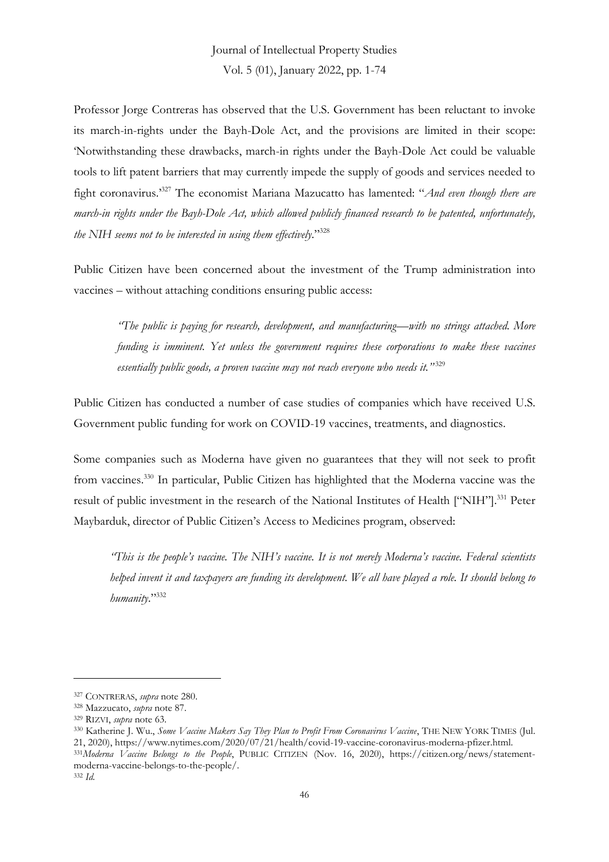Professor Jorge Contreras has observed that the U.S. Government has been reluctant to invoke its march-in-rights under the Bayh-Dole Act, and the provisions are limited in their scope: 'Notwithstanding these drawbacks, march-in rights under the Bayh-Dole Act could be valuable tools to lift patent barriers that may currently impede the supply of goods and services needed to fight coronavirus.'<sup>327</sup> The economist Mariana Mazucatto has lamented: "*And even though there are march-in rights under the Bayh-Dole Act, which allowed publicly financed research to be patented, unfortunately, the NIH seems not to be interested in using them effectively*." 328

Public Citizen have been concerned about the investment of the Trump administration into vaccines – without attaching conditions ensuring public access:

*"The public is paying for research, development, and manufacturing—with no strings attached. More funding is imminent. Yet unless the government requires these corporations to make these vaccines essentially public goods, a proven vaccine may not reach everyone who needs it."* 329

Public Citizen has conducted a number of case studies of companies which have received U.S. Government public funding for work on COVID-19 vaccines, treatments, and diagnostics.

Some companies such as Moderna have given no guarantees that they will not seek to profit from vaccines.<sup>330</sup> In particular, Public Citizen has highlighted that the Moderna vaccine was the result of public investment in the research of the National Institutes of Health ["NIH"].<sup>331</sup> Peter Maybarduk, director of Public Citizen's Access to Medicines program, observed:

*"This is the people's vaccine. The NIH's vaccine. It is not merely Moderna's vaccine. Federal scientists helped invent it and taxpayers are funding its development. We all have played a role. It should belong to humanity*." 332

<sup>327</sup> CONTRERAS, *supra* note 280.

<sup>328</sup> Mazzucato, *supra* note 87.

<sup>329</sup> RIZVI, *supra* note 63.

<sup>330</sup> Katherine J. Wu., *Some Vaccine Makers Say They Plan to Profit From Coronavirus Vaccine*, THE NEW YORK TIMES (Jul. 21, 2020), https://www.nytimes.com/2020/07/21/health/covid-19-vaccine-coronavirus-moderna-pfizer.html. <sup>331</sup>*Moderna Vaccine Belongs to the People*, PUBLIC CITIZEN (Nov. 16, 2020), https://citizen.org/news/statementmoderna-vaccine-belongs-to-the-people/. <sup>332</sup> *Id.*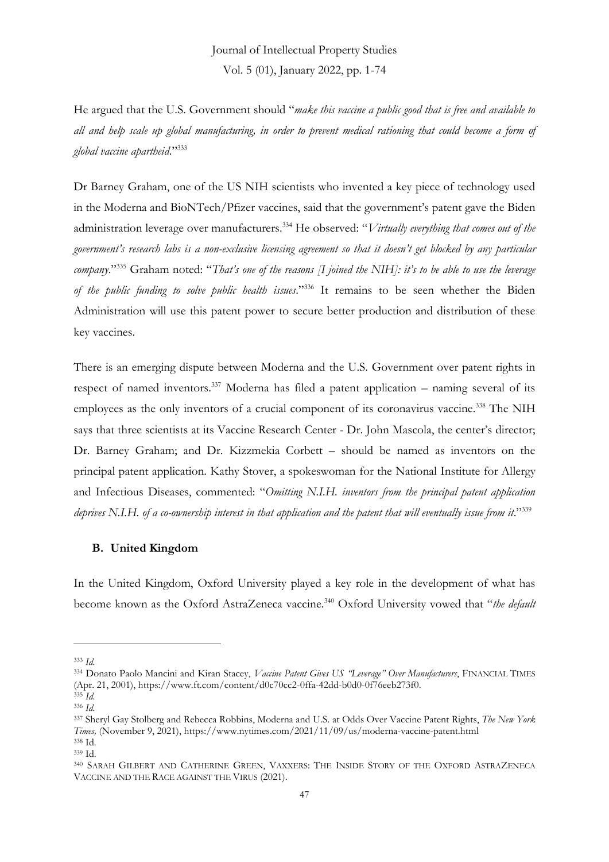He argued that the U.S. Government should "*make this vaccine a public good that is free and available to all and help scale up global manufacturing, in order to prevent medical rationing that could become a form of global vaccine apartheid*." 333

Dr Barney Graham, one of the US NIH scientists who invented a key piece of technology used in the Moderna and BioNTech/Pfizer vaccines, said that the government's patent gave the Biden administration leverage over manufacturers.<sup>334</sup> He observed: "*Virtually everything that comes out of the government's research labs is a non-exclusive licensing agreement so that it doesn't get blocked by any particular company*." <sup>335</sup> Graham noted: "*That's one of the reasons [I joined the NIH]: it's to be able to use the leverage of the public funding to solve public health issues*." <sup>336</sup> It remains to be seen whether the Biden Administration will use this patent power to secure better production and distribution of these key vaccines.

There is an emerging dispute between Moderna and the U.S. Government over patent rights in respect of named inventors.<sup>337</sup> Moderna has filed a patent application – naming several of its employees as the only inventors of a crucial component of its coronavirus vaccine.<sup>338</sup> The NIH says that three scientists at its Vaccine Research Center - Dr. John Mascola, the center's director; Dr. Barney Graham; and Dr. Kizzmekia Corbett – should be named as inventors on the principal patent application. Kathy Stover, a spokeswoman for the National Institute for Allergy and Infectious Diseases, commented: "*Omitting N.I.H. inventors from the principal patent application*  deprives N.I.H. of a co-ownership interest in that application and the patent that will eventually issue from it."<sup>339</sup>

#### **B. United Kingdom**

In the United Kingdom, Oxford University played a key role in the development of what has become known as the Oxford AstraZeneca vaccine.<sup>340</sup> Oxford University vowed that "*the default* 

<sup>333</sup> *Id.*

<sup>334</sup> Donato Paolo Mancini and Kiran Stacey, *Vaccine Patent Gives US "Leverage" Over Manufacturers*, FINANCIAL TIMES (Apr. 21, 2001), https://www.ft.com/content/d0c70cc2-0ffa-42dd-b0d0-0f76eeb273f0.

<sup>335</sup> *Id.* <sup>336</sup> *Id.*

<sup>337</sup> Sheryl Gay Stolberg and Rebecca Robbins, Moderna and U.S. at Odds Over Vaccine Patent Rights, *The New York Times,* (November 9, 2021), https://www.nytimes.com/2021/11/09/us/moderna-vaccine-patent.html <sup>338</sup> Id.

<sup>339</sup> Id.

<sup>340</sup> SARAH GILBERT AND CATHERINE GREEN, VAXXERS: THE INSIDE STORY OF THE OXFORD ASTRAZENECA VACCINE AND THE RACE AGAINST THE VIRUS (2021).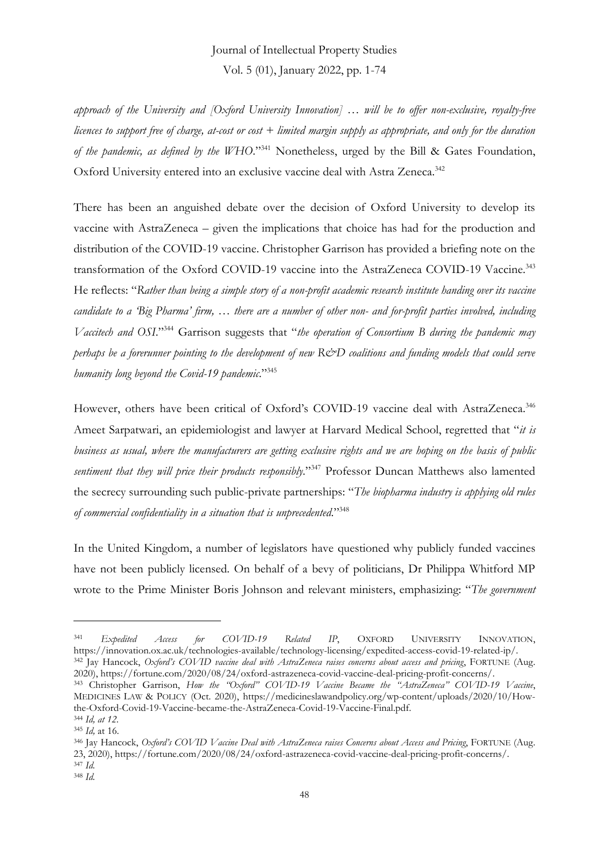*approach of the University and [Oxford University Innovation] … will be to offer non-exclusive, royalty-free licences to support free of charge, at-cost or cost + limited margin supply as appropriate, and only for the duration of the pandemic, as defined by the WHO*." <sup>341</sup> Nonetheless, urged by the Bill & Gates Foundation, Oxford University entered into an exclusive vaccine deal with Astra Zeneca.<sup>342</sup>

There has been an anguished debate over the decision of Oxford University to develop its vaccine with AstraZeneca – given the implications that choice has had for the production and distribution of the COVID-19 vaccine. Christopher Garrison has provided a briefing note on the transformation of the Oxford COVID-19 vaccine into the AstraZeneca COVID-19 Vaccine.<sup>343</sup> He reflects: "*Rather than being a simple story of a non-profit academic research institute handing over its vaccine candidate to a 'Big Pharma' firm, … there are a number of other non- and for-profit parties involved, including Vaccitech and OSI*." <sup>344</sup> Garrison suggests that "*the operation of Consortium B during the pandemic may perhaps be a forerunner pointing to the development of new R&D coalitions and funding models that could serve humanity long beyond the Covid-19 pandemic*." 345

However, others have been critical of Oxford's COVID-19 vaccine deal with AstraZeneca.<sup>346</sup> Ameet Sarpatwari, an epidemiologist and lawyer at Harvard Medical School, regretted that "*it is business as usual, where the manufacturers are getting exclusive rights and we are hoping on the basis of public*  sentiment that they will price their products responsibly."<sup>347</sup> Professor Duncan Matthews also lamented the secrecy surrounding such public-private partnerships: "*The biopharma industry is applying old rules of commercial confidentiality in a situation that is unprecedented*." 348

In the United Kingdom, a number of legislators have questioned why publicly funded vaccines have not been publicly licensed. On behalf of a bevy of politicians, Dr Philippa Whitford MP wrote to the Prime Minister Boris Johnson and relevant ministers, emphasizing: "*The government* 

<sup>341</sup> *Expedited Access for COVID-19 Related IP*, OXFORD UNIVERSITY INNOVATION, https://innovation.ox.ac.uk/technologies-available/technology-licensing/expedited-access-covid-19-related-ip/. <sup>342</sup> Jay Hancock, *Oxford's COVID vaccine deal with AstraZeneca raises concerns about access and pricing*, FORTUNE (Aug.

<sup>2020),</sup> https://fortune.com/2020/08/24/oxford-astrazeneca-covid-vaccine-deal-pricing-profit-concerns/. <sup>343</sup> Christopher Garrison, *How the "Oxford" COVID-19 Vaccine Became the "AstraZeneca" COVID-19 Vaccine*, MEDICINES LAW & POLICY (Oct. 2020), https://medicineslawandpolicy.org/wp-content/uploads/2020/10/Howthe-Oxford-Covid-19-Vaccine-became-the-AstraZeneca-Covid-19-Vaccine-Final.pdf.

<sup>344</sup> *Id, at 12.* <sup>345</sup> *Id,* at 16.

<sup>346</sup> Jay Hancock, *Oxford's COVID Vaccine Deal with AstraZeneca raises Concerns about Access and Pricing*, FORTUNE (Aug. 23, 2020), https://fortune.com/2020/08/24/oxford-astrazeneca-covid-vaccine-deal-pricing-profit-concerns/. <sup>347</sup> *Id.*

<sup>348</sup> *Id.*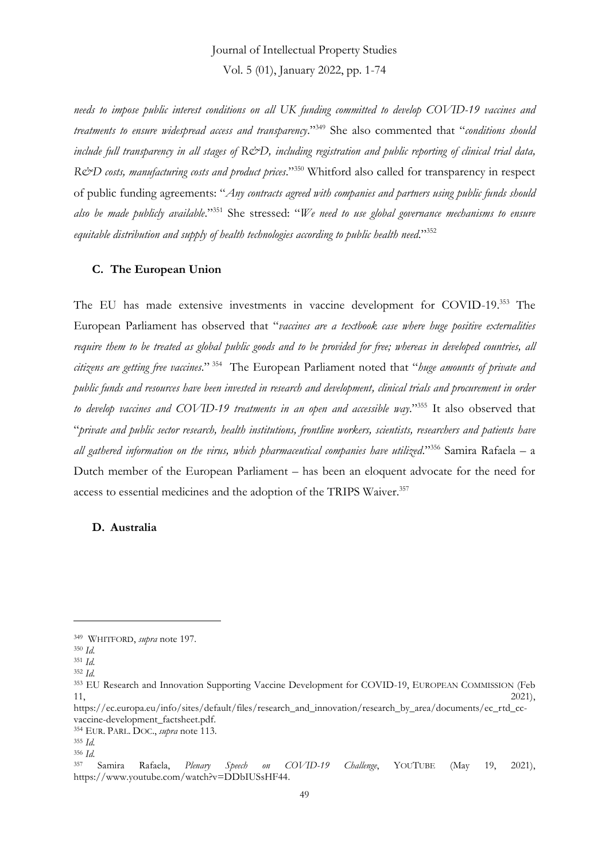*needs to impose public interest conditions on all UK funding committed to develop COVID-19 vaccines and treatments to ensure widespread access and transparency*." <sup>349</sup> She also commented that "*conditions should include full transparency in all stages of R&D, including registration and public reporting of clinical trial data,*  R&D costs, manufacturing costs and product prices."<sup>350</sup> Whitford also called for transparency in respect of public funding agreements: "*Any contracts agreed with companies and partners using public funds should also be made publicly available*." <sup>351</sup> She stressed: "*We need to use global governance mechanisms to ensure equitable distribution and supply of health technologies according to public health need*." 352

#### **C. The European Union**

The EU has made extensive investments in vaccine development for COVID-19.<sup>353</sup> The European Parliament has observed that "*vaccines are a textbook case where huge positive externalities require them to be treated as global public goods and to be provided for free; whereas in developed countries, all citizens are getting free vaccines*." 354 The European Parliament noted that "*huge amounts of private and public funds and resources have been invested in research and development, clinical trials and procurement in order to develop vaccines and COVID-19 treatments in an open and accessible way*." <sup>355</sup> It also observed that "*private and public sector research, health institutions, frontline workers, scientists, researchers and patients have all gathered information on the virus, which pharmaceutical companies have utilized*." <sup>356</sup> Samira Rafaela – a Dutch member of the European Parliament – has been an eloquent advocate for the need for access to essential medicines and the adoption of the TRIPS Waiver.<sup>357</sup>

#### **D. Australia**

<sup>349</sup> WHITFORD, *supra* note 197.

<sup>350</sup> *Id.*

<sup>351</sup> *Id.*

<sup>352</sup> *Id.*

<sup>353</sup> EU Research and Innovation Supporting Vaccine Development for COVID-19, EUROPEAN COMMISSION (Feb  $11,$  2021),

https://ec.europa.eu/info/sites/default/files/research\_and\_innovation/research\_by\_area/documents/ec\_rtd\_ccvaccine-development\_factsheet.pdf.

<sup>354</sup> EUR. PARL. DOC., *supra* note 113.

<sup>355</sup> *Id.* <sup>356</sup> *Id.*

<sup>357</sup> Samira Rafaela, *Plenary Speech on COVID-19 Challenge*, YOUTUBE (May 19, 2021), https://www.youtube.com/watch?v=DDbIUSsHF44.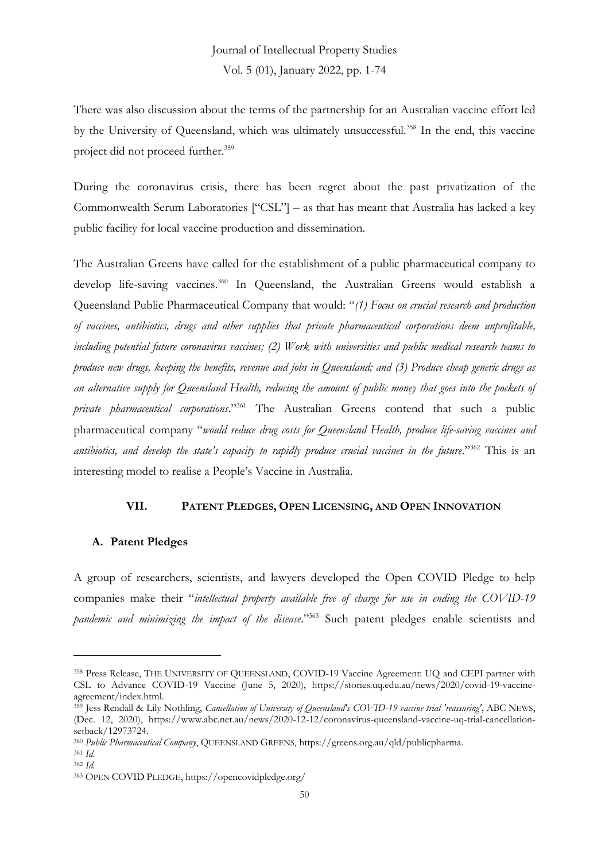There was also discussion about the terms of the partnership for an Australian vaccine effort led by the University of Queensland, which was ultimately unsuccessful.<sup>358</sup> In the end, this vaccine project did not proceed further.<sup>359</sup>

During the coronavirus crisis, there has been regret about the past privatization of the Commonwealth Serum Laboratories ["CSL"] – as that has meant that Australia has lacked a key public facility for local vaccine production and dissemination.

The Australian Greens have called for the establishment of a public pharmaceutical company to develop life-saving vaccines.<sup>360</sup> In Queensland, the Australian Greens would establish a Queensland Public Pharmaceutical Company that would: "*(1) Focus on crucial research and production of vaccines, antibiotics, drugs and other supplies that private pharmaceutical corporations deem unprofitable, including potential future coronavirus vaccines; (2) Work with universities and public medical research teams to produce new drugs, keeping the benefits, revenue and jobs in Queensland; and (3) Produce cheap generic drugs as an alternative supply for Queensland Health, reducing the amount of public money that goes into the pockets of private pharmaceutical corporations*." <sup>361</sup> The Australian Greens contend that such a public pharmaceutical company "*would reduce drug costs for Queensland Health, produce life-saving vaccines and antibiotics, and develop the state's capacity to rapidly produce crucial vaccines in the future*." <sup>362</sup> This is an interesting model to realise a People's Vaccine in Australia.

#### **VII. PATENT PLEDGES, OPEN LICENSING, AND OPEN INNOVATION**

#### **A. Patent Pledges**

A group of researchers, scientists, and lawyers developed the Open COVID Pledge to help companies make their "*intellectual property available free of charge for use in ending the COVID-19 pandemic and minimizing the impact of the disease*." <sup>363</sup> Such patent pledges enable scientists and

<sup>358</sup> Press Release, THE UNIVERSITY OF QUEENSLAND, COVID-19 Vaccine Agreement: UQ and CEPI partner with CSL to Advance COVID-19 Vaccine (June 5, 2020), https://stories.uq.edu.au/news/2020/covid-19-vaccineagreement/index.html.

<sup>359</sup> Jess Rendall & Lily Nothling, *Cancellation of University of Queensland's COVID-19 vaccine trial 'reassuring'*, ABC NEWS, (Dec. 12, 2020), https://www.abc.net.au/news/2020-12-12/coronavirus-queensland-vaccine-uq-trial-cancellationsetback/12973724.

<sup>360</sup> *Public Pharmaceutical Company*, QUEENSLAND GREENS, https://greens.org.au/qld/publicpharma.

<sup>361</sup> *Id.* <sup>362</sup> *Id.*

<sup>363</sup> OPEN COVID PLEDGE, https://opencovidpledge.org/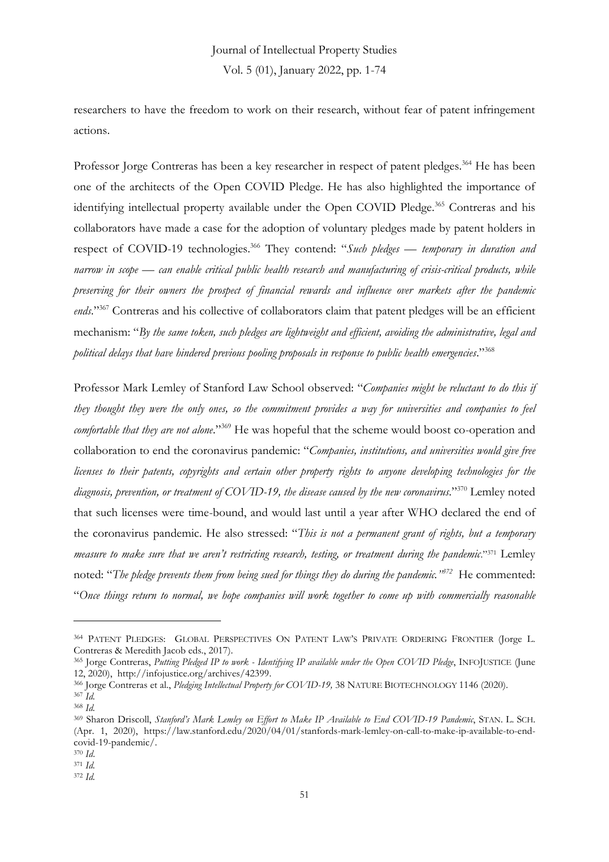researchers to have the freedom to work on their research, without fear of patent infringement actions.

Professor Jorge Contreras has been a key researcher in respect of patent pledges.<sup>364</sup> He has been one of the architects of the Open COVID Pledge. He has also highlighted the importance of identifying intellectual property available under the Open COVID Pledge.<sup>365</sup> Contreras and his collaborators have made a case for the adoption of voluntary pledges made by patent holders in respect of COVID-19 technologies.<sup>366</sup> They contend: "*Such pledges — temporary in duration and narrow in scope — can enable critical public health research and manufacturing of crisis-critical products, while preserving for their owners the prospect of financial rewards and influence over markets after the pandemic*  ends."<sup>367</sup> Contreras and his collective of collaborators claim that patent pledges will be an efficient mechanism: "*By the same token, such pledges are lightweight and efficient, avoiding the administrative, legal and political delays that have hindered previous pooling proposals in response to public health emergencies*." 368

Professor Mark Lemley of Stanford Law School observed: "*Companies might be reluctant to do this if they thought they were the only ones, so the commitment provides a way for universities and companies to feel*  comfortable that they are not alone."<sup>369</sup> He was hopeful that the scheme would boost co-operation and collaboration to end the coronavirus pandemic: "*Companies, institutions, and universities would give free licenses to their patents, copyrights and certain other property rights to anyone developing technologies for the diagnosis, prevention, or treatment of COVID-19, the disease caused by the new coronavirus*." <sup>370</sup> Lemley noted that such licenses were time-bound, and would last until a year after WHO declared the end of the coronavirus pandemic. He also stressed: "*This is not a permanent grant of rights, but a temporary measure to make sure that we aren't restricting research, testing, or treatment during the pandemic*." <sup>371</sup> Lemley noted: "*The pledge prevents them from being sued for things they do during the pandemic." 372* He commented: "*Once things return to normal, we hope companies will work together to come up with commercially reasonable*

<sup>364</sup> PATENT PLEDGES: GLOBAL PERSPECTIVES ON PATENT LAW'S PRIVATE ORDERING FRONTIER (Jorge L. Contreras & Meredith Jacob eds., 2017).

<sup>365</sup> Jorge Contreras, *Putting Pledged IP to work - Identifying IP available under the Open COVID Pledge*, INFOJUSTICE (June 12, 2020), http://infojustice.org/archives/42399.

<sup>366</sup> Jorge Contreras et al., *Pledging Intellectual Property for COVID-19,* 38 NATURE BIOTECHNOLOGY 1146 (2020). <sup>367</sup> *Id.*

<sup>368</sup> *Id.*

<sup>369</sup> Sharon Driscoll, *Stanford's Mark Lemley on Effort to Make IP Available to End COVID-19 Pandemic*, STAN. L. SCH. (Apr. 1, 2020), https://law.stanford.edu/2020/04/01/stanfords-mark-lemley-on-call-to-make-ip-available-to-endcovid-19-pandemic/.

<sup>370</sup> *Id*.

<sup>371</sup> *Id.*

<sup>372</sup> *Id.*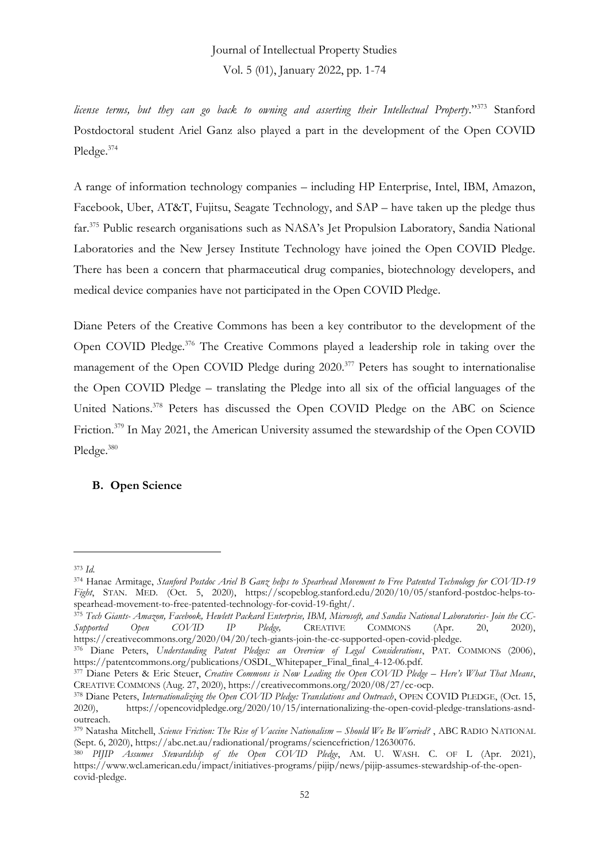*license terms, but they can go back to owning and asserting their Intellectual Property*." <sup>373</sup> Stanford Postdoctoral student Ariel Ganz also played a part in the development of the Open COVID Pledge.<sup>374</sup>

A range of information technology companies – including HP Enterprise, Intel, IBM, Amazon, Facebook, Uber, AT&T, Fujitsu, Seagate Technology, and SAP – have taken up the pledge thus far.<sup>375</sup> Public research organisations such as NASA's Jet Propulsion Laboratory, Sandia National Laboratories and the New Jersey Institute Technology have joined the Open COVID Pledge. There has been a concern that pharmaceutical drug companies, biotechnology developers, and medical device companies have not participated in the Open COVID Pledge.

Diane Peters of the Creative Commons has been a key contributor to the development of the Open COVID Pledge.<sup>376</sup> The Creative Commons played a leadership role in taking over the management of the Open COVID Pledge during 2020.<sup>377</sup> Peters has sought to internationalise the Open COVID Pledge – translating the Pledge into all six of the official languages of the United Nations.<sup>378</sup> Peters has discussed the Open COVID Pledge on the ABC on Science Friction.<sup>379</sup> In May 2021, the American University assumed the stewardship of the Open COVID Pledge.<sup>380</sup>

### **B. Open Science**

<sup>373</sup> *Id.*

<sup>374</sup> Hanae Armitage, *Stanford Postdoc Ariel B Ganz helps to Spearhead Movement to Free Patented Technology for COVID-19 Fight*, STAN. MED*.* (Oct. 5, 2020), https://scopeblog.stanford.edu/2020/10/05/stanford-postdoc-helps-tospearhead-movement-to-free-patented-technology-for-covid-19-fight/.

<sup>375</sup> *Tech Giants- Amazon, Facebook, Hewlett Packard Enterprise, IBM, Microsoft, and Sandia National Laboratories- Join the CC-Supported Open COVID IP Pledge,* CREATIVE COMMONS (Apr. 20, 2020), https://creativecommons.org/2020/04/20/tech-giants-join-the-cc-supported-open-covid-pledge.

<sup>376</sup> Diane Peters, *Understanding Patent Pledges: an Overview of Legal Considerations*, PAT. COMMONS (2006), https://patentcommons.org/publications/OSDL\_Whitepaper\_Final\_final\_4-12-06.pdf.

<sup>377</sup> Diane Peters & Eric Steuer, *Creative Commons is Now Leading the Open COVID Pledge – Here's What That Means*, CREATIVE COMMONS (Aug. 27, 2020), https://creativecommons.org/2020/08/27/cc-ocp.

<sup>&</sup>lt;sup>378</sup> Diane Peters, *Internationalizing the Open COVID Pledge: Translations and Outreach*, OPEN COVID PLEDGE, (Oct. 15, 2020), https://opencovidpledge.org/2020/10/15/internationalizing-the-open-covid-pledge-translations-asndoutreach.

<sup>379</sup> Natasha Mitchell, *Science Friction: The Rise of Vaccine Nationalism – Should We Be Worried?* , ABC RADIO NATIONAL (Sept. 6, 2020), https://abc.net.au/radionational/programs/sciencefriction/12630076.

<sup>380</sup> *PIJIP Assumes Stewardship of the Open COVID Pledge*, AM. U. WASH. C. OF L (Apr. 2021), https://www.wcl.american.edu/impact/initiatives-programs/pijip/news/pijip-assumes-stewardship-of-the-opencovid-pledge.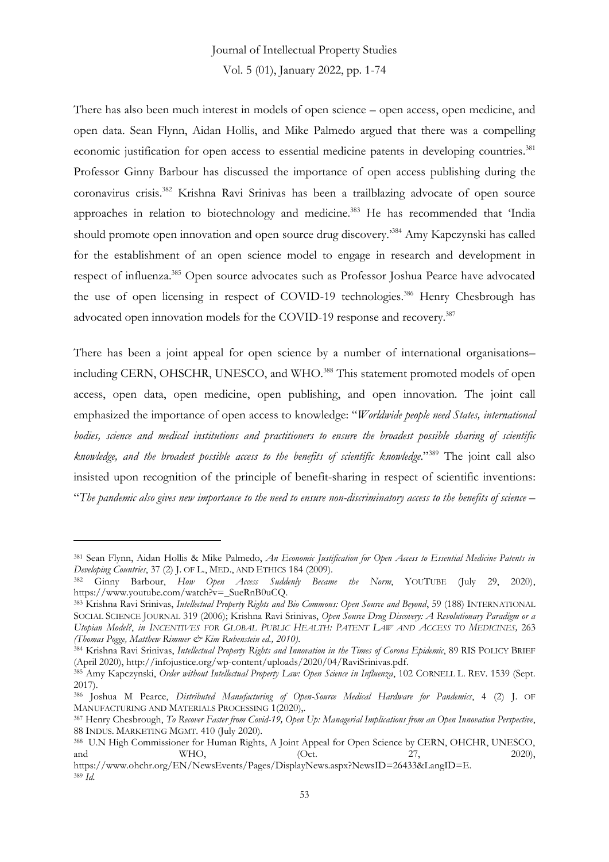# Journal of Intellectual Property Studies

Vol. 5 (01), January 2022, pp. 1-74

There has also been much interest in models of open science – open access, open medicine, and open data. Sean Flynn, Aidan Hollis, and Mike Palmedo argued that there was a compelling economic justification for open access to essential medicine patents in developing countries.<sup>381</sup> Professor Ginny Barbour has discussed the importance of open access publishing during the coronavirus crisis.<sup>382</sup> Krishna Ravi Srinivas has been a trailblazing advocate of open source approaches in relation to biotechnology and medicine.<sup>383</sup> He has recommended that 'India should promote open innovation and open source drug discovery.<sup>384</sup> Amy Kapczynski has called for the establishment of an open science model to engage in research and development in respect of influenza.<sup>385</sup> Open source advocates such as Professor Joshua Pearce have advocated the use of open licensing in respect of COVID-19 technologies.<sup>386</sup> Henry Chesbrough has advocated open innovation models for the COVID-19 response and recovery.<sup>387</sup>

There has been a joint appeal for open science by a number of international organisations– including CERN, OHSCHR, UNESCO, and WHO.<sup>388</sup> This statement promoted models of open access, open data, open medicine, open publishing, and open innovation. The joint call emphasized the importance of open access to knowledge: "*Worldwide people need States, international bodies, science and medical institutions and practitioners to ensure the broadest possible sharing of scientific knowledge, and the broadest possible access to the benefits of scientific knowledge*." <sup>389</sup> The joint call also insisted upon recognition of the principle of benefit-sharing in respect of scientific inventions: "*The pandemic also gives new importance to the need to ensure non-discriminatory access to the benefits of science –*

<sup>381</sup> Sean Flynn, Aidan Hollis & Mike Palmedo, *An Economic Justification for Open Access to Essential Medicine Patents in Developing Countries*, 37 (2) J. OF L., MED., AND ETHICS 184 (2009).

<sup>382</sup> Ginny Barbour, *How Open Access Suddenly Became the Norm*, YOUTUBE (July 29, 2020), https://www.youtube.com/watch?v=\_SueRnB0uCQ.

<sup>383</sup> Krishna Ravi Srinivas, *Intellectual Property Rights and Bio Commons: Open Source and Beyond*, 59 (188) INTERNATIONAL SOCIAL SCIENCE JOURNAL 319 (2006); Krishna Ravi Srinivas, *Open Source Drug Discovery: A Revolutionary Paradigm or a*  Utopian Model?, in INCENTIVES FOR GLOBAL PUBLIC HEALTH: PATENT LAW AND ACCESS TO MEDICINES, 263 *(Thomas Pogge, Matthew Rimmer & Kim Rubenstein ed., 2010)*.

<sup>384</sup> Krishna Ravi Srinivas, *Intellectual Property Rights and Innovation in the Times of Corona Epidemic*, 89 RIS POLICY BRIEF (April 2020), http://infojustice.org/wp-content/uploads/2020/04/RaviSrinivas.pdf.

<sup>385</sup> Amy Kapczynski, *Order without Intellectual Property Law: Open Science in Influenza*, 102 CORNELL L. REV. 1539 (Sept. 2017).

<sup>386</sup> Joshua M Pearce, *Distributed Manufacturing of Open-Source Medical Hardware for Pandemics*, 4 (2) J. OF MANUFACTURING AND MATERIALS PROCESSING 1(2020),.

<sup>387</sup> Henry Chesbrough, *To Recover Faster from Covid-19, Open Up: Managerial Implications from an Open Innovation Perspective*, 88 INDUS. MARKETING MGMT. 410 (July 2020).

<sup>388</sup> U.N High Commissioner for Human Rights, A Joint Appeal for Open Science by CERN, OHCHR, UNESCO, and WHO, (Oct. 27, 2020),

https://www.ohchr.org/EN/NewsEvents/Pages/DisplayNews.aspx?NewsID=26433&LangID=E. <sup>389</sup> *Id.*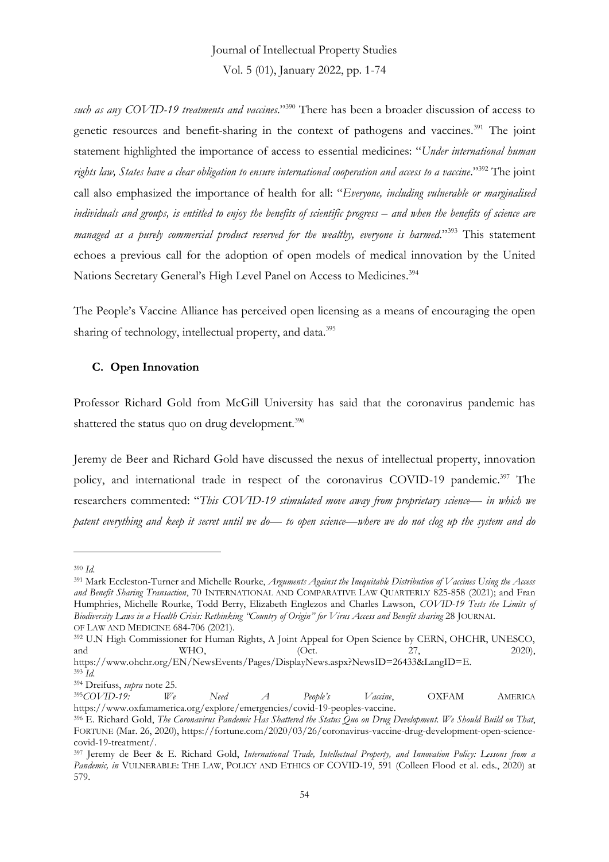*such as any COVID-19 treatments and vaccines*." <sup>390</sup> There has been a broader discussion of access to genetic resources and benefit-sharing in the context of pathogens and vaccines.<sup>391</sup> The joint statement highlighted the importance of access to essential medicines: "*Under international human rights law, States have a clear obligation to ensure international cooperation and access to a vaccine*." <sup>392</sup> The joint call also emphasized the importance of health for all: "*Everyone, including vulnerable or marginalised*  individuals and groups, is entitled to enjoy the benefits of scientific progress – and when the benefits of science are *managed as a purely commercial product reserved for the wealthy, everyone is harmed*." <sup>393</sup> This statement echoes a previous call for the adoption of open models of medical innovation by the United Nations Secretary General's High Level Panel on Access to Medicines.<sup>394</sup>

The People's Vaccine Alliance has perceived open licensing as a means of encouraging the open sharing of technology, intellectual property, and data.<sup>395</sup>

#### **C. Open Innovation**

Professor Richard Gold from McGill University has said that the coronavirus pandemic has shattered the status quo on drug development.<sup>396</sup>

Jeremy de Beer and Richard Gold have discussed the nexus of intellectual property, innovation policy, and international trade in respect of the coronavirus COVID-19 pandemic.<sup>397</sup> The researchers commented: "*This COVID-19 stimulated move away from proprietary science— in which we patent everything and keep it secret until we do— to open science—where we do not clog up the system and do* 

https://www.ohchr.org/EN/NewsEvents/Pages/DisplayNews.aspx?NewsID=26433&LangID=E. <sup>393</sup> *Id.*

<sup>390</sup> *Id.*

<sup>391</sup> Mark Eccleston-Turner and Michelle Rourke, *Arguments Against the Inequitable Distribution of Vaccines Using the Access and Benefit Sharing Transaction*, 70 INTERNATIONAL AND COMPARATIVE LAW QUARTERLY 825-858 (2021); and Fran Humphries, Michelle Rourke, Todd Berry, Elizabeth Englezos and Charles Lawson, *COVID-19 Tests the Limits of Biodiversity Laws in a Health Crisis: Rethinking "Country of Origin" for Virus Access and Benefit sharing* 28 JOURNAL OF LAW AND MEDICINE 684-706 (2021).

<sup>&</sup>lt;sup>392</sup> U.N High Commissioner for Human Rights, A Joint Appeal for Open Science by CERN, OHCHR, UNESCO, and WHO, (Oct. 2020), and WHO, (Oct. 27, 2020),

<sup>394</sup> Dreifuss, *supra* note 25.

<sup>395</sup>*COVID-19: We Need A People's Vaccine*, OXFAM AMERICA https://www.oxfamamerica.org/explore/emergencies/covid-19-peoples-vaccine.

<sup>396</sup> E. Richard Gold, *The Coronavirus Pandemic Has Shattered the Status Quo on Drug Development. We Should Build on That*, FORTUNE (Mar. 26, 2020), https://fortune.com/2020/03/26/coronavirus-vaccine-drug-development-open-sciencecovid-19-treatment/.

<sup>397</sup> Jeremy de Beer & E. Richard Gold, *International Trade, Intellectual Property, and Innovation Policy: Lessons from a*  Pandemic, in VULNERABLE: THE LAW, POLICY AND ETHICS OF COVID-19, 591 (Colleen Flood et al. eds., 2020) at 579.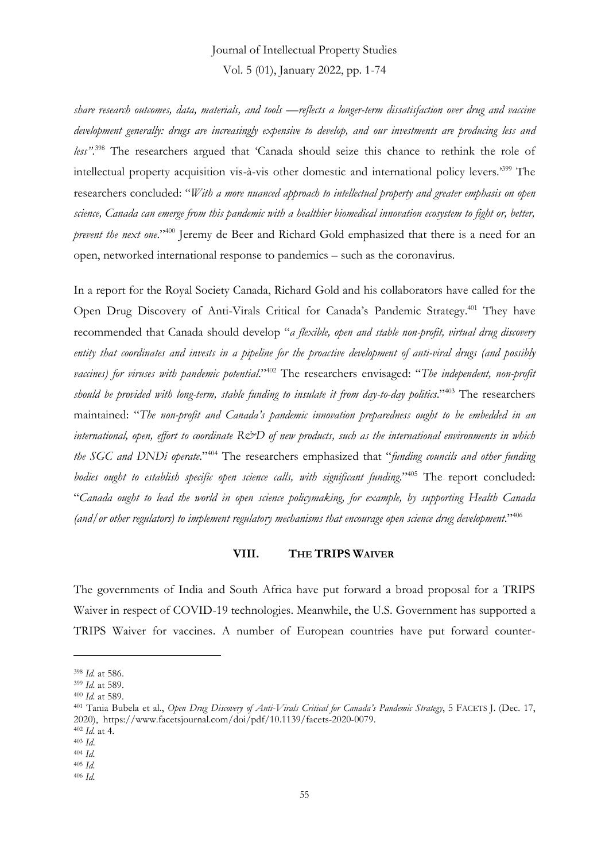# Journal of Intellectual Property Studies

Vol. 5 (01), January 2022, pp. 1-74

*share research outcomes, data, materials, and tools —reflects a longer-term dissatisfaction over drug and vaccine development generally: drugs are increasingly expensive to develop, and our investments are producing less and less"*. <sup>398</sup> The researchers argued that 'Canada should seize this chance to rethink the role of intellectual property acquisition vis-à-vis other domestic and international policy levers.'<sup>399</sup> The researchers concluded: "*With a more nuanced approach to intellectual property and greater emphasis on open science, Canada can emerge from this pandemic with a healthier biomedical innovation ecosystem to fight or, better, prevent the next one*." <sup>400</sup> Jeremy de Beer and Richard Gold emphasized that there is a need for an open, networked international response to pandemics – such as the coronavirus.

In a report for the Royal Society Canada, Richard Gold and his collaborators have called for the Open Drug Discovery of Anti-Virals Critical for Canada's Pandemic Strategy.<sup>401</sup> They have recommended that Canada should develop "*a flexible, open and stable non-profit, virtual drug discovery entity that coordinates and invests in a pipeline for the proactive development of anti-viral drugs (and possibly vaccines) for viruses with pandemic potential*." <sup>402</sup> The researchers envisaged: "*The independent, non-profit should be provided with long-term, stable funding to insulate it from day-to-day politics*." <sup>403</sup> The researchers maintained: "*The non-profit and Canada's pandemic innovation preparedness ought to be embedded in an international, open, effort to coordinate R&D of new products, such as the international environments in which the SGC and DNDi operate*." <sup>404</sup> The researchers emphasized that "*funding councils and other funding bodies ought to establish specific open science calls, with significant funding*." <sup>405</sup> The report concluded: "*Canada ought to lead the world in open science policymaking, for example, by supporting Health Canada (and/or other regulators) to implement regulatory mechanisms that encourage open science drug development*." 406

#### **VIII. THE TRIPS WAIVER**

The governments of India and South Africa have put forward a broad proposal for a TRIPS Waiver in respect of COVID-19 technologies. Meanwhile, the U.S. Government has supported a TRIPS Waiver for vaccines. A number of European countries have put forward counter-

<sup>398</sup> *Id.* at 586.

<sup>399</sup> *Id.* at 589.

<sup>400</sup> *Id.* at 589.

<sup>401</sup> Tania Bubela et al., *Open Drug Discovery of Anti-Virals Critical for Canada's Pandemic Strategy*, 5 FACETS J. (Dec. 17, 2020), https://www.facetsjournal.com/doi/pdf/10.1139/facets-2020-0079.

<sup>402</sup> *Id.* at 4.

<sup>403</sup> *Id*. <sup>404</sup> *Id.*

<sup>405</sup> *Id.*

<sup>406</sup> *Id.*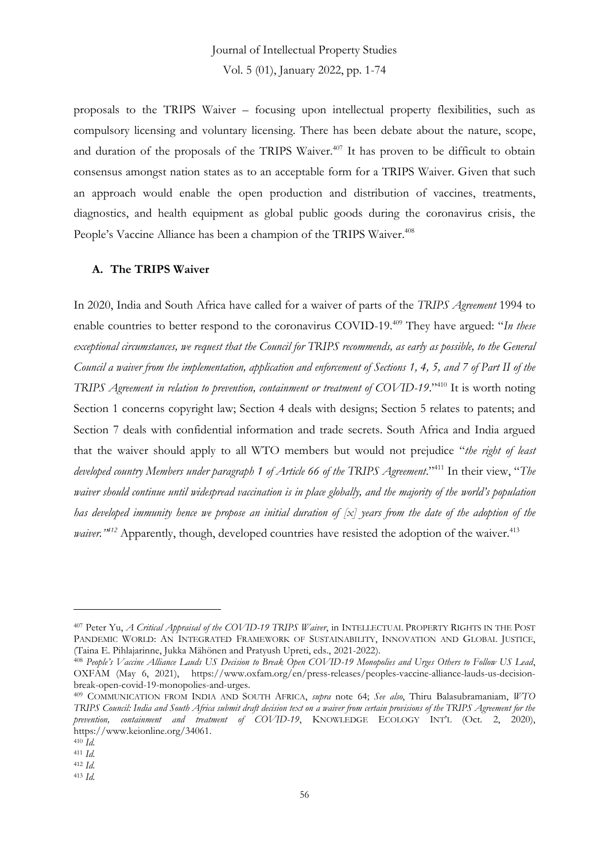proposals to the TRIPS Waiver – focusing upon intellectual property flexibilities, such as compulsory licensing and voluntary licensing. There has been debate about the nature, scope, and duration of the proposals of the TRIPS Waiver.<sup>407</sup> It has proven to be difficult to obtain consensus amongst nation states as to an acceptable form for a TRIPS Waiver. Given that such an approach would enable the open production and distribution of vaccines, treatments, diagnostics, and health equipment as global public goods during the coronavirus crisis, the People's Vaccine Alliance has been a champion of the TRIPS Waiver.<sup>408</sup>

### **A. The TRIPS Waiver**

In 2020, India and South Africa have called for a waiver of parts of the *TRIPS Agreement* 1994 to enable countries to better respond to the coronavirus COVID-19.<sup>409</sup> They have argued: "*In these exceptional circumstances, we request that the Council for TRIPS recommends, as early as possible, to the General Council a waiver from the implementation, application and enforcement of Sections 1, 4, 5, and 7 of Part II of the TRIPS Agreement in relation to prevention, containment or treatment of COVID-19*." <sup>410</sup> It is worth noting Section 1 concerns copyright law; Section 4 deals with designs; Section 5 relates to patents; and Section 7 deals with confidential information and trade secrets. South Africa and India argued that the waiver should apply to all WTO members but would not prejudice "*the right of least developed country Members under paragraph 1 of Article 66 of the TRIPS Agreement*." <sup>411</sup> In their view, "*The waiver should continue until widespread vaccination is in place globally, and the majority of the world's population has developed immunity hence we propose an initial duration of [x] years from the date of the adoption of the* waiver.<sup>1412</sup> Apparently, though, developed countries have resisted the adoption of the waiver.<sup>413</sup>

<sup>407</sup> Peter Yu, *A Critical Appraisal of the COVID-19 TRIPS Waiver*, in INTELLECTUAL PROPERTY RIGHTS IN THE POST PANDEMIC WORLD: AN INTEGRATED FRAMEWORK OF SUSTAINABILITY, INNOVATION AND GLOBAL JUSTICE, (Taina E. Pihlajarinne, Jukka Mähönen and Pratyush Upreti, eds., 2021-2022).

<sup>408</sup> *People's Vaccine Alliance Lauds US Decision to Break Open COVID-19 Monopolies and Urges Others to Follow US Lead*, OXFAM (May 6, 2021), https://www.oxfam.org/en/press-releases/peoples-vaccine-alliance-lauds-us-decisionbreak-open-covid-19-monopolies-and-urges.

<sup>409</sup> COMMUNICATION FROM INDIA AND SOUTH AFRICA, *supra* note 64; *See also*, Thiru Balasubramaniam, *WTO TRIPS Council: India and South Africa submit draft decision text on a waiver from certain provisions of the TRIPS Agreement for the prevention, containment and treatment of COVID-19*, KNOWLEDGE ECOLOGY INT'L (Oct. 2, 2020), https://www.keionline.org/34061.

<sup>410</sup> *Id.*

<sup>411</sup> *Id.*

<sup>412</sup> *Id.* <sup>413</sup> *Id.*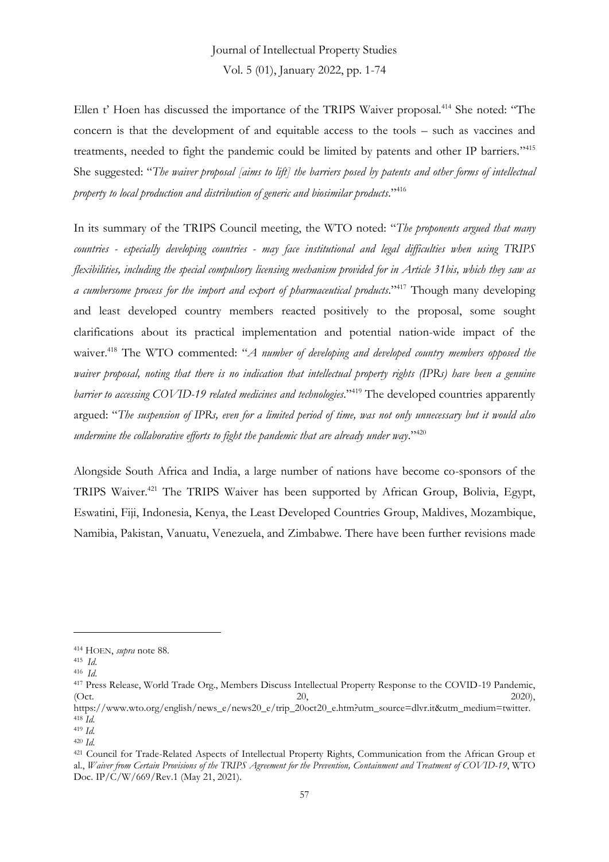Ellen t' Hoen has discussed the importance of the TRIPS Waiver proposal.<sup>414</sup> She noted: "The concern is that the development of and equitable access to the tools – such as vaccines and treatments, needed to fight the pandemic could be limited by patents and other IP barriers."<sup>415</sup> She suggested: "*The waiver proposal [aims to lift] the barriers posed by patents and other forms of intellectual property to local production and distribution of generic and biosimilar products*." 416

In its summary of the TRIPS Council meeting, the WTO noted: "*The proponents argued that many countries - especially developing countries - may face institutional and legal difficulties when using TRIPS flexibilities, including the special compulsory licensing mechanism provided for in Article 31bis, which they saw as*  a cumbersome process for the import and export of pharmaceutical products."<sup>417</sup> Though many developing and least developed country members reacted positively to the proposal, some sought clarifications about its practical implementation and potential nation-wide impact of the waiver. <sup>418</sup> The WTO commented: "*A number of developing and developed country members opposed the waiver proposal, noting that there is no indication that intellectual property rights (IPRs) have been a genuine barrier to accessing COVID-19 related medicines and technologies*." <sup>419</sup> The developed countries apparently argued: "*The suspension of IPRs, even for a limited period of time, was not only unnecessary but it would also undermine the collaborative efforts to fight the pandemic that are already under way*." 420

Alongside South Africa and India, a large number of nations have become co-sponsors of the TRIPS Waiver.<sup>421</sup> The TRIPS Waiver has been supported by African Group, Bolivia, Egypt, Eswatini, Fiji, Indonesia, Kenya, the Least Developed Countries Group, Maldives, Mozambique, Namibia, Pakistan, Vanuatu, Venezuela, and Zimbabwe. There have been further revisions made

<sup>414</sup> HOEN, *supra* note 88.

<sup>415</sup> *Id*.

<sup>416</sup> *Id*.

<sup>417</sup> Press Release, World Trade Org., Members Discuss Intellectual Property Response to the COVID-19 Pandemic, (Oct. 2020), 2020), 2020), 2020, 2020, 2020, 2020, 2020, 2020, 2020, 2020, 2020, 2020, 2020, 2020, 2020, 2020, 2020, 2020, 2020, 2020, 2020, 2020, 2020, 2020, 2020, 2020, 2020, 2020, 2020, 2020, 2020, 2020, 2020, 2020, 202

https://www.wto.org/english/news\_e/news20\_e/trip\_20oct20\_e.htm?utm\_source=dlvr.it&utm\_medium=twitter. <sup>418</sup> *Id.*

<sup>419</sup> *Id.*

<sup>420</sup> *Id.*

<sup>421</sup> Council for Trade-Related Aspects of Intellectual Property Rights, Communication from the African Group et al., *Waiver from Certain Provisions of the TRIPS Agreement for the Prevention, Containment and Treatment of COVID-19*, WTO Doc. IP/C/W/669/Rev.1 (May 21, 2021).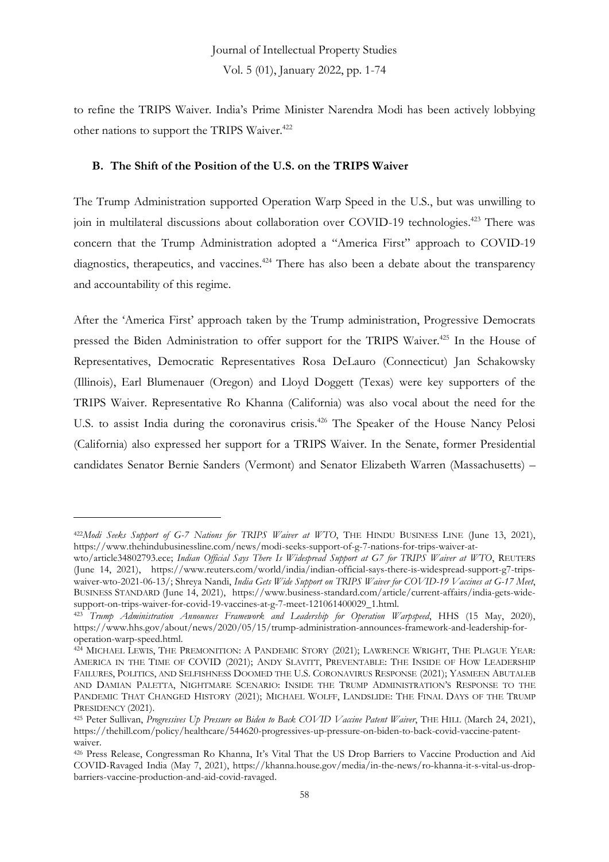to refine the TRIPS Waiver. India's Prime Minister Narendra Modi has been actively lobbying other nations to support the TRIPS Waiver.<sup>422</sup>

#### **B. The Shift of the Position of the U.S. on the TRIPS Waiver**

The Trump Administration supported Operation Warp Speed in the U.S., but was unwilling to join in multilateral discussions about collaboration over COVID-19 technologies.<sup>423</sup> There was concern that the Trump Administration adopted a "America First" approach to COVID-19 diagnostics, therapeutics, and vaccines.<sup>424</sup> There has also been a debate about the transparency and accountability of this regime.

After the 'America First' approach taken by the Trump administration, Progressive Democrats pressed the Biden Administration to offer support for the TRIPS Waiver.<sup>425</sup> In the House of Representatives, Democratic Representatives Rosa DeLauro (Connecticut) Jan Schakowsky (Illinois), Earl Blumenauer (Oregon) and Lloyd Doggett (Texas) were key supporters of the TRIPS Waiver. Representative Ro Khanna (California) was also vocal about the need for the U.S. to assist India during the coronavirus crisis.<sup>426</sup> The Speaker of the House Nancy Pelosi (California) also expressed her support for a TRIPS Waiver. In the Senate, former Presidential candidates Senator Bernie Sanders (Vermont) and Senator Elizabeth Warren (Massachusetts) –

<sup>422</sup>*Modi Seeks Support of G-7 Nations for TRIPS Waiver at WTO*, THE HINDU BUSINESS LINE (June 13, 2021), https://www.thehindubusinessline.com/news/modi-seeks-support-of-g-7-nations-for-trips-waiver-at-

wto/article34802793.ece; *Indian Official Says There Is Widespread Support at G7 for TRIPS Waiver at WTO*, REUTERS (June 14, 2021), https://www.reuters.com/world/india/indian-official-says-there-is-widespread-support-g7-tripswaiver-wto-2021-06-13/; Shreya Nandi, *India Gets Wide Support on TRIPS Waiver for COVID-19 Vaccines at G-17 Meet*, BUSINESS STANDARD (June 14, 2021), https://www.business-standard.com/article/current-affairs/india-gets-widesupport-on-trips-waiver-for-covid-19-vaccines-at-g-7-meet-121061400029\_1.html.

<sup>423</sup> *Trump Administration Announces Framework and Leadership for Operation Warpspeed*, HHS (15 May, 2020), https://www.hhs.gov/about/news/2020/05/15/trump-administration-announces-framework-and-leadership-foroperation-warp-speed.html.

<sup>424</sup> MICHAEL LEWIS, THE PREMONITION: A PANDEMIC STORY (2021); LAWRENCE WRIGHT, THE PLAGUE YEAR: AMERICA IN THE TIME OF COVID (2021); ANDY SLAVITT, PREVENTABLE: THE INSIDE OF HOW LEADERSHIP FAILURES, POLITICS, AND SELFISHNESS DOOMED THE U.S. CORONAVIRUS RESPONSE (2021); YASMEEN ABUTALEB AND DAMIAN PALETTA, NIGHTMARE SCENARIO: INSIDE THE TRUMP ADMINISTRATION'S RESPONSE TO THE PANDEMIC THAT CHANGED HISTORY (2021); MICHAEL WOLFF, LANDSLIDE: THE FINAL DAYS OF THE TRUMP PRESIDENCY (2021).

<sup>425</sup> Peter Sullivan, *Progressives Up Pressure on Biden to Back COVID Vaccine Patent Waiver*, THE HILL (March 24, 2021), https://thehill.com/policy/healthcare/544620-progressives-up-pressure-on-biden-to-back-covid-vaccine-patentwaiver.

<sup>426</sup> Press Release, Congressman Ro Khanna, It's Vital That the US Drop Barriers to Vaccine Production and Aid COVID-Ravaged India (May 7, 2021), https://khanna.house.gov/media/in-the-news/ro-khanna-it-s-vital-us-dropbarriers-vaccine-production-and-aid-covid-ravaged.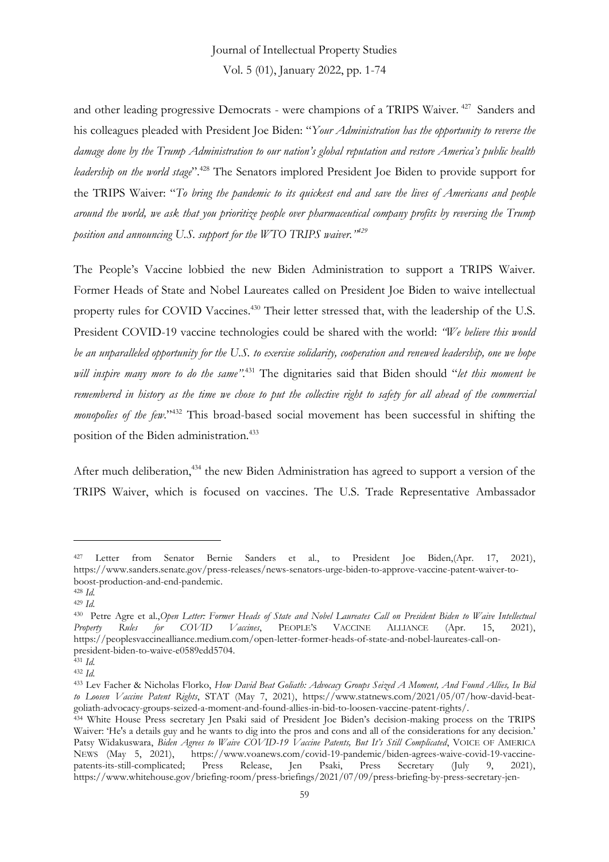and other leading progressive Democrats - were champions of a TRIPS Waiver. <sup>427</sup> Sanders and his colleagues pleaded with President Joe Biden: "*Your Administration has the opportunity to reverse the damage done by the Trump Administration to our nation's global reputation and restore America's public health leadership on the world stage*". <sup>428</sup> The Senators implored President Joe Biden to provide support for the TRIPS Waiver: "*To bring the pandemic to its quickest end and save the lives of Americans and people around the world, we ask that you prioritize people over pharmaceutical company profits by reversing the Trump position and announcing U.S. support for the WTO TRIPS waiver." 429*

The People's Vaccine lobbied the new Biden Administration to support a TRIPS Waiver. Former Heads of State and Nobel Laureates called on President Joe Biden to waive intellectual property rules for COVID Vaccines.<sup>430</sup> Their letter stressed that, with the leadership of the U.S. President COVID-19 vaccine technologies could be shared with the world: *"We believe this would be an unparalleled opportunity for the U.S. to exercise solidarity, cooperation and renewed leadership, one we hope will inspire many more to do the same"*. <sup>431</sup> The dignitaries said that Biden should "*let this moment be remembered in history as the time we chose to put the collective right to safety for all ahead of the commercial*  monopolies of the few."<sup>432</sup> This broad-based social movement has been successful in shifting the position of the Biden administration.<sup>433</sup>

After much deliberation,<sup>434</sup> the new Biden Administration has agreed to support a version of the TRIPS Waiver, which is focused on vaccines. The U.S. Trade Representative Ambassador

<sup>427</sup> Letter from Senator Bernie Sanders et al., to President Joe Biden,(Apr. 17, 2021), https://www.sanders.senate.gov/press-releases/news-senators-urge-biden-to-approve-vaccine-patent-waiver-toboost-production-and-end-pandemic.

<sup>428</sup> *Id.* <sup>429</sup> *Id.*

<sup>430</sup> Petre Agre et al.,*Open Letter: Former Heads of State and Nobel Laureates Call on President Biden to Waive Intellectual*  Property Rules for COVID Vaccines, PEOPLE'S VACCINE ALLIANCE (Apr. 15, https://peoplesvaccinealliance.medium.com/open-letter-former-heads-of-state-and-nobel-laureates-call-onpresident-biden-to-waive-e0589edd5704.

<sup>431</sup> *Id.* <sup>432</sup> *Id.*

<sup>433</sup> Lev Facher & Nicholas Florko, *How David Beat Goliath: Advocacy Groups Seized A Moment, And Found Allies, In Bid to Loosen Vaccine Patent Rights*, STAT (May 7, 2021), https://www.statnews.com/2021/05/07/how-david-beatgoliath-advocacy-groups-seized-a-moment-and-found-allies-in-bid-to-loosen-vaccine-patent-rights/.

<sup>434</sup> White House Press secretary Jen Psaki said of President Joe Biden's decision-making process on the TRIPS Waiver: 'He's a details guy and he wants to dig into the pros and cons and all of the considerations for any decision.' Patsy Widakuswara, *Biden Agrees to Waive COVID-19 Vaccine Patents, But It's Still Complicated*, VOICE OF AMERICA NEWS (May 5, 2021), https://www.voanews.com/covid-19-pandemic/biden-agrees-waive-covid-19-vaccinepatents-its-still-complicated; Press Release, Jen Psaki, Press Secretary (July 9, 2021), https://www.whitehouse.gov/briefing-room/press-briefings/2021/07/09/press-briefing-by-press-secretary-jen-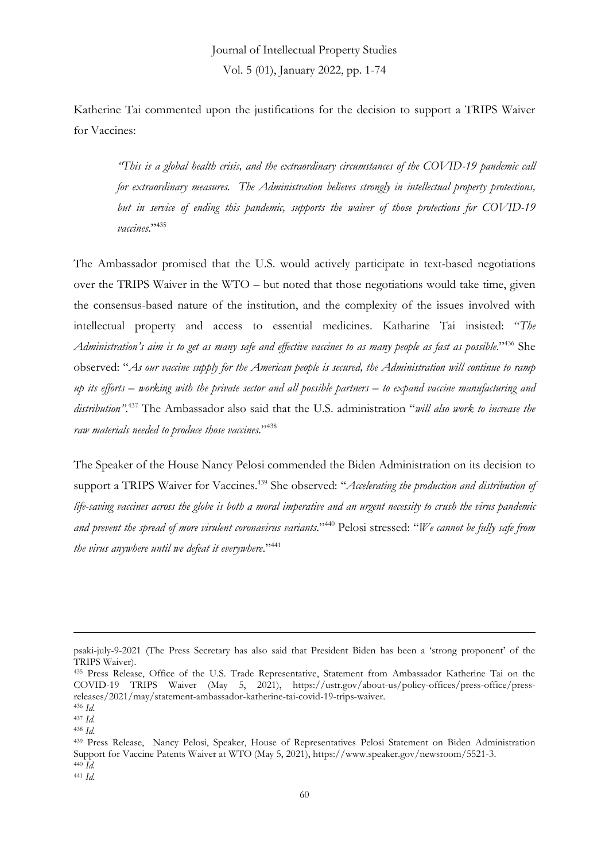Katherine Tai commented upon the justifications for the decision to support a TRIPS Waiver for Vaccines:

*"This is a global health crisis, and the extraordinary circumstances of the COVID-19 pandemic call for extraordinary measures. The Administration believes strongly in intellectual property protections, but in service of ending this pandemic, supports the waiver of those protections for COVID-19 vaccines*." 435

The Ambassador promised that the U.S. would actively participate in text-based negotiations over the TRIPS Waiver in the WTO – but noted that those negotiations would take time, given the consensus-based nature of the institution, and the complexity of the issues involved with intellectual property and access to essential medicines. Katharine Tai insisted: "*The Administration's aim is to get as many safe and effective vaccines to as many people as fast as possible*." <sup>436</sup> She observed: "*As our vaccine supply for the American people is secured, the Administration will continue to ramp up its efforts – working with the private sector and all possible partners – to expand vaccine manufacturing and distribution"*. <sup>437</sup> The Ambassador also said that the U.S. administration "*will also work to increase the raw materials needed to produce those vaccines*." 438

The Speaker of the House Nancy Pelosi commended the Biden Administration on its decision to support a TRIPS Waiver for Vaccines.<sup>439</sup> She observed: "Accelerating the production and distribution of *life-saving vaccines across the globe is both a moral imperative and an urgent necessity to crush the virus pandemic and prevent the spread of more virulent coronavirus variants*." <sup>440</sup> Pelosi stressed: "*We cannot be fully safe from the virus anywhere until we defeat it everywhere*." 441

psaki-july-9-2021 (The Press Secretary has also said that President Biden has been a 'strong proponent' of the TRIPS Waiver).

<sup>435</sup> Press Release, Office of the U.S. Trade Representative, Statement from Ambassador Katherine Tai on the COVID-19 TRIPS Waiver (May 5, 2021), https://ustr.gov/about-us/policy-offices/press-office/pressreleases/2021/may/statement-ambassador-katherine-tai-covid-19-trips-waiver.

<sup>436</sup> *Id.*

<sup>437</sup> *Id.*

<sup>438</sup> *Id.*

<sup>439</sup> Press Release, Nancy Pelosi, Speaker, House of Representatives Pelosi Statement on Biden Administration Support for Vaccine Patents Waiver at WTO (May 5, 2021), https://www.speaker.gov/newsroom/5521-3. <sup>440</sup> *Id.*

<sup>441</sup> *Id.*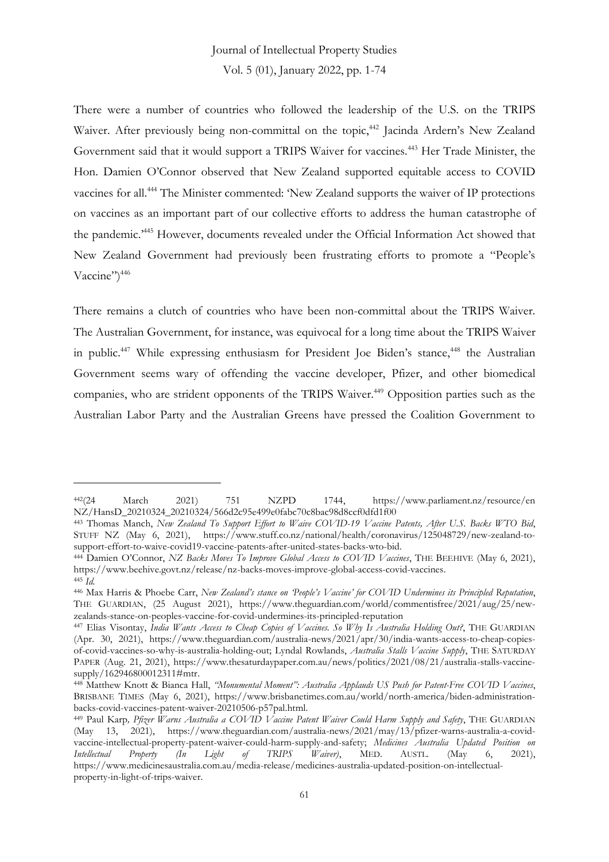There were a number of countries who followed the leadership of the U.S. on the TRIPS Waiver. After previously being non-committal on the topic,<sup>442</sup> Jacinda Ardern's New Zealand Government said that it would support a TRIPS Waiver for vaccines.<sup>443</sup> Her Trade Minister, the Hon. Damien O'Connor observed that New Zealand supported equitable access to COVID vaccines for all.<sup>444</sup> The Minister commented: 'New Zealand supports the waiver of IP protections on vaccines as an important part of our collective efforts to address the human catastrophe of the pandemic.'<sup>445</sup> However, documents revealed under the Official Information Act showed that New Zealand Government had previously been frustrating efforts to promote a "People's Vaccine")<sup>446</sup>

There remains a clutch of countries who have been non-committal about the TRIPS Waiver. The Australian Government, for instance, was equivocal for a long time about the TRIPS Waiver in public.<sup>447</sup> While expressing enthusiasm for President Joe Biden's stance,<sup>448</sup> the Australian Government seems wary of offending the vaccine developer, Pfizer, and other biomedical companies, who are strident opponents of the TRIPS Waiver.<sup>449</sup> Opposition parties such as the Australian Labor Party and the Australian Greens have pressed the Coalition Government to

<sup>442</sup>(24 March 2021) 751 NZPD 1744, https://www.parliament.nz/resource/en NZ/HansD\_20210324\_20210324/566d2c95e499e0fabc70c8bac98d8ccf0dfd1f00

<sup>443</sup> Thomas Manch, *New Zealand To Support Effort to Waive COVID-19 Vaccine Patents, After U.S. Backs WTO Bid*, STUFF NZ (May 6, 2021), https://www.stuff.co.nz/national/health/coronavirus/125048729/new-zealand-tosupport-effort-to-waive-covid19-vaccine-patents-after-united-states-backs-wto-bid.

<sup>444</sup> Damien O'Connor, *NZ Backs Moves To Improve Global Access to COVID Vaccines*, THE BEEHIVE (May 6, 2021), https://www.beehive.govt.nz/release/nz-backs-moves-improve-global-access-covid-vaccines. <sup>445</sup> *Id.*

<sup>446</sup> Max Harris & Phoebe Carr, *New Zealand's stance on 'People's Vaccine' for COVID Undermines its Principled Reputation*, THE GUARDIAN, (25 August 2021), https://www.theguardian.com/world/commentisfree/2021/aug/25/newzealands-stance-on-peoples-vaccine-for-covid-undermines-its-principled-reputation

<sup>447</sup> Elias Visontay, *India Wants Access to Cheap Copies of Vaccines. So Why Is Australia Holding Out?*, THE GUARDIAN (Apr. 30, 2021), https://www.theguardian.com/australia-news/2021/apr/30/india-wants-access-to-cheap-copiesof-covid-vaccines-so-why-is-australia-holding-out; Lyndal Rowlands, *Australia Stalls Vaccine Supply*, THE SATURDAY PAPER (Aug. 21, 2021), https://www.thesaturdaypaper.com.au/news/politics/2021/08/21/australia-stalls-vaccinesupply/162946800012311#mtr.

<sup>448</sup> Matthew Knott & Bianca Hall, *"Monumental Moment": Australia Applauds US Push for Patent-Free COVID Vaccines*, BRISBANE TIMES (May 6, 2021), https://www.brisbanetimes.com.au/world/north-america/biden-administrationbacks-covid-vaccines-patent-waiver-20210506-p57pal.html.

<sup>449</sup> Paul Karp*, Pfizer Warns Australia a COVID Vaccine Patent Waiver Could Harm Supply and Safety*, THE GUARDIAN (May 13, 2021), https://www.theguardian.com/australia-news/2021/may/13/pfizer-warns-australia-a-covidvaccine-intellectual-property-patent-waiver-could-harm-supply-and-safety; *Medicines Australia Updated Position on Intellectual Property (In Light of TRIPS Waiver)*, MED. AUSTL. (May 6, 2021), https://www.medicinesaustralia.com.au/media-release/medicines-australia-updated-position-on-intellectualproperty-in-light-of-trips-waiver.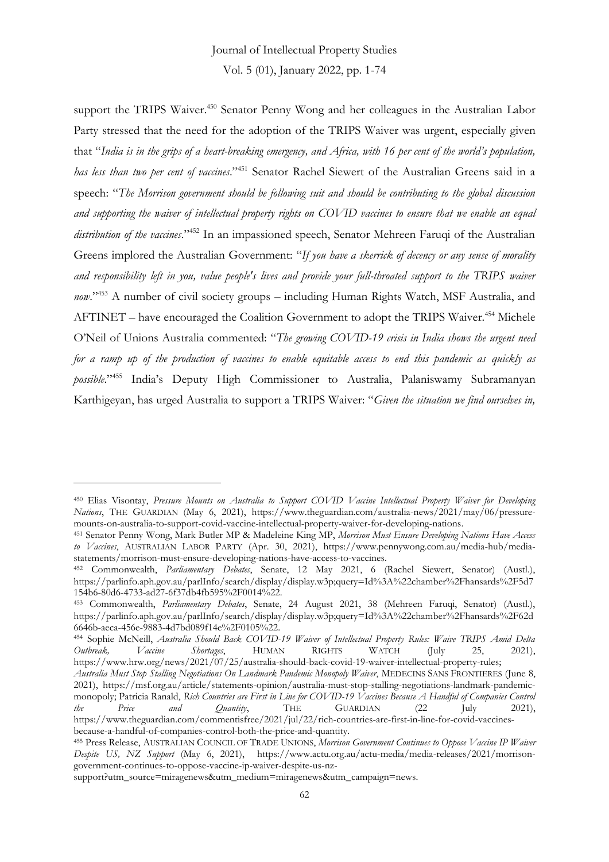# Journal of Intellectual Property Studies

Vol. 5 (01), January 2022, pp. 1-74

support the TRIPS Waiver.<sup>450</sup> Senator Penny Wong and her colleagues in the Australian Labor Party stressed that the need for the adoption of the TRIPS Waiver was urgent, especially given that "*India is in the grips of a heart-breaking emergency, and Africa, with 16 per cent of the world's population, has less than two per cent of vaccines*." <sup>451</sup> Senator Rachel Siewert of the Australian Greens said in a speech: "*The Morrison government should be following suit and should be contributing to the global discussion and supporting the waiver of intellectual property rights on COVID vaccines to ensure that we enable an equal distribution of the vaccines*." <sup>452</sup> In an impassioned speech, Senator Mehreen Faruqi of the Australian Greens implored the Australian Government: "*If you have a skerrick of decency or any sense of morality and responsibility left in you, value people's lives and provide your full-throated support to the TRIPS waiver now*." <sup>453</sup> A number of civil society groups – including Human Rights Watch, MSF Australia, and AFTINET – have encouraged the Coalition Government to adopt the TRIPS Waiver.<sup>454</sup> Michele O'Neil of Unions Australia commented: "*The growing COVID-19 crisis in India shows the urgent need for a ramp up of the production of vaccines to enable equitable access to end this pandemic as quickly as possible*." <sup>455</sup> India's Deputy High Commissioner to Australia, Palaniswamy Subramanyan Karthigeyan, has urged Australia to support a TRIPS Waiver: "*Given the situation we find ourselves in,* 

<sup>450</sup> Elias Visontay, *Pressure Mounts on Australia to Support COVID Vaccine Intellectual Property Waiver for Developing Nations*, THE GUARDIAN (May 6, 2021), https://www.theguardian.com/australia-news/2021/may/06/pressuremounts-on-australia-to-support-covid-vaccine-intellectual-property-waiver-for-developing-nations.

<sup>451</sup> Senator Penny Wong, Mark Butler MP & Madeleine King MP, *Morrison Must Ensure Developing Nations Have Access to Vaccines*, AUSTRALIAN LABOR PARTY (Apr. 30, 2021), https://www.pennywong.com.au/media-hub/mediastatements/morrison-must-ensure-developing-nations-have-access-to-vaccines.

<sup>452</sup> Commonwealth, *Parliamentary Debates*, Senate, 12 May 2021, 6 (Rachel Siewert, Senator) (Austl.), https://parlinfo.aph.gov.au/parlInfo/search/display/display.w3p;query=Id%3A%22chamber%2Fhansards%2F5d7 154b6-80d6-4733-ad27-6f37db4fb595%2F0014%22.

<sup>453</sup> Commonwealth, *Parliamentary Debates*, Senate, 24 August 2021, 38 (Mehreen Faruqi, Senator) (Austl.), https://parlinfo.aph.gov.au/parlInfo/search/display/display.w3p;query=Id%3A%22chamber%2Fhansards%2F62d 6646b-aeca-456e-9883-4d7bd089f14e%2F0105%22.

<sup>454</sup> Sophie McNeill, *Australia Should Back COVID-19 Waiver of Intellectual Property Rules: Waive TRIPS Amid Delta Outbreak, Vaccine Shortages*, HUMAN RIGHTS WATCH (July 25, 2021), https://www.hrw.org/news/2021/07/25/australia-should-back-covid-19-waiver-intellectual-property-rules;

*Australia Must Stop Stalling Negotiations On Landmark Pandemic Monopoly Waiver*, MEDECINS SANS FRONTIERES (June 8, 2021), https://msf.org.au/article/statements-opinion/australia-must-stop-stalling-negotiations-landmark-pandemicmonopoly; Patricia Ranald, *Rich Countries are First in Line for COVID-19 Vaccines Because A Handful of Companies Control the Price and Quantity*, THE GUARDIAN (22 July 2021), https://www.theguardian.com/commentisfree/2021/jul/22/rich-countries-are-first-in-line-for-covid-vaccinesbecause-a-handful-of-companies-control-both-the-price-and-quantity.

<sup>455</sup> Press Release, AUSTRALIAN COUNCIL OF TRADE UNIONS, *Morrison Government Continues to Oppose Vaccine IP Waiver Despite US, NZ Support* (May 6, 2021), https://www.actu.org.au/actu-media/media-releases/2021/morrisongovernment-continues-to-oppose-vaccine-ip-waiver-despite-us-nz-

support?utm\_source=miragenews&utm\_medium=miragenews&utm\_campaign=news.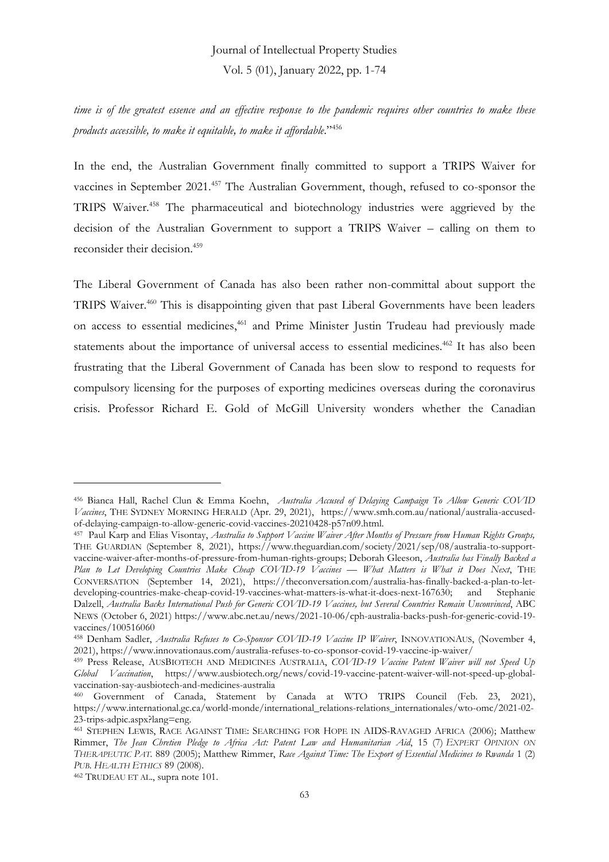*time is of the greatest essence and an effective response to the pandemic requires other countries to make these products accessible, to make it equitable, to make it affordable*." 456

In the end, the Australian Government finally committed to support a TRIPS Waiver for vaccines in September 2021.<sup>457</sup> The Australian Government, though, refused to co-sponsor the TRIPS Waiver.<sup>458</sup> The pharmaceutical and biotechnology industries were aggrieved by the decision of the Australian Government to support a TRIPS Waiver – calling on them to reconsider their decision.<sup>459</sup>

The Liberal Government of Canada has also been rather non-committal about support the TRIPS Waiver.<sup>460</sup> This is disappointing given that past Liberal Governments have been leaders on access to essential medicines,<sup>461</sup> and Prime Minister Justin Trudeau had previously made statements about the importance of universal access to essential medicines.<sup>462</sup> It has also been frustrating that the Liberal Government of Canada has been slow to respond to requests for compulsory licensing for the purposes of exporting medicines overseas during the coronavirus crisis. Professor Richard E. Gold of McGill University wonders whether the Canadian

<sup>456</sup> Bianca Hall, Rachel Clun & Emma Koehn, *Australia Accused of Delaying Campaign To Allow Generic COVID Vaccines*, THE SYDNEY MORNING HERALD (Apr. 29, 2021), https://www.smh.com.au/national/australia-accusedof-delaying-campaign-to-allow-generic-covid-vaccines-20210428-p57n09.html.

<sup>457</sup> Paul Karp and Elias Visontay, *Australia to Support Vaccine Waiver After Months of Pressure from Human Rights Groups,*  THE GUARDIAN (September 8, 2021), https://www.theguardian.com/society/2021/sep/08/australia-to-supportvaccine-waiver-after-months-of-pressure-from-human-rights-groups; Deborah Gleeson, *Australia has Finally Backed a Plan to Let Developing Countries Make Cheap COVID-19 Vaccines — What Matters is What it Does Next*, THE CONVERSATION (September 14, 2021), https://theconversation.com/australia-has-finally-backed-a-plan-to-letdeveloping-countries-make-cheap-covid-19-vaccines-what-matters-is-what-it-does-next-167630; and Stephanie Dalzell, *Australia Backs International Push for Generic COVID-19 Vaccines, but Several Countries Remain Unconvinced*, ABC NEWS (October 6, 2021) https://www.abc.net.au/news/2021-10-06/cph-australia-backs-push-for-generic-covid-19 vaccines/100516060

<sup>458</sup> Denham Sadler, *Australia Refuses to Co-Sponsor COVID-19 Vaccine IP Waiver*, INNOVATIONAUS, (November 4, 2021), https://www.innovationaus.com/australia-refuses-to-co-sponsor-covid-19-vaccine-ip-waiver/

<sup>459</sup> Press Release, AUSBIOTECH AND MEDICINES AUSTRALIA, *COVID-19 Vaccine Patent Waiver will not Speed Up Global Vaccination*, https://www.ausbiotech.org/news/covid-19-vaccine-patent-waiver-will-not-speed-up-globalvaccination-say-ausbiotech-and-medicines-australia

<sup>460</sup> Government of Canada, Statement by Canada at WTO TRIPS Council (Feb. 23, 2021), https://www.international.gc.ca/world-monde/international\_relations-relations\_internationales/wto-omc/2021-02- 23-trips-adpic.aspx?lang=eng.

<sup>461</sup> STEPHEN LEWIS, RACE AGAINST TIME: SEARCHING FOR HOPE IN AIDS-RAVAGED AFRICA (2006); Matthew Rimmer, *The Jean Chretien Pledge to Africa Act: Patent Law and Humanitarian Aid*, 15 (7) *EXPERT OPINION ON THERAPEUTIC PAT.* 889 (2005); Matthew Rimmer, *Race Against Time: The Export of Essential Medicines to Rwanda* 1 (2) *PUB. HEALTH ETHICS* 89 (2008).

<sup>462</sup> TRUDEAU ET AL., supra note 101.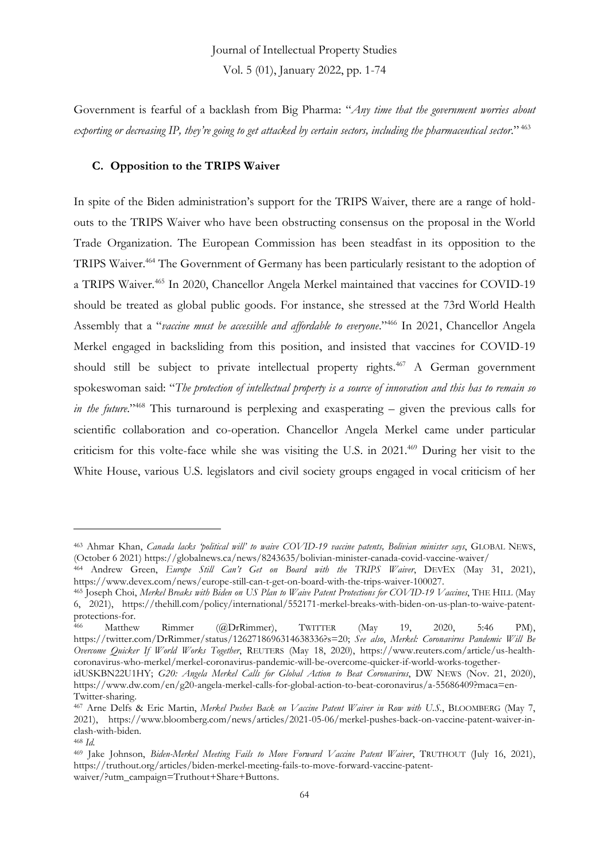Government is fearful of a backlash from Big Pharma: "*Any time that the government worries about exporting or decreasing IP, they're going to get attacked by certain sectors, including the pharmaceutical sector*." <sup>463</sup>

#### **C. Opposition to the TRIPS Waiver**

In spite of the Biden administration's support for the TRIPS Waiver, there are a range of holdouts to the TRIPS Waiver who have been obstructing consensus on the proposal in the World Trade Organization. The European Commission has been steadfast in its opposition to the TRIPS Waiver.<sup>464</sup> The Government of Germany has been particularly resistant to the adoption of a TRIPS Waiver.<sup>465</sup> In 2020, Chancellor Angela Merkel maintained that vaccines for COVID-19 should be treated as global public goods. For instance, she stressed at the 73rd World Health Assembly that a "*vaccine must be accessible and affordable to everyone*." <sup>466</sup> In 2021, Chancellor Angela Merkel engaged in backsliding from this position, and insisted that vaccines for COVID-19 should still be subject to private intellectual property rights.<sup>467</sup> A German government spokeswoman said: "*The protection of intellectual property is a source of innovation and this has to remain so in the future*." <sup>468</sup> This turnaround is perplexing and exasperating – given the previous calls for scientific collaboration and co-operation. Chancellor Angela Merkel came under particular criticism for this volte-face while she was visiting the U.S. in 2021.<sup>469</sup> During her visit to the White House, various U.S. legislators and civil society groups engaged in vocal criticism of her

<sup>463</sup> Ahmar Khan, *Canada lacks 'political will' to waive COVID-19 vaccine patents, Bolivian minister says*, GLOBAL NEWS, (October 6 2021) https://globalnews.ca/news/8243635/bolivian-minister-canada-covid-vaccine-waiver/

<sup>464</sup> Andrew Green, *Europe Still Can't Get on Board with the TRIPS Waiver*, DEVEX (May 31, 2021), https://www.devex.com/news/europe-still-can-t-get-on-board-with-the-trips-waiver-100027.

<sup>465</sup> Joseph Choi, *Merkel Breaks with Biden on US Plan to Waive Patent Protections for COVID-19 Vaccines*, THE HILL (May 6, 2021), https://thehill.com/policy/international/552171-merkel-breaks-with-biden-on-us-plan-to-waive-patentprotections-for.

Matthew Rimmer (@DrRimmer), TWITTER (May 19, 2020, 5:46 PM), https://twitter.com/DrRimmer/status/1262718696314638336?s=20; *See also*, *Merkel: Coronavirus Pandemic Will Be Overcome Quicker If World Works Together*, REUTERS (May 18, 2020), https://www.reuters.com/article/us-healthcoronavirus-who-merkel/merkel-coronavirus-pandemic-will-be-overcome-quicker-if-world-works-together-

idUSKBN22U1HY; *G20: Angela Merkel Calls for Global Action to Beat Coronavirus*, DW NEWS (Nov. 21, 2020), https://www.dw.com/en/g20-angela-merkel-calls-for-global-action-to-beat-coronavirus/a-55686409?maca=en-Twitter-sharing.

<sup>467</sup> Arne Delfs & Eric Martin, *Merkel Pushes Back on Vaccine Patent Waiver in Row with U.S.*, BLOOMBERG (May 7, 2021), https://www.bloomberg.com/news/articles/2021-05-06/merkel-pushes-back-on-vaccine-patent-waiver-inclash-with-biden.

<sup>468</sup> *Id.*

<sup>469</sup> Jake Johnson, *Biden-Merkel Meeting Fails to Move Forward Vaccine Patent Waiver*, TRUTHOUT (July 16, 2021), https://truthout.org/articles/biden-merkel-meeting-fails-to-move-forward-vaccine-patentwaiver/?utm\_campaign=Truthout+Share+Buttons.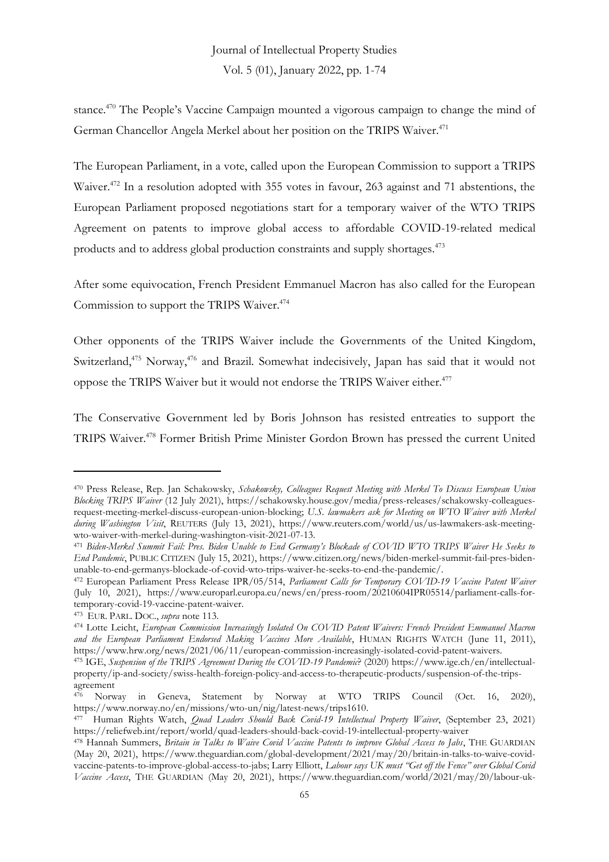stance.<sup>470</sup> The People's Vaccine Campaign mounted a vigorous campaign to change the mind of German Chancellor Angela Merkel about her position on the TRIPS Waiver.<sup>471</sup>

The European Parliament, in a vote, called upon the European Commission to support a TRIPS Waiver.<sup>472</sup> In a resolution adopted with 355 votes in favour, 263 against and 71 abstentions, the European Parliament proposed negotiations start for a temporary waiver of the WTO TRIPS Agreement on patents to improve global access to affordable COVID-19-related medical products and to address global production constraints and supply shortages.<sup>473</sup>

After some equivocation, French President Emmanuel Macron has also called for the European Commission to support the TRIPS Waiver.<sup>474</sup>

Other opponents of the TRIPS Waiver include the Governments of the United Kingdom, Switzerland,<sup>475</sup> Norway,<sup>476</sup> and Brazil. Somewhat indecisively, Japan has said that it would not oppose the TRIPS Waiver but it would not endorse the TRIPS Waiver either.<sup>477</sup>

The Conservative Government led by Boris Johnson has resisted entreaties to support the TRIPS Waiver.<sup>478</sup> Former British Prime Minister Gordon Brown has pressed the current United

<sup>470</sup> Press Release, Rep. Jan Schakowsky, *Schakowsky, Colleagues Request Meeting with Merkel To Discuss European Union Blocking TRIPS Waiver* (12 July 2021), https://schakowsky.house.gov/media/press-releases/schakowsky-colleaguesrequest-meeting-merkel-discuss-european-union-blocking; *U.S. lawmakers ask for Meeting on WTO Waiver with Merkel during Washington Visit*, REUTERS (July 13, 2021), https://www.reuters.com/world/us/us-lawmakers-ask-meetingwto-waiver-with-merkel-during-washington-visit-2021-07-13.

<sup>471</sup> *Biden-Merkel Summit Fail: Pres. Biden Unable to End Germany's Blockade of COVID WTO TRIPS Waiver He Seeks to End Pandemic*, PUBLIC CITIZEN (July 15, 2021), https://www.citizen.org/news/biden-merkel-summit-fail-pres-bidenunable-to-end-germanys-blockade-of-covid-wto-trips-waiver-he-seeks-to-end-the-pandemic/.

<sup>472</sup> European Parliament Press Release IPR/05/514, *Parliament Calls for Temporary COVID-19 Vaccine Patent Waiver* (July 10, 2021), https://www.europarl.europa.eu/news/en/press-room/20210604IPR05514/parliament-calls-fortemporary-covid-19-vaccine-patent-waiver.

<sup>473</sup> EUR. PARL. DOC., *supra* note 113.

<sup>474</sup> Lotte Leicht, *European Commission Increasingly Isolated On COVID Patent Waivers: French President Emmanuel Macron*  and the European Parliament Endorsed Making Vaccines More Available, HUMAN RIGHTS WATCH (June 11, 2011), https://www.hrw.org/news/2021/06/11/european-commission-increasingly-isolated-covid-patent-waivers.

<sup>475</sup> IGE, *Suspension of the TRIPS Agreement During the COVID-19 Pandemic*? (2020) https://www.ige.ch/en/intellectualproperty/ip-and-society/swiss-health-foreign-policy-and-access-to-therapeutic-products/suspension-of-the-tripsagreement

<sup>476</sup> Norway in Geneva, Statement by Norway at WTO TRIPS Council (Oct. 16, 2020), https://www.norway.no/en/missions/wto-un/nig/latest-news/trips1610.

<sup>477</sup> Human Rights Watch, *Quad Leaders Should Back Covid-19 Intellectual Property Waiver*, (September 23, 2021) https://reliefweb.int/report/world/quad-leaders-should-back-covid-19-intellectual-property-waiver

<sup>478</sup> Hannah Summers, *Britain in Talks to Waive Covid Vaccine Patents to improve Global Access to Jabs*, THE GUARDIAN (May 20, 2021), https://www.theguardian.com/global-development/2021/may/20/britain-in-talks-to-waive-covidvaccine-patents-to-improve-global-access-to-jabs; Larry Elliott, *Labour says UK must "Get off the Fence" over Global Covid Vaccine Access*, THE GUARDIAN (May 20, 2021), https://www.theguardian.com/world/2021/may/20/labour-uk-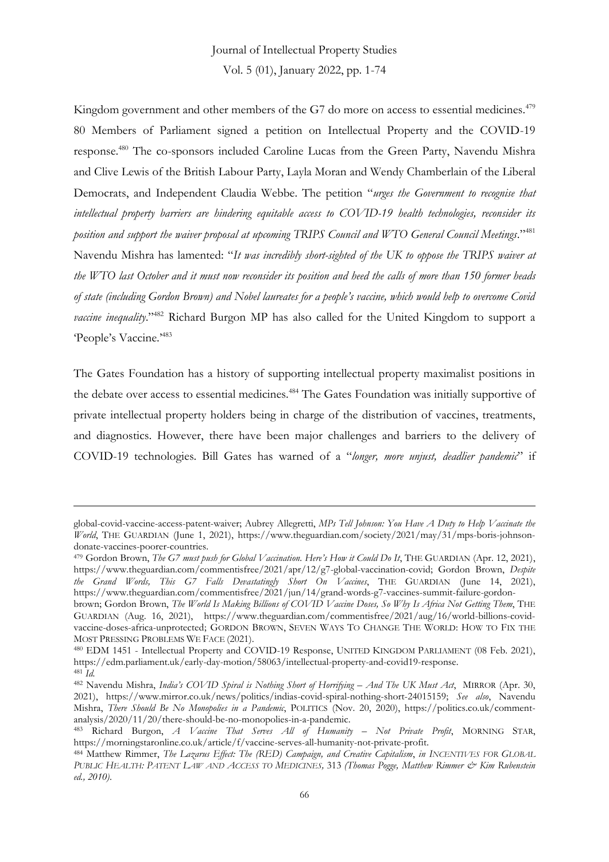Kingdom government and other members of the G7 do more on access to essential medicines.<sup>479</sup> 80 Members of Parliament signed a petition on Intellectual Property and the COVID-19 response.<sup>480</sup> The co-sponsors included Caroline Lucas from the Green Party, Navendu Mishra and Clive Lewis of the British Labour Party, Layla Moran and Wendy Chamberlain of the Liberal Democrats, and Independent Claudia Webbe. The petition "*urges the Government to recognise that intellectual property barriers are hindering equitable access to COVID-19 health technologies, reconsider its position and support the waiver proposal at upcoming TRIPS Council and WTO General Council Meetings*." 481 Navendu Mishra has lamented: "*It was incredibly short-sighted of the UK to oppose the TRIPS waiver at the WTO last October and it must now reconsider its position and heed the calls of more than 150 former heads of state (including Gordon Brown) and Nobel laureates for a people's vaccine, which would help to overcome Covid vaccine inequality*." <sup>482</sup> Richard Burgon MP has also called for the United Kingdom to support a 'People's Vaccine.'<sup>483</sup>

The Gates Foundation has a history of supporting intellectual property maximalist positions in the debate over access to essential medicines.<sup>484</sup> The Gates Foundation was initially supportive of private intellectual property holders being in charge of the distribution of vaccines, treatments, and diagnostics. However, there have been major challenges and barriers to the delivery of COVID-19 technologies. Bill Gates has warned of a "*longer, more unjust, deadlier pandemic*" if

global-covid-vaccine-access-patent-waiver; Aubrey Allegretti, *MPs Tell Johnson: You Have A Duty to Help Vaccinate the World*, THE GUARDIAN (June 1, 2021), https://www.theguardian.com/society/2021/may/31/mps-boris-johnsondonate-vaccines-poorer-countries.

<sup>479</sup> Gordon Brown, *The G7 must push for Global Vaccination. Here's How it Could Do It*, THE GUARDIAN (Apr. 12, 2021), https://www.theguardian.com/commentisfree/2021/apr/12/g7-global-vaccination-covid; Gordon Brown, *Despite the Grand Words, This G7 Falls Devastatingly Short On Vaccines*, THE GUARDIAN (June 14, 2021), https://www.theguardian.com/commentisfree/2021/jun/14/grand-words-g7-vaccines-summit-failure-gordon-

brown; Gordon Brown, *The World Is Making Billions of COVID Vaccine Doses, So Why Is Africa Not Getting Them*, THE GUARDIAN (Aug. 16, 2021), https://www.theguardian.com/commentisfree/2021/aug/16/world-billions-covidvaccine-doses-africa-unprotected; GORDON BROWN, SEVEN WAYS TO CHANGE THE WORLD: HOW TO FIX THE MOST PRESSING PROBLEMS WE FACE (2021).

<sup>480</sup> EDM 1451 - Intellectual Property and COVID-19 Response, UNITED KINGDOM PARLIAMENT (08 Feb. 2021), https://edm.parliament.uk/early-day-motion/58063/intellectual-property-and-covid19-response.  $481 \overline{Id}$ .

<sup>482</sup> Navendu Mishra, *India's COVID Spiral is Nothing Short of Horrifying – And The UK Must Act*, MIRROR (Apr. 30, 2021), https://www.mirror.co.uk/news/politics/indias-covid-spiral-nothing-short-24015159; *See also*, Navendu Mishra, *There Should Be No Monopolies in a Pandemic*, POLITICS (Nov. 20, 2020), https://politics.co.uk/commentanalysis/2020/11/20/there-should-be-no-monopolies-in-a-pandemic.

<sup>483</sup> Richard Burgon, *A Vaccine That Serves All of Humanity – Not Private Profit*, MORNING STAR, https://morningstaronline.co.uk/article/f/vaccine-serves-all-humanity-not-private-profit.

<sup>484</sup> Matthew Rimmer, *The Lazarus Effect: The (RED) Campaign, and Creative Capitalism*, *in INCENTIVES FOR GLOBAL PUBLIC HEALTH: PATENT LAW AND ACCESS TO MEDICINES,* 313 *(Thomas Pogge, Matthew Rimmer & Kim Rubenstein ed., 2010)*.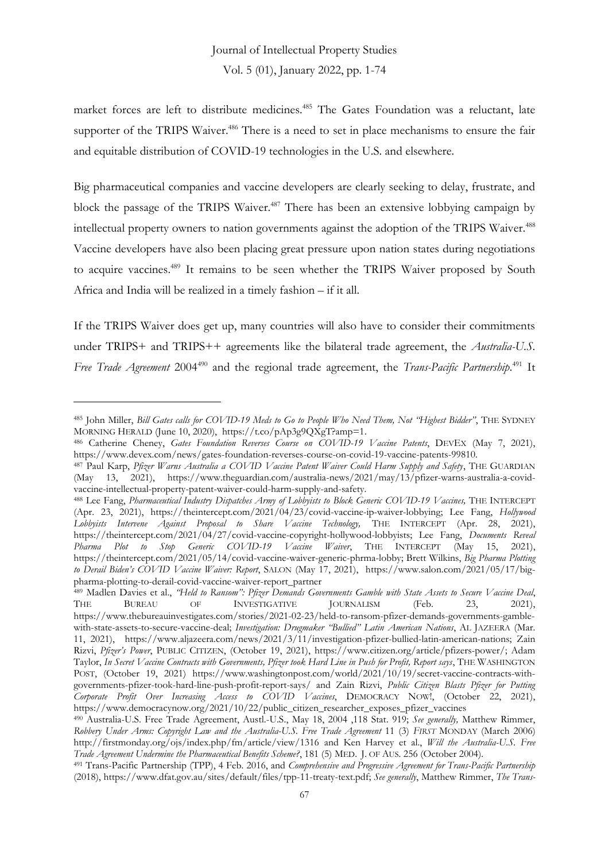market forces are left to distribute medicines.<sup>485</sup> The Gates Foundation was a reluctant, late supporter of the TRIPS Waiver.<sup>486</sup> There is a need to set in place mechanisms to ensure the fair and equitable distribution of COVID-19 technologies in the U.S. and elsewhere.

Big pharmaceutical companies and vaccine developers are clearly seeking to delay, frustrate, and block the passage of the TRIPS Waiver.<sup>487</sup> There has been an extensive lobbying campaign by intellectual property owners to nation governments against the adoption of the TRIPS Waiver. 488 Vaccine developers have also been placing great pressure upon nation states during negotiations to acquire vaccines.<sup>489</sup> It remains to be seen whether the TRIPS Waiver proposed by South Africa and India will be realized in a timely fashion – if it all.

If the TRIPS Waiver does get up, many countries will also have to consider their commitments under TRIPS+ and TRIPS++ agreements like the bilateral trade agreement, the *Australia-U.S.* Free Trade Agreement 2004<sup>490</sup> and the regional trade agreement, the *Trans-Pacific Partnership*.<sup>491</sup> It

<sup>485</sup> John Miller, *Bill Gates calls for COVID-19 Meds to Go to People Who Need Them, Not "Highest Bidder"*, THE SYDNEY MORNING HERALD (June 10, 2020), https://t.co/pAp3g9QXgT?amp=1.

<sup>486</sup> Catherine Cheney, *Gates Foundation Reverses Course on COVID-19 Vaccine Patents*, DEVEX (May 7, 2021), https://www.devex.com/news/gates-foundation-reverses-course-on-covid-19-vaccine-patents-99810.

<sup>487</sup> Paul Karp, *Pfizer Warns Australia a COVID Vaccine Patent Waiver Could Harm Supply and Safety*, THE GUARDIAN (May 13, 2021), https://www.theguardian.com/australia-news/2021/may/13/pfizer-warns-australia-a-covidvaccine-intellectual-property-patent-waiver-could-harm-supply-and-safety.

<sup>488</sup> Lee Fang, *Pharmaceutical Industry Dispatches Army of Lobbyists to Block Generic COVID-19 Vaccines,* THE INTERCEPT (Apr. 23, 2021), https://theintercept.com/2021/04/23/covid-vaccine-ip-waiver-lobbying; Lee Fang, *Hollywood Lobbyists Intervene Against Proposal to Share Vaccine Technology,* THE INTERCEPT (Apr. 28, 2021), https://theintercept.com/2021/04/27/covid-vaccine-copyright-hollywood-lobbyists; Lee Fang, *Documents Reveal*  Pharma Plot to Stop Generic COVID-19 Vaccine Waiver, THE INTERCEPT https://theintercept.com/2021/05/14/covid-vaccine-waiver-generic-phrma-lobby; Brett Wilkins, *Big Pharma Plotting to Derail Biden's COVID Vaccine Waiver: Report*, SALON (May 17, 2021), https://www.salon.com/2021/05/17/bigpharma-plotting-to-derail-covid-vaccine-waiver-report\_partner

<sup>489</sup> Madlen Davies et al., *"Held to Ransom": Pfizer Demands Governments Gamble with State Assets to Secure Vaccine Deal*, THE BUREAU OF INVESTIGATIVE JOURNALISM (Feb. 23, 2021), https://www.thebureauinvestigates.com/stories/2021-02-23/held-to-ransom-pfizer-demands-governments-gamblewith-state-assets-to-secure-vaccine-deal; *Investigation: Drugmaker "Bullied" Latin American Nations*, AL JAZEERA (Mar. 11, 2021), https://www.aljazeera.com/news/2021/3/11/investigation-pfizer-bullied-latin-american-nations; Zain Rizvi, *Pfizer's Power*, PUBLIC CITIZEN, (October 19, 2021), https://www.citizen.org/article/pfizers-power/; Adam Taylor, *In Secret Vaccine Contracts with Governments, Pfizer took Hard Line in Push for Profit, Report says*, THE WASHINGTON POST, (October 19, 2021) https://www.washingtonpost.com/world/2021/10/19/secret-vaccine-contracts-withgovernments-pfizer-took-hard-line-push-profit-report-says/ and Zain Rizvi, *Public Citizen Blasts Pfizer for Putting Corporate Profit Over Increasing Access to COVID Vaccines*, DEMOCRACY NOW!, (October 22, 2021), https://www.democracynow.org/2021/10/22/public\_citizen\_researcher\_exposes\_pfizer\_vaccines

<sup>490</sup> Australia-U.S. Free Trade Agreement, Austl.-U.S., May 18, 2004 ,118 Stat. 919; *See generally,* Matthew Rimmer, *Robbery Under Arms: Copyright Law and the Australia-U.S. Free Trade Agreement* 11 (3) *FIRST* MONDAY (March 2006) http://firstmonday.org/ojs/index.php/fm/article/view/1316 and Ken Harvey et al., *Will the Australia-U.S. Free Trade Agreement Undermine the Pharmaceutical Benefits Scheme?*, 181 (5) MED. J. OF AUS. 256 (October 2004).

<sup>491</sup> Trans-Pacific Partnership (TPP), 4 Feb. 2016, and *Comprehensive and Progressive Agreement for Trans-Pacific Partnership* (2018), https://www.dfat.gov.au/sites/default/files/tpp-11-treaty-text.pdf; *See generally*, Matthew Rimmer, *The Trans-*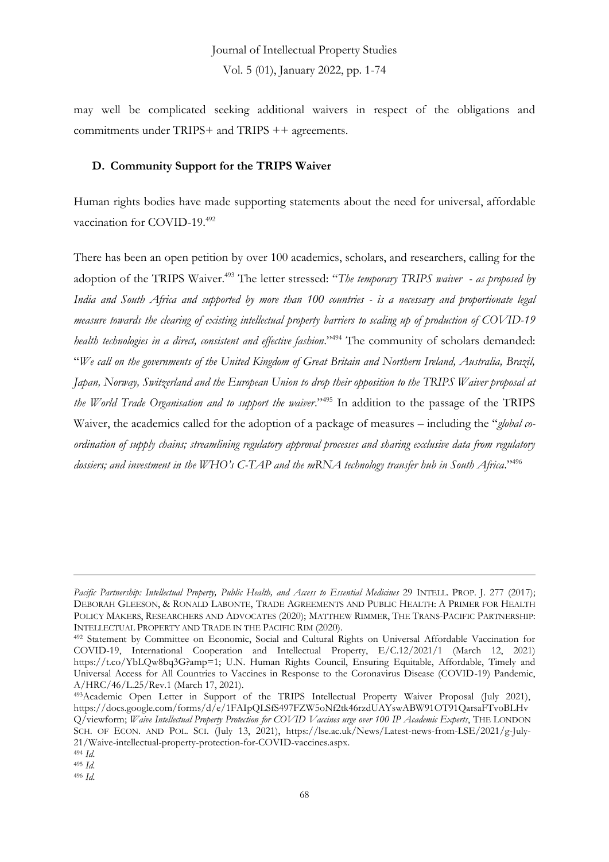may well be complicated seeking additional waivers in respect of the obligations and commitments under TRIPS+ and TRIPS ++ agreements.

### **D. Community Support for the TRIPS Waiver**

Human rights bodies have made supporting statements about the need for universal, affordable vaccination for COVID-19.<sup>492</sup>

There has been an open petition by over 100 academics, scholars, and researchers, calling for the adoption of the TRIPS Waiver.<sup>493</sup> The letter stressed: "The temporary TRIPS waiver - as proposed by *India and South Africa and supported by more than 100 countries - is a necessary and proportionate legal measure towards the clearing of existing intellectual property barriers to scaling up of production of COVID-19 health technologies in a direct, consistent and effective fashion*." <sup>494</sup> The community of scholars demanded: "*We call on the governments of the United Kingdom of Great Britain and Northern Ireland, Australia, Brazil, Japan, Norway, Switzerland and the European Union to drop their opposition to the TRIPS Waiver proposal at the World Trade Organisation and to support the waiver*." <sup>495</sup> In addition to the passage of the TRIPS Waiver, the academics called for the adoption of a package of measures – including the "*global coordination of supply chains; streamlining regulatory approval processes and sharing exclusive data from regulatory dossiers; and investment in the WHO's C-TAP and the mRNA technology transfer hub in South Africa*." 496

*Pacific Partnership: Intellectual Property, Public Health, and Access to Essential Medicines* 29 INTELL. PROP. J. 277 (2017); DEBORAH GLEESON, & RONALD LABONTE, TRADE AGREEMENTS AND PUBLIC HEALTH: A PRIMER FOR HEALTH POLICY MAKERS, RESEARCHERS AND ADVOCATES (2020); MATTHEW RIMMER, THE TRANS-PACIFIC PARTNERSHIP: INTELLECTUAL PROPERTY AND TRADE IN THE PACIFIC RIM (2020).

<sup>492</sup> Statement by Committee on Economic, Social and Cultural Rights on Universal Affordable Vaccination for COVID-19, International Cooperation and Intellectual Property, E/C.12/2021/1 (March 12, 2021) https://t.co/YbLQw8bq3G?amp=1; U.N. Human Rights Council, Ensuring Equitable, Affordable, Timely and Universal Access for All Countries to Vaccines in Response to the Coronavirus Disease (COVID-19) Pandemic, A/HRC/46/L.25/Rev.1 (March 17, 2021).

<sup>493</sup>Academic Open Letter in Support of the TRIPS Intellectual Property Waiver Proposal (July 2021), https://docs.google.com/forms/d/e/1FAIpQLSfS497FZW5oNf2tk46rzdUAYswABW91OT91QarsaFTvoBLHv Q/viewform; *Waive Intellectual Property Protection for COVID Vaccines urge over 100 IP Academic Experts*, THE LONDON SCH. OF ECON. AND POL. SCI. (July 13, 2021), https://lse.ac.uk/News/Latest-news-from-LSE/2021/g-July-21/Waive-intellectual-property-protection-for-COVID-vaccines.aspx.

<sup>494</sup> *Id.*

<sup>495</sup> *Id.*

<sup>496</sup> *Id.*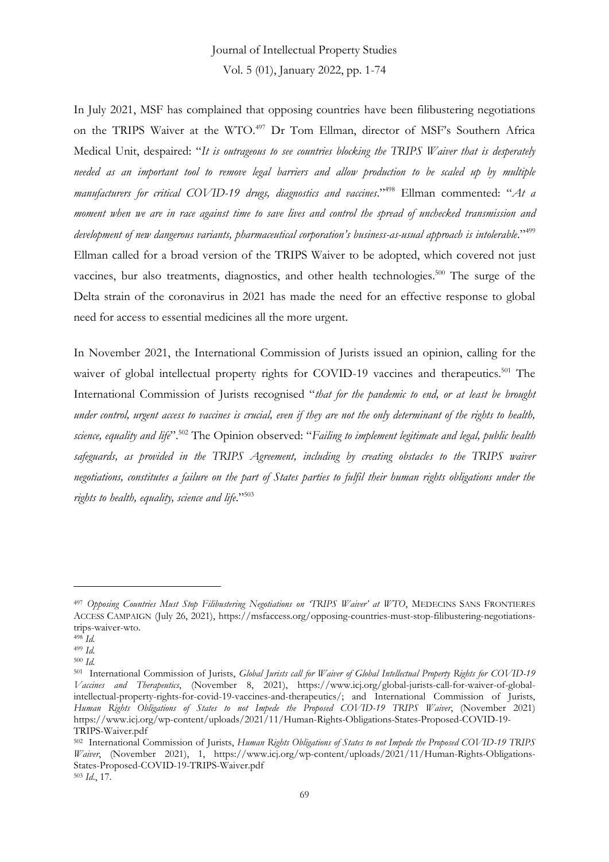In July 2021, MSF has complained that opposing countries have been filibustering negotiations on the TRIPS Waiver at the WTO.<sup>497</sup> Dr Tom Ellman, director of MSF's Southern Africa Medical Unit, despaired: "*It is outrageous to see countries blocking the TRIPS Waiver that is desperately needed as an important tool to remove legal barriers and allow production to be scaled up by multiple manufacturers for critical COVID-19 drugs, diagnostics and vaccines*." <sup>498</sup> Ellman commented: "*At a moment when we are in race against time to save lives and control the spread of unchecked transmission and development of new dangerous variants, pharmaceutical corporation's business-as-usual approach is intolerable*." 499 Ellman called for a broad version of the TRIPS Waiver to be adopted, which covered not just vaccines, bur also treatments, diagnostics, and other health technologies.<sup>500</sup> The surge of the Delta strain of the coronavirus in 2021 has made the need for an effective response to global need for access to essential medicines all the more urgent.

In November 2021, the International Commission of Jurists issued an opinion, calling for the waiver of global intellectual property rights for COVID-19 vaccines and therapeutics.<sup>501</sup> The International Commission of Jurists recognised "*that for the pandemic to end, or at least be brought under control, urgent access to vaccines is crucial, even if they are not the only determinant of the rights to health, science, equality and life*".<sup>502</sup> The Opinion observed: "*Failing to implement legitimate and legal, public health safeguards, as provided in the TRIPS Agreement, including by creating obstacles to the TRIPS waiver negotiations, constitutes a failure on the part of States parties to fulfil their human rights obligations under the rights to health, equality, science and life*." 503

<sup>497</sup> *Opposing Countries Must Stop Filibustering Negotiations on 'TRIPS Waiver' at WTO*, MEDECINS SANS FRONTIERES ACCESS CAMPAIGN (July 26, 2021), https://msfaccess.org/opposing-countries-must-stop-filibustering-negotiationstrips-waiver-wto.

<sup>498</sup> *Id.*

<sup>499</sup> *Id.*

<sup>500</sup> *Id.*

<sup>501</sup> International Commission of Jurists, *Global Jurists call for Waiver of Global Intellectual Property Rights for COVID-19 Vaccines and Therapeutics*, (November 8, 2021), https://www.icj.org/global-jurists-call-for-waiver-of-globalintellectual-property-rights-for-covid-19-vaccines-and-therapeutics/; and International Commission of Jurists, *Human Rights Obligations of States to not Impede the Proposed COVID-19 TRIPS Waiver*, (November 2021) https://www.icj.org/wp-content/uploads/2021/11/Human-Rights-Obligations-States-Proposed-COVID-19- TRIPS-Waiver.pdf

<sup>502</sup> International Commission of Jurists, *Human Rights Obligations of States to not Impede the Proposed COVID-19 TRIPS Waiver*, (November 2021), 1, https://www.icj.org/wp-content/uploads/2021/11/Human-Rights-Obligations-States-Proposed-COVID-19-TRIPS-Waiver.pdf <sup>503</sup> *Id*., 17.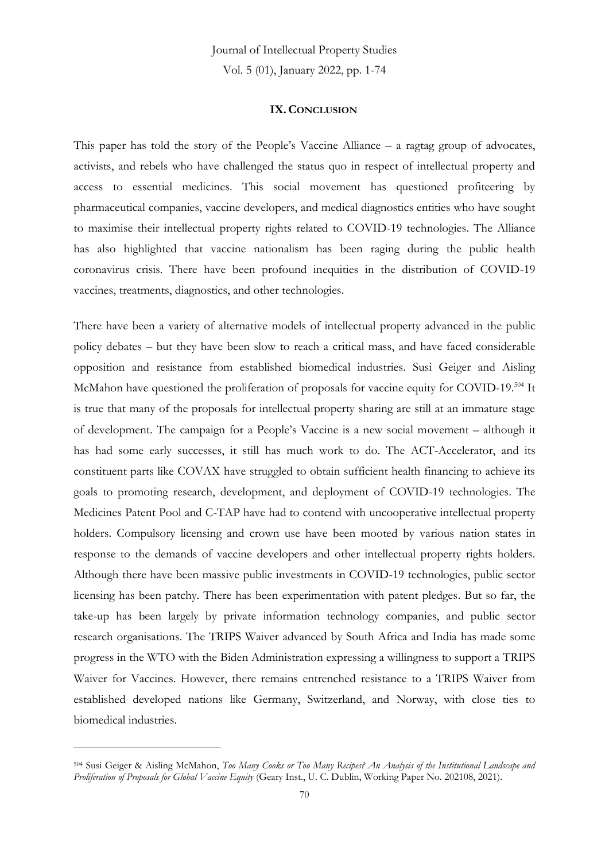Journal of Intellectual Property Studies

Vol. 5 (01), January 2022, pp. 1-74

#### **IX.CONCLUSION**

This paper has told the story of the People's Vaccine Alliance – a ragtag group of advocates, activists, and rebels who have challenged the status quo in respect of intellectual property and access to essential medicines. This social movement has questioned profiteering by pharmaceutical companies, vaccine developers, and medical diagnostics entities who have sought to maximise their intellectual property rights related to COVID-19 technologies. The Alliance has also highlighted that vaccine nationalism has been raging during the public health coronavirus crisis. There have been profound inequities in the distribution of COVID-19 vaccines, treatments, diagnostics, and other technologies.

There have been a variety of alternative models of intellectual property advanced in the public policy debates – but they have been slow to reach a critical mass, and have faced considerable opposition and resistance from established biomedical industries. Susi Geiger and Aisling McMahon have questioned the proliferation of proposals for vaccine equity for COVID-19.<sup>504</sup> It is true that many of the proposals for intellectual property sharing are still at an immature stage of development. The campaign for a People's Vaccine is a new social movement – although it has had some early successes, it still has much work to do. The ACT-Accelerator, and its constituent parts like COVAX have struggled to obtain sufficient health financing to achieve its goals to promoting research, development, and deployment of COVID-19 technologies. The Medicines Patent Pool and C-TAP have had to contend with uncooperative intellectual property holders. Compulsory licensing and crown use have been mooted by various nation states in response to the demands of vaccine developers and other intellectual property rights holders. Although there have been massive public investments in COVID-19 technologies, public sector licensing has been patchy. There has been experimentation with patent pledges. But so far, the take-up has been largely by private information technology companies, and public sector research organisations. The TRIPS Waiver advanced by South Africa and India has made some progress in the WTO with the Biden Administration expressing a willingness to support a TRIPS Waiver for Vaccines. However, there remains entrenched resistance to a TRIPS Waiver from established developed nations like Germany, Switzerland, and Norway, with close ties to biomedical industries.

<sup>504</sup> Susi Geiger & Aisling McMahon, *Too Many Cooks or Too Many Recipes? An Analysis of the Institutional Landscape and Proliferation of Proposals for Global Vaccine Equity* (Geary Inst., U. C. Dublin, Working Paper No. 202108, 2021).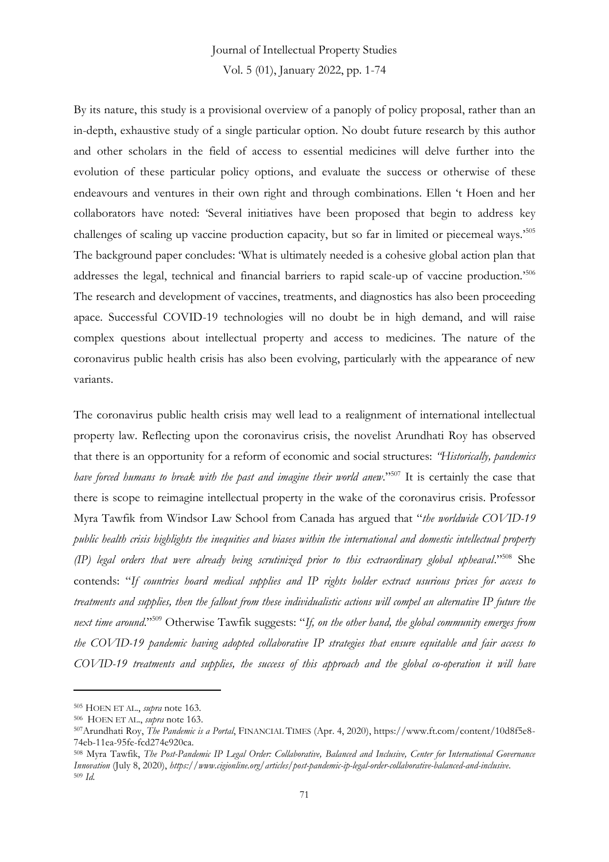By its nature, this study is a provisional overview of a panoply of policy proposal, rather than an in-depth, exhaustive study of a single particular option. No doubt future research by this author and other scholars in the field of access to essential medicines will delve further into the evolution of these particular policy options, and evaluate the success or otherwise of these endeavours and ventures in their own right and through combinations. Ellen 't Hoen and her collaborators have noted: 'Several initiatives have been proposed that begin to address key challenges of scaling up vaccine production capacity, but so far in limited or piecemeal ways.'<sup>505</sup> The background paper concludes: 'What is ultimately needed is a cohesive global action plan that addresses the legal, technical and financial barriers to rapid scale-up of vaccine production.'<sup>506</sup> The research and development of vaccines, treatments, and diagnostics has also been proceeding apace. Successful COVID-19 technologies will no doubt be in high demand, and will raise complex questions about intellectual property and access to medicines. The nature of the coronavirus public health crisis has also been evolving, particularly with the appearance of new variants.

The coronavirus public health crisis may well lead to a realignment of international intellectual property law. Reflecting upon the coronavirus crisis, the novelist Arundhati Roy has observed that there is an opportunity for a reform of economic and social structures: *"Historically, pandemics have forced humans to break with the past and imagine their world anew*." <sup>507</sup> It is certainly the case that there is scope to reimagine intellectual property in the wake of the coronavirus crisis. Professor Myra Tawfik from Windsor Law School from Canada has argued that "*the worldwide COVID-19 public health crisis highlights the inequities and biases within the international and domestic intellectual property (IP) legal orders that were already being scrutinized prior to this extraordinary global upheaval*." <sup>508</sup> She contends: "*If countries hoard medical supplies and IP rights holder extract usurious prices for access to treatments and supplies, then the fallout from these individualistic actions will compel an alternative IP future the next time around*." <sup>509</sup> Otherwise Tawfik suggests: "*If, on the other hand, the global community emerges from the COVID-19 pandemic having adopted collaborative IP strategies that ensure equitable and fair access to COVID-19 treatments and supplies, the success of this approach and the global co-operation it will have* 

<sup>505</sup> HOEN ET AL., *supra* note 163.

<sup>506</sup> HOEN ET AL., *supra* note 163.

<sup>507</sup>Arundhati Roy, *The Pandemic is a Portal*, FINANCIAL TIMES (Apr. 4, 2020), https://www.ft.com/content/10d8f5e8- 74eb-11ea-95fe-fcd274e920ca.

<sup>508</sup> Myra Tawfik, *The Post-Pandemic IP Legal Order: Collaborative, Balanced and Inclusive, Center for International Governance Innovation* (July 8, 2020), *https://www.cigionline.org/articles/post-pandemic-ip-legal-order-collaborative-balanced-and-inclusive*. <sup>509</sup> *Id.*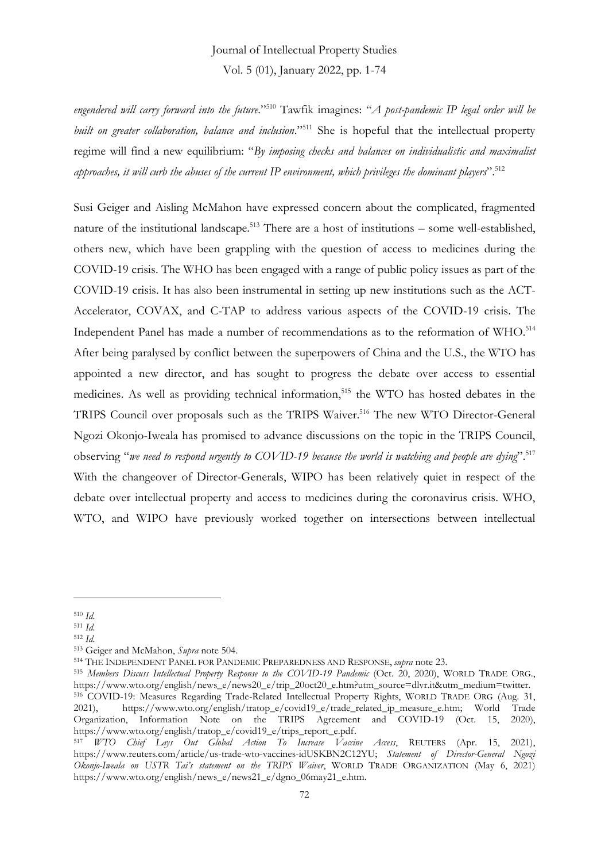*engendered will carry forward into the future*." <sup>510</sup> Tawfik imagines: "*A post-pandemic IP legal order will be built on greater collaboration, balance and inclusion*." <sup>511</sup> She is hopeful that the intellectual property regime will find a new equilibrium: "*By imposing checks and balances on individualistic and maximalist approaches, it will curb the abuses of the current IP environment, which privileges the dominant players*". 512

Susi Geiger and Aisling McMahon have expressed concern about the complicated, fragmented nature of the institutional landscape.<sup>513</sup> There are a host of institutions – some well-established, others new, which have been grappling with the question of access to medicines during the COVID-19 crisis. The WHO has been engaged with a range of public policy issues as part of the COVID-19 crisis. It has also been instrumental in setting up new institutions such as the ACT-Accelerator, COVAX, and C-TAP to address various aspects of the COVID-19 crisis. The Independent Panel has made a number of recommendations as to the reformation of WHO.<sup>514</sup> After being paralysed by conflict between the superpowers of China and the U.S., the WTO has appointed a new director, and has sought to progress the debate over access to essential medicines. As well as providing technical information,<sup>515</sup> the WTO has hosted debates in the TRIPS Council over proposals such as the TRIPS Waiver.<sup>516</sup> The new WTO Director-General Ngozi Okonjo-Iweala has promised to advance discussions on the topic in the TRIPS Council, observing "*we need to respond urgently to COVID-19 because the world is watching and people are dying*". 517 With the changeover of Director-Generals, WIPO has been relatively quiet in respect of the debate over intellectual property and access to medicines during the coronavirus crisis. WHO, WTO, and WIPO have previously worked together on intersections between intellectual

<sup>510</sup> *Id.*

<sup>511</sup> *Id.*

<sup>512</sup> *Id.*

<sup>513</sup> Geiger and McMahon, *Supra* note 504.

<sup>514</sup> THE INDEPENDENT PANEL FOR PANDEMIC PREPAREDNESS AND RESPONSE, *supra* note 23.

<sup>515</sup> *Members Discuss Intellectual Property Response to the COVID-19 Pandemic* (Oct. 20, 2020), WORLD TRADE ORG., https://www.wto.org/english/news\_e/news20\_e/trip\_20oct20\_e.htm?utm\_source=dlvr.it&utm\_medium=twitter.

<sup>516</sup> COVID-19: Measures Regarding Trade-Related Intellectual Property Rights, WORLD TRADE ORG (Aug. 31, 2021), https://www.wto.org/english/tratop\_e/covid19\_e/trade\_related\_ip\_measure\_e.htm; World Trade Organization, Information Note on the TRIPS Agreement and COVID-19 (Oct. 15, 2020), https://www.wto.org/english/tratop\_e/covid19\_e/trips\_report\_e.pdf.

<sup>517</sup> *WTO Chief Lays Out Global Action To Increase Vaccine Access*, REUTERS (Apr. 15, 2021), https://www.reuters.com/article/us-trade-wto-vaccines-idUSKBN2C12YU; *Statement of Director-General Ngozi Okonjo-Iweala on USTR Tai's statement on the TRIPS Waiver*, WORLD TRADE ORGANIZATION (May 6, 2021) https://www.wto.org/english/news\_e/news21\_e/dgno\_06may21\_e.htm.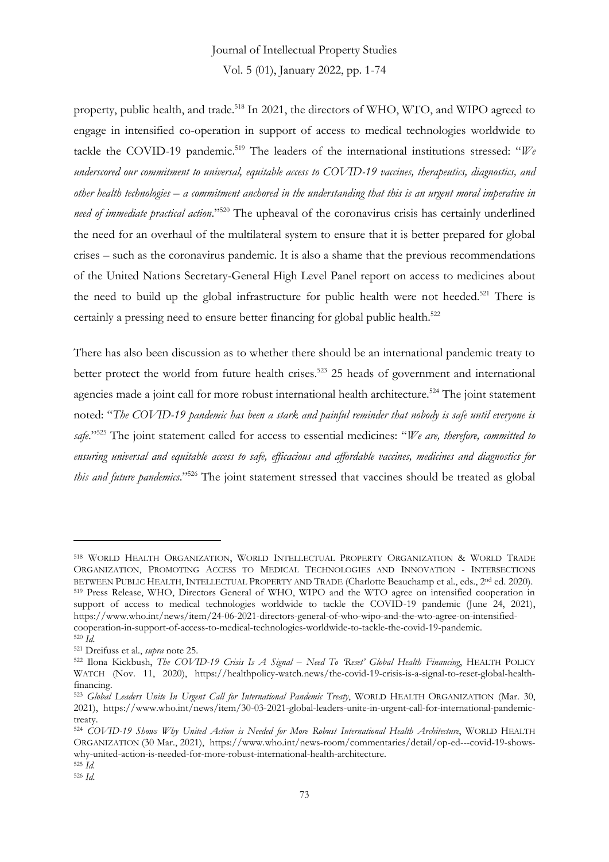## Journal of Intellectual Property Studies Vol. 5 (01), January 2022, pp. 1-74

property, public health, and trade.<sup>518</sup> In 2021, the directors of WHO, WTO, and WIPO agreed to engage in intensified co-operation in support of access to medical technologies worldwide to tackle the COVID-19 pandemic.<sup>519</sup> The leaders of the international institutions stressed: "*We underscored our commitment to universal, equitable access to COVID-19 vaccines, therapeutics, diagnostics, and other health technologies – a commitment anchored in the understanding that this is an urgent moral imperative in need of immediate practical action*." <sup>520</sup> The upheaval of the coronavirus crisis has certainly underlined the need for an overhaul of the multilateral system to ensure that it is better prepared for global crises – such as the coronavirus pandemic. It is also a shame that the previous recommendations of the United Nations Secretary-General High Level Panel report on access to medicines about the need to build up the global infrastructure for public health were not heeded.<sup>521</sup> There is certainly a pressing need to ensure better financing for global public health.<sup>522</sup>

There has also been discussion as to whether there should be an international pandemic treaty to better protect the world from future health crises.<sup>523</sup> 25 heads of government and international agencies made a joint call for more robust international health architecture.<sup>524</sup> The joint statement noted: "*The COVID-19 pandemic has been a stark and painful reminder that nobody is safe until everyone is safe*." <sup>525</sup> The joint statement called for access to essential medicines: "*We are, therefore, committed to ensuring universal and equitable access to safe, efficacious and affordable vaccines, medicines and diagnostics for this and future pandemics*." <sup>526</sup> The joint statement stressed that vaccines should be treated as global

<sup>518</sup> WORLD HEALTH ORGANIZATION, WORLD INTELLECTUAL PROPERTY ORGANIZATION & WORLD TRADE ORGANIZATION, PROMOTING ACCESS TO MEDICAL TECHNOLOGIES AND INNOVATION - INTERSECTIONS BETWEEN PUBLIC HEALTH, INTELLECTUAL PROPERTY AND TRADE (Charlotte Beauchamp et al., eds., 2<sup>nd</sup> ed. 2020). <sup>519</sup> Press Release, WHO, Directors General of WHO, WIPO and the WTO agree on intensified cooperation in support of access to medical technologies worldwide to tackle the COVID-19 pandemic (June 24, 2021), https://www.who.int/news/item/24-06-2021-directors-general-of-who-wipo-and-the-wto-agree-on-intensifiedcooperation-in-support-of-access-to-medical-technologies-worldwide-to-tackle-the-covid-19-pandemic. <sup>520</sup> *Id.*

<sup>521</sup> Dreifuss et al., *supra* note 25.

<sup>522</sup> Ilona Kickbush, *The COVID-19 Crisis Is A Signal – Need To 'Reset' Global Health Financing*, HEALTH POLICY WATCH (Nov. 11, 2020), https://healthpolicy-watch.news/the-covid-19-crisis-is-a-signal-to-reset-global-healthfinancing.

<sup>523</sup> *Global Leaders Unite In Urgent Call for International Pandemic Treaty*, WORLD HEALTH ORGANIZATION (Mar. 30, 2021), https://www.who.int/news/item/30-03-2021-global-leaders-unite-in-urgent-call-for-international-pandemictreaty.

<sup>524</sup> *COVID-19 Shows Why United Action is Needed for More Robust International Health Architecture*, WORLD HEALTH ORGANIZATION (30 Mar., 2021), https://www.who.int/news-room/commentaries/detail/op-ed---covid-19-showswhy-united-action-is-needed-for-more-robust-international-health-architecture.

<sup>525</sup> *Id.* <sup>526</sup> *Id.*